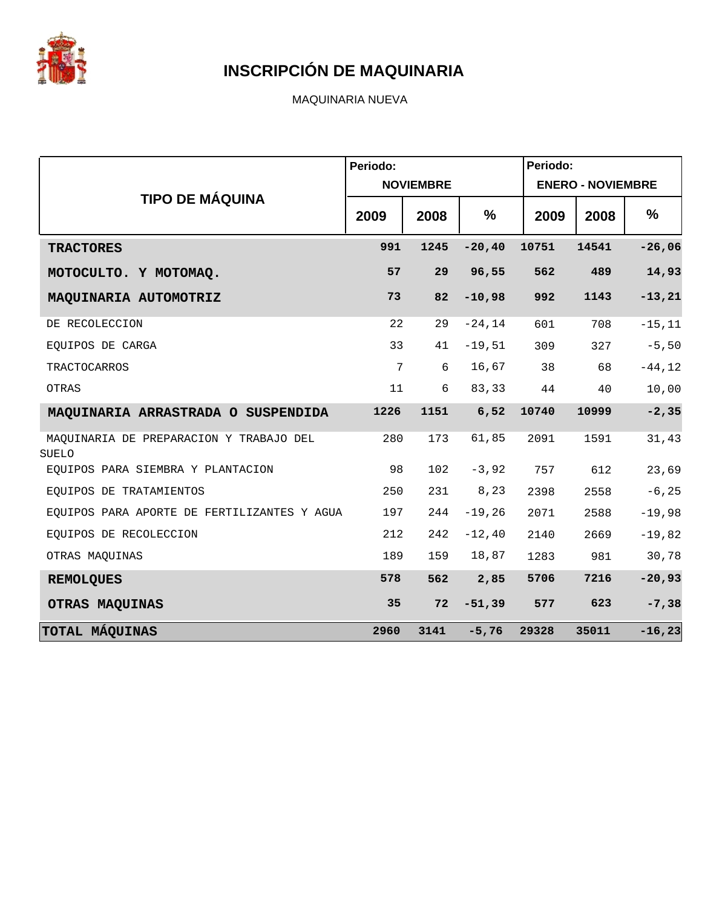

MAQUINARIA NUEVA

|                                                  | Periodo: |                  |           | Periodo: |                          |           |
|--------------------------------------------------|----------|------------------|-----------|----------|--------------------------|-----------|
|                                                  |          | <b>NOVIEMBRE</b> |           |          | <b>ENERO - NOVIEMBRE</b> |           |
| <b>TIPO DE MÁQUINA</b>                           | 2009     | 2008             | %         | 2009     | 2008                     | %         |
| <b>TRACTORES</b>                                 | 991      | 1245             | $-20, 40$ | 10751    | 14541                    | $-26,06$  |
| MOTOCULTO. Y MOTOMAQ.                            | 57       | 29               | 96,55     | 562      | 489                      | 14,93     |
| MAQUINARIA AUTOMOTRIZ                            | 73       | 82               | $-10,98$  | 992      | 1143                     | $-13, 21$ |
| DE RECOLECCION                                   | 22       | 29               | $-24, 14$ | 601      | 708                      | $-15, 11$ |
| EOUIPOS DE CARGA                                 | 33       | 41               | $-19,51$  | 309      | 327                      | $-5,50$   |
| TRACTOCARROS                                     | 7        | 6                | 16,67     | 38       | 68                       | $-44, 12$ |
| OTRAS                                            | 11       | 6                | 83,33     | 44       | 40                       | 10,00     |
| MAQUINARIA ARRASTRADA O SUSPENDIDA               | 1226     | 1151             | 6,52      | 10740    | 10999                    | $-2, 35$  |
| MAQUINARIA DE PREPARACION Y TRABAJO DEL<br>SUELO | 280      | 173              | 61,85     | 2091     | 1591                     | 31,43     |
| EQUIPOS PARA SIEMBRA Y PLANTACION                | 98       | 102              | $-3,92$   | 757      | 612                      | 23,69     |
| EOUIPOS DE TRATAMIENTOS                          | 250      | 231              | 8,23      | 2398     | 2558                     | $-6, 25$  |
| EQUIPOS PARA APORTE DE FERTILIZANTES Y AGUA      | 197      | 244              | $-19,26$  | 2071     | 2588                     | $-19,98$  |
| EOUIPOS DE RECOLECCION                           | 212      | 242              | $-12, 40$ | 2140     | 2669                     | $-19,82$  |
| OTRAS MAQUINAS                                   | 189      | 159              | 18,87     | 1283     | 981                      | 30,78     |
| <b>REMOLQUES</b>                                 | 578      | 562              | 2,85      | 5706     | 7216                     | $-20,93$  |
| OTRAS MAQUINAS                                   | 35       | 72               | $-51,39$  | 577      | 623                      | $-7,38$   |
| TOTAL MÁQUINAS                                   | 2960     | 3141             | $-5,76$   | 29328    | 35011                    | $-16, 23$ |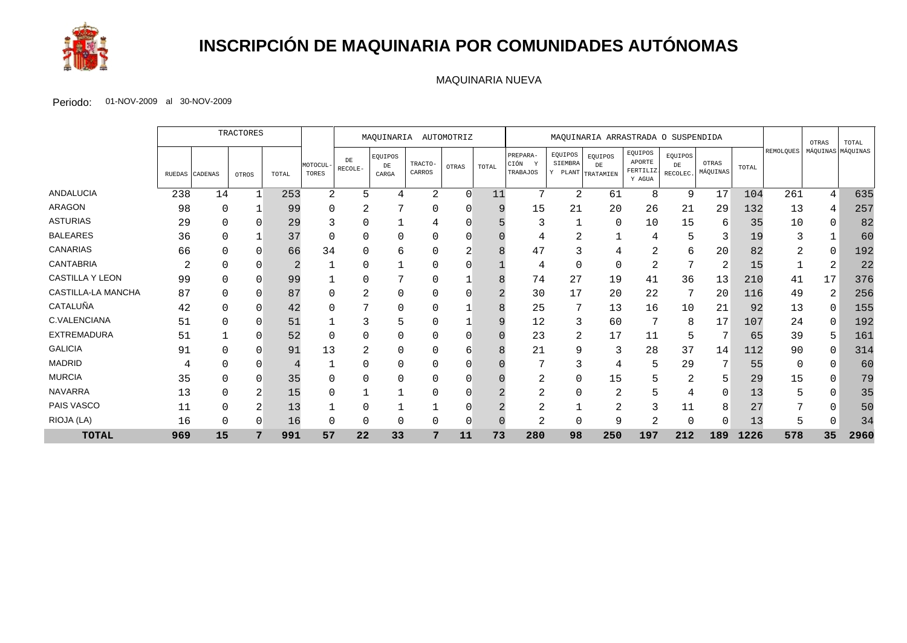

## **INSCRIPCIÓN DE MAQUINARIA POR COMUNIDADES AUTÓNOMAS**

#### MAQUINARIA NUEVA

|                        |        |                | <b>TRACTORES</b> |       | MAQUINARIA<br>AUTOMOTRIZ |               | MAQUINARIA ARRASTRADA O SUSPENDIDA |                   |        |       |                                          |                    | OTRAS                                             | TOTAL                                   |                                   |                   |       |                  |    |                   |
|------------------------|--------|----------------|------------------|-------|--------------------------|---------------|------------------------------------|-------------------|--------|-------|------------------------------------------|--------------------|---------------------------------------------------|-----------------------------------------|-----------------------------------|-------------------|-------|------------------|----|-------------------|
|                        | RUEDAS | <b>CADENAS</b> | OTROS            | TOTAL | MOTOCUL<br>TORES         | DE<br>RECOLE- | EQUIPOS<br>$_{\rm DE}$<br>CARGA    | TRACTO-<br>CARROS | OTRAS  | TOTAL | PREPARA-<br>CIÓN<br><b>V</b><br>TRABAJOS | EQUIPOS<br>SIEMBRA | EQUIPOS<br>DE<br>$Y$ PLANT $ _{\text{TRATAMIEN}}$ | EQUIPOS<br>APORTE<br>FERTILIZ<br>Y AGUA | EQUIPOS<br>$DE$<br><b>RECOLEC</b> | OTRAS<br>MÁQUINAS | TOTAL | <b>REMOLQUES</b> |    | MÁQUINAS MÁQUINAS |
| <b>ANDALUCIA</b>       | 238    | 14             | $\mathbf{1}$     | 253   | 2                        | 5             |                                    | 2                 | $\cap$ | 11    | 7                                        | 2                  | 61                                                | 8                                       | 9                                 | 17                | 104   | 261              | 4  | 635               |
| <b>ARAGON</b>          | 98     |                |                  | 99    |                          | 2             |                                    |                   |        | 9     | 15                                       | 21                 | 20                                                | 26                                      | 21                                | 29                | 132   | 13               | 4  | 25 <sub>1</sub>   |
| <b>ASTURIAS</b>        | 29     |                | O                | 29    |                          |               |                                    |                   |        |       | 3                                        |                    | $\Omega$                                          | 10                                      | 15                                | 6                 | 35    | 10               | 0  | 82                |
| <b>BALEARES</b>        | 36     |                |                  | 37    |                          | 0             |                                    |                   |        |       |                                          | ⌒<br>∠             |                                                   |                                         |                                   |                   | 19    | 3                |    | 6 <sup>c</sup>    |
| <b>CANARIAS</b>        | 66     |                | O                | 66    | 34                       | $\Omega$      |                                    |                   |        |       | 47                                       |                    |                                                   |                                         | 6                                 | 20                | 82    | 2                | U  | 192               |
| <b>CANTABRIA</b>       | 2      |                | O                |       |                          | $\Omega$      |                                    |                   |        |       | 4                                        | 0                  | 0                                                 | $\overline{2}$                          | $\mathbf{\mathcal{L}}$            | $\overline{2}$    | 15    |                  | 2  | 22                |
| <b>CASTILLA Y LEON</b> | 99     |                | $\Omega$         | 99    |                          | $\Omega$      |                                    |                   |        | 8     | 74                                       | 27                 | 19                                                | 41                                      | 36                                | 13                | 210   | 41               | 17 | 376               |
| CASTILLA-LA MANCHA     | 87     |                | $\Omega$         | 87    |                          | 2             |                                    |                   |        |       | 30                                       | 17                 | 20                                                | 22                                      | 7                                 | 20                | 116   | 49               | 2  | 256               |
| CATALUÑA               | 42     |                | O                | 42    |                          |               |                                    |                   |        | 8     | 25                                       | 7                  | 13                                                | 16                                      | 10                                | 21                | 92    | 13               | 0  | 155               |
| C.VALENCIANA           | 51     |                | $\Omega$         | 51    |                          | 3             |                                    |                   |        | 9     | 12                                       | 3                  | 60                                                |                                         | 8                                 | 17                | 107   | 24               | 0  | 192               |
| <b>EXTREMADURA</b>     | 51     |                | $\Omega$         | 52    |                          | $\Omega$      |                                    |                   |        |       | 23                                       | 2                  | 17                                                | 11                                      | 5                                 |                   | 65    | 39               | 5  | 161               |
| <b>GALICIA</b>         | 91     |                | $\Omega$         | 91    | 13                       | 2             |                                    |                   |        |       | 21                                       | 9                  | 3                                                 | 28                                      | 37                                | 14                | 112   | 90               | 0  | 314               |
| <b>MADRID</b>          |        |                |                  |       |                          |               |                                    |                   |        |       |                                          | 3                  |                                                   | 5                                       | 29                                |                   | 55    | 0                | 0  | 6 <sup>C</sup>    |
| <b>MURCIA</b>          | 35     |                |                  | 35    |                          | $\Omega$      |                                    |                   |        |       |                                          |                    | 15                                                |                                         | $\overline{2}$                    | b                 | 29    | 15               |    | 79                |
| <b>NAVARRA</b>         | 13     |                |                  | 15    |                          |               |                                    |                   |        |       | 2                                        |                    |                                                   |                                         |                                   | <sup>0</sup>      | 13    | 5                | 0  | 35                |
| PAIS VASCO             | 11     |                |                  | 13    |                          |               |                                    |                   |        |       | ∠                                        |                    | $\bigcap$<br>∠                                    |                                         | 11                                | 8                 | 27    | ⇁                | 0  | 5 <sub>0</sub>    |
| RIOJA (LA)             | 16     |                |                  | 16    |                          | 0             |                                    |                   |        |       |                                          |                    | 9                                                 |                                         |                                   |                   | 13    |                  |    | 34                |
| <b>TOTAL</b>           | 969    | 15             | 7                | 991   | 57                       | 22            | 33                                 | 7                 | 11     | 73    | 280                                      | 98                 | 250                                               | 197                                     | 212                               | 189               | 1226  | 578              | 35 | 2960              |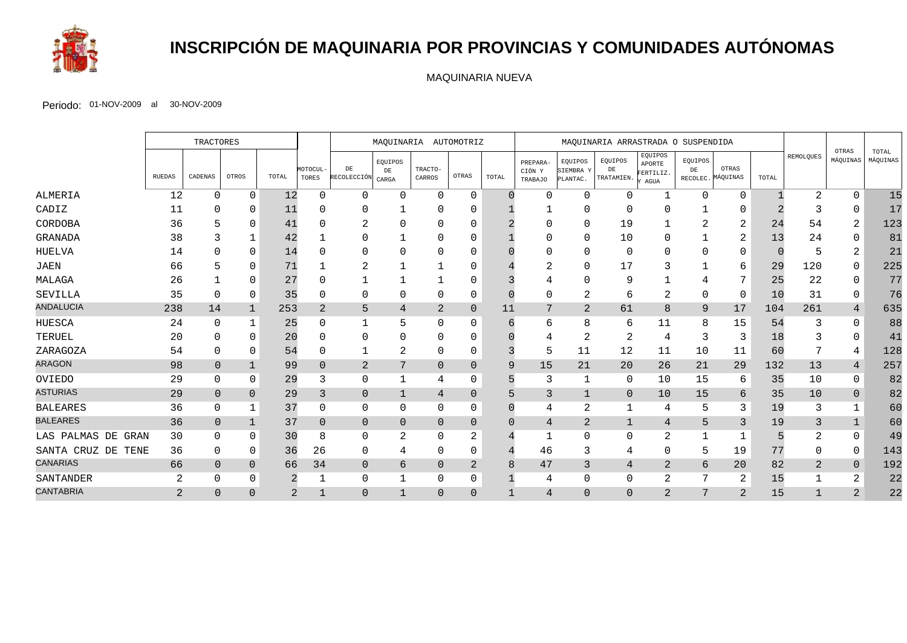

# **INSCRIPCIÓN DE MAQUINARIA POR PROVINCIAS Y COMUNIDADES AUTÓNOMAS**

MAQUINARIA NUEVA

|                       |                | <b>TRACTORES</b> |                |                |                   | MAQUINARIA AUTOMOTRIZ          |                       |                   | MAQUINARIA ARRASTRADA O SUSPENDIDA |       |                                      |                                  |                             |                                       |               |                            |       |               |                   |                   |
|-----------------------|----------------|------------------|----------------|----------------|-------------------|--------------------------------|-----------------------|-------------------|------------------------------------|-------|--------------------------------------|----------------------------------|-----------------------------|---------------------------------------|---------------|----------------------------|-------|---------------|-------------------|-------------------|
|                       | <b>RUEDAS</b>  | CADENAS          | OTROS          | TOTAL          | MOTOCUL-<br>TORES | $\rm{DE}$<br>RECOLECCIÓN CARGA | EQUIPOS<br>${\rm DE}$ | TRACTO-<br>CARROS | OTRAS                              | TOTAL | PREPARA-<br>CIÓN Y<br><b>TRABAJO</b> | EQUIPOS<br>SIEMBRA Y<br>PLANTAC. | EQUIPOS<br>DE<br>TRATAMIEN. | EQUIPOS<br>APORTE<br>FERTILIZ<br>AGUA | EQUIPOS<br>DE | OTRAS<br>RECOLEC. MÁQUINAS | TOTAL | REMOLQUES     | OTRAS<br>MÁQUINAS | TOTAL<br>MÁQUINAS |
| ALMERIA               | 12             | $\Omega$         | $\Omega$       | 12             | $\Omega$          | 0                              | $\Omega$              | 0                 | $\Omega$                           |       | $\Omega$                             | 0                                | $\Omega$                    | $\mathbf 1$                           | $\Omega$      | $\Omega$                   |       | 2             | $\Omega$          | 15                |
| CADIZ                 | 11             |                  | <sup>0</sup>   | 11             |                   | 0                              |                       |                   |                                    |       |                                      |                                  |                             | O                                     |               |                            |       |               |                   | 17                |
| CORDOBA               | 36             |                  | $\Omega$       | 41             |                   |                                |                       | 0                 |                                    |       |                                      | $\Omega$                         | 19                          |                                       |               | 2                          | 24    | 54            | 2                 | 123               |
| GRANADA               | 38             |                  |                | 42             |                   | $\Omega$                       |                       | ∩                 |                                    |       |                                      | $\Omega$                         | 10                          | ∩                                     |               | 2                          | 13    | 24            |                   | 81                |
| <b>HUELVA</b>         | 14             |                  | $\Omega$       | 14             |                   | $\Omega$                       |                       |                   |                                    |       |                                      |                                  | $\Omega$                    | $\Omega$                              |               | $\Omega$                   |       |               | 2                 | 21                |
| JAEN                  | 66             |                  | $\Omega$       | 71             |                   | 2                              |                       |                   |                                    |       | ∠                                    | $\Omega$                         | 17                          | 3                                     |               | 6                          | 29    | 120           | 0                 | 225               |
| MALAGA                | 26             |                  | $\Omega$       | 27             |                   |                                |                       |                   |                                    |       |                                      | $\Omega$                         | 9                           |                                       |               | 7                          | 25    | 22            | $\Omega$          | 77                |
| SEVILLA               | 35             | $\Omega$         | 0              | 35             | $\Omega$          | 0                              | $\Omega$              | 0                 | 0                                  |       | $\Omega$                             | 2                                | 6                           | 2                                     | $\Omega$      | 0                          | 10    | 31            | 0                 | 76                |
| <b>ANDALUCIA</b>      | 238            | 14               | $\mathbf 1$    | 253            | 2                 | 5                              | 4                     | $\overline{2}$    | $\Omega$                           | 11    | 7                                    | 2                                | 61                          | 8                                     | 9             | 17                         | 104   | 261           | $\overline{4}$    | 635               |
| <b>HUESCA</b>         | 24             | $\Omega$         |                | 25             |                   |                                | 5                     | 0                 | 0                                  |       | 6                                    | 8                                | 6                           | 11                                    | 8             | 15                         | 54    | 3             | 0                 | 88                |
| TERUEL                | 20             |                  | $\Omega$       | 20             |                   | 0                              |                       | 0                 |                                    |       |                                      | -2                               |                             | 4                                     |               | 3                          | 18    |               |                   | 41                |
| ZARAGOZA              | 54             | 0                | $\Omega$       | 54             |                   |                                | 2                     | 0                 | 0                                  |       | 5                                    | 11                               | 12                          | 11                                    | 10            | 11                         | 60    |               |                   | 128               |
| <b>ARAGON</b>         | 98             | $\Omega$         | $\overline{1}$ | 99             | $\Omega$          | $\mathbf{2}$                   | 7                     | $\Omega$          | $\Omega$                           | 9     | 15                                   | 21                               | 20                          | 26                                    | 21            | 29                         | 132   | 13            | 4                 | 257               |
| OVIEDO                | 29             | 0                | $\Omega$       | 29             | 3                 | 0                              | -1                    | 4                 | 0                                  |       | 3                                    |                                  | $\mathbf 0$                 | 10                                    | 15            | 6                          | 35    | 10            | $\Omega$          | 82                |
| <b>ASTURIAS</b>       | 29             | $\overline{0}$   | $\Omega$       | 29             | 3                 | $\mathbf 0$                    | $\mathbf{1}$          | 4                 | 0                                  |       | 3                                    |                                  | $\mathbf 0$                 | 10                                    | 15            | 6                          | 35    | 10            | $\overline{0}$    | 82                |
| <b>BALEARES</b>       | 36             | 0                |                | 37             | $\Omega$          | $\mathbf{0}$                   | $\Omega$              | 0                 | 0                                  |       | 4                                    | 2                                | 1                           | 4                                     |               | 3                          | 19    | 3             |                   | 60                |
| <b>BALEARES</b>       | 36             | $\Omega$         | $\mathbf{1}$   | 37             | $\Omega$          | $\mathbf 0$                    | $\Omega$              | $\Omega$          | $\overline{0}$                     | ∩     | $\overline{4}$                       | $\overline{2}$                   | $\mathbf{1}$                | $\overline{4}$                        | 5             | 3                          | 19    | 3             | $\mathbf{1}$      | 60                |
| LAS PALMAS DE GRAN    | 30             | $\Omega$         | $\Omega$       | 30             | 8                 | 0                              | $\overline{2}$        | 0                 | $\overline{2}$                     |       | 1                                    | $\Omega$                         | $\Omega$                    | $\overline{2}$                        |               |                            |       | $\mathcal{D}$ | $\Omega$          | 49                |
| SANTA CRUZ DE<br>TENE | 36             | 0                | 0              | 36             | 26                | 0                              | 4                     | 0                 | 0                                  |       | 46                                   | 3                                | 4                           | $\Omega$                              | 5             | 19                         | 77    |               | 0                 | 143               |
| <b>CANARIAS</b>       | 66             | $\Omega$         | $\Omega$       | 66             | 34                | $\overline{0}$                 | 6                     | $\Omega$          | 2                                  |       | 47                                   | 3                                | 4                           | 2                                     | 6             | 20                         | 82    | 2             | $\overline{0}$    | 192               |
| SANTANDER             | 2              | 0                | $\Omega$       | 2              |                   | 0                              |                       | 0                 | 0                                  |       | 4                                    | $\Omega$                         | $\Omega$                    | $\overline{2}$                        |               | 2                          | 15    |               | 2                 | 22                |
| <b>CANTABRIA</b>      | $\overline{2}$ | $\Omega$         | $\cap$         | $\overline{2}$ |                   | $\Omega$                       | -1                    | $\Omega$          | $\Omega$                           |       | $\overline{4}$                       | $\Omega$                         | $\Omega$                    | $\overline{2}$                        | 7             | 2                          | 15    |               | 2                 | 22                |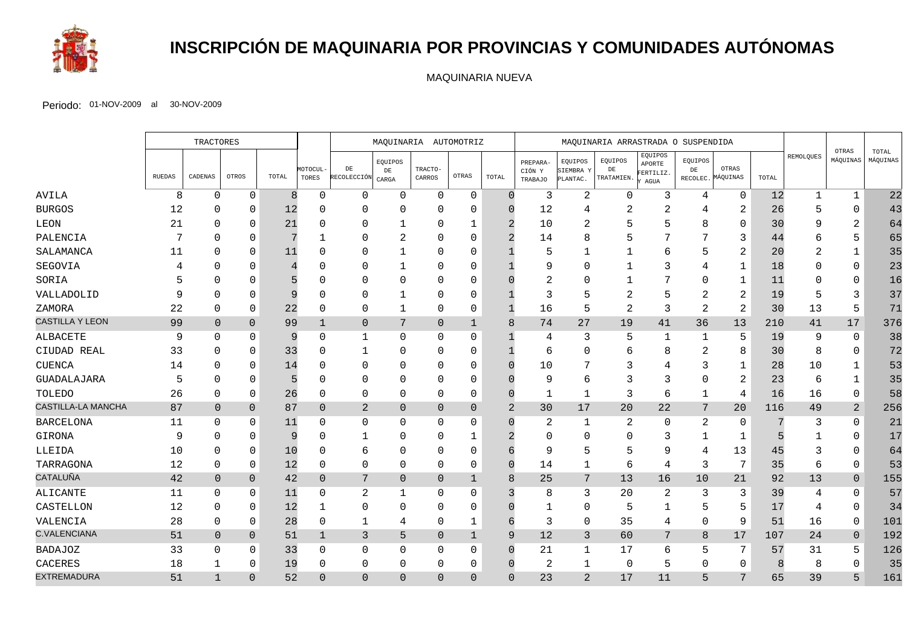

# **INSCRIPCIÓN DE MAQUINARIA POR PROVINCIAS Y COMUNIDADES AUTÓNOMAS**

MAQUINARIA NUEVA

|                        |        | TRACTORES      |                |       |                   | MAQUINARIA AUTOMOTRIZ    |                        | MAQUINARIA ARRASTRADA O SUSPENDIDA |                |                |                               |                                  |                             |                                                         |               |                            |       |                |                   |                   |
|------------------------|--------|----------------|----------------|-------|-------------------|--------------------------|------------------------|------------------------------------|----------------|----------------|-------------------------------|----------------------------------|-----------------------------|---------------------------------------------------------|---------------|----------------------------|-------|----------------|-------------------|-------------------|
|                        | RUEDAS | CADENAS        | OTROS          | TOTAL | MOTOCUL-<br>TORES | $\rm{DE}$<br>RECOLECCIÓN | EQUIPOS<br>DE<br>CARGA | TRACTO-<br>CARROS                  | OTRAS          | TOTAL          | PREPARA-<br>CIÓN Y<br>TRABAJO | EQUIPOS<br>SIEMBRA Y<br>PLANTAC. | EQUIPOS<br>DE<br>TRATAMIEN. | EQUIPOS<br>APORTE<br>FERTILIZ.<br>$\operatorname{AGUA}$ | EQUIPOS<br>DE | OTRAS<br>RECOLEC. MÁQUINAS | TOTAL | REMOLQUES      | OTRAS<br>MÁQUINAS | TOTAL<br>MÁQUINAS |
| AVILA                  | 8      | $\Omega$       | $\Omega$       | 8     | $\Omega$          | 0                        | $\Omega$               | $\mathbf 0$                        | $\mathbf 0$    | $\Omega$       | 3                             | $\overline{2}$                   | $\mathbf 0$                 | 3                                                       | 4             | $\mathbf 0$                | 12    | $\mathbf{1}$   | $\mathbf 1$       | 22                |
| <b>BURGOS</b>          | 12     | $\Omega$       | 0              | 12    | ∩                 | $\Omega$                 | $\Omega$               | $\Omega$                           | $\Omega$       |                | 12                            | 4                                | 2                           | 2                                                       | 4             | 2                          | 26    | 5              | $\Omega$          | 43                |
| LEON                   | 21     | $\Omega$       | $\Omega$       | 21    |                   | 0                        | 1                      | $\Omega$                           | $\mathbf{1}$   | 2              | 10                            | $\overline{2}$                   |                             | 5                                                       | 8             | $\Omega$                   | 30    | Q              | $\overline{2}$    | 64                |
| PALENCIA               |        | ∩              | O              |       |                   | $\Omega$                 | 2                      | $\Omega$                           | $\Omega$       |                | 14                            | 8                                |                             | 7                                                       |               | 3                          | 44    |                | 5                 | 65                |
| SALAMANCA              | 11     | $\Omega$       | $\Omega$       | 11    |                   | $\mathbf 0$              | 1                      | $\Omega$                           | $\Omega$       |                | 5                             | $\mathbf{1}$                     |                             | 6                                                       | 5             | 2                          | 20    |                | 1                 | 35                |
| SEGOVIA                |        | ∩              | $\Omega$       |       |                   | $\Omega$                 | -1                     | $\Omega$                           | $\Omega$       |                | 9                             | $\Omega$                         |                             | 3                                                       | 4             | $\mathbf{1}$               | 18    |                | 0                 | 23                |
| SORIA                  |        | $\Omega$       | O              |       |                   | $\Omega$                 | $\Omega$               | $\Omega$                           | $\Omega$       |                | 2                             | $\Omega$                         |                             |                                                         | $\Omega$      | -1                         | 11    |                | $\Omega$          | 16                |
| VALLADOLID             | 9      | $\Omega$       | O              | 9     |                   | $\Omega$                 |                        | $\Omega$                           | $\Omega$       |                | 3                             | 5                                | 2                           | 5                                                       | 2             | 2                          | 19    |                | 3                 | 37                |
| ZAMORA                 | 22     | $\Omega$       | $\Omega$       | 22    |                   | 0                        | 1                      | $\Omega$                           | 0              |                | 16                            | 5                                | 2                           | 3                                                       | 2             | $\overline{2}$             | 30    | 13             | 5                 | 71                |
| <b>CASTILLA Y LEON</b> | 99     | $\overline{0}$ | $\Omega$       | 99    | $\mathbf{1}$      | $\mathbf 0$              | 7                      | $\overline{0}$                     | $\mathbf{1}$   | 8              | 74                            | 27                               | 19                          | 41                                                      | 36            | 13                         | 210   | 41             | 17                | 376               |
| ALBACETE               | 9      | 0              | $\Omega$       | 9     | $\Omega$          | 1                        | $\Omega$               | 0                                  | 0              |                | 4                             | 3                                | .5                          | -1                                                      |               | 5                          | 19    | -9             | 0                 | 38                |
| CIUDAD REAL            | 33     | $\Omega$       | $\Omega$       | 33    |                   | 1                        | $\Omega$               | $\Omega$                           | $\Omega$       |                | 6                             | $\mathbf 0$                      | 6                           | 8                                                       | 2             | 8                          | 30    | 8              | 0                 | 72                |
| <b>CUENCA</b>          | 14     | $\Omega$       | $\Omega$       | 14    | U                 | $\Omega$                 | $\Omega$               | $\Omega$                           | $\Omega$       |                | 10                            | 7                                | 3                           | 4                                                       | 3             | 1                          | 28    | 10             | 1                 | 53                |
| GUADALAJARA            | 5      | $\Omega$       | $\Omega$       | 5     |                   | 0                        | $\Omega$               | $\Omega$                           | $\Omega$       |                | 9                             | 6                                |                             | 3                                                       | $\Omega$      | 2                          | 23    | 6              | 1                 | 35                |
| TOLEDO                 | 26     | $\Omega$       | 0              | 26    |                   | $\mathbf 0$              | $\Omega$               | $\Omega$                           | $\Omega$       |                | $\mathbf{1}$                  | $\mathbf{1}$                     | 3                           | 6                                                       | $\mathbf{1}$  | 4                          | 16    | 16             | 0                 | 58                |
| CASTILLA-LA MANCHA     | 87     | $\overline{0}$ | $\overline{0}$ | 87    | $\overline{0}$    | $\overline{a}$           | $\mathbf 0$            | $\overline{0}$                     | $\overline{0}$ | $\overline{2}$ | 30                            | 17                               | 20                          | 22                                                      | 7             | 20                         | 116   | 49             | 2                 | 256               |
| <b>BARCELONA</b>       | 11     | $\Omega$       | 0              | 11    | ∩                 | $\mathbf 0$              | $\Omega$               | $\Omega$                           | 0              |                | 2                             | $\mathbf 1$                      | 2                           | 0                                                       | 2             | $\Omega$                   |       | 3              | $\Omega$          | 21                |
| GIRONA                 | 9      | $\Omega$       | $\Omega$       | 9     |                   | 1                        | <sup>0</sup>           | $\Omega$                           | 1              |                | 0                             | $\mathbf 0$                      |                             | 3                                                       |               | 1                          |       |                | $\Omega$          | 17                |
| LLEIDA                 | 10     | $\Omega$       | $\Omega$       | 10    |                   | 6                        | $\Omega$               | $\Omega$                           | $\Omega$       |                | 9                             | 5                                | 5                           | 9                                                       | 4             | 13                         | 45    | 3              | $\Omega$          | 64                |
| TARRAGONA              | 12     | 0              | $\mathbf 0$    | 12    | $\Omega$          | $\mathbf 0$              | $\Omega$               | $\Omega$                           | 0              | $\Omega$       | 14                            | 1                                | 6                           | 4                                                       | 3             | 7                          | 35    | 6              | 0                 | 53                |
| CATALUÑA               | 42     | $\overline{0}$ | $\overline{0}$ | 42    | $\overline{0}$    | 7                        | $\overline{0}$         | $\overline{0}$                     | 1              | 8              | 25                            | 7                                | 13                          | 16                                                      | 10            | 21                         | 92    | 13             | $\overline{0}$    | 155               |
| ALICANTE               | 11     | $\Omega$       | 0              | 11    | $\Omega$          | 2                        | 1                      | $\Omega$                           | 0              |                | 8                             | 3                                | 20                          | 2                                                       | 3             | 3                          | 39    | 4              | 0                 | 57                |
| CASTELLON              | 12     | $\Omega$       | $\Omega$       | 12    |                   | $\mathbf 0$              | $\Omega$               | $\Omega$                           | 0              |                | 1                             | $\Omega$                         | 5                           | 1                                                       | 5             | 5                          | 17    | $\overline{4}$ | $\mathbf 0$       | 34                |
| VALENCIA               | 28     | 0              | $\mathbf 0$    | 28    | 0                 | 1                        | 4                      | $\mathbf{0}$                       | 1              | 6              | 3                             | $\mathbf 0$                      | 35                          | 4                                                       | 0             | 9                          | 51    | 16             | $\mathbf 0$       | 101               |
| <b>C.VALENCIANA</b>    | 51     | $\overline{0}$ | $\overline{0}$ | 51    | 1                 | 3                        | 5                      | $\overline{0}$                     | 1              | 9              | $12$                          | 3                                | 60                          | 7                                                       | 8             | 17                         | 107   | 24             | $\mathbf 0$       | 192               |
| <b>BADAJOZ</b>         | 33     | $\Omega$       | $\Omega$       | 33    | $\Omega$          | $\mathbf 0$              | $\Omega$               | $\Omega$                           | 0              | $\Omega$       | 21                            | $\mathbf 1$                      | 17                          | 6                                                       | 5             | 7                          | 57    | 31             | 5                 | 126               |
| CACERES                | 18     |                | $\Omega$       | 19    | $\Omega$          | 0                        | 0                      | $\Omega$                           | $\mathbf 0$    | $\Omega$       | 2                             | 1                                | $\mathbf 0$                 | 5                                                       | $\mathbf 0$   | 0                          | 8     | 8              | $\Omega$          | 35                |
| <b>EXTREMADURA</b>     | 51     | $\mathbf{1}$   | $\Omega$       | 52    | $\Omega$          | $\overline{0}$           | $\Omega$               | $\Omega$                           | $\Omega$       | $\Omega$       | 23                            | $\overline{2}$                   | 17                          | 11                                                      | 5             | 7                          | 65    | 39             | 5                 | 161               |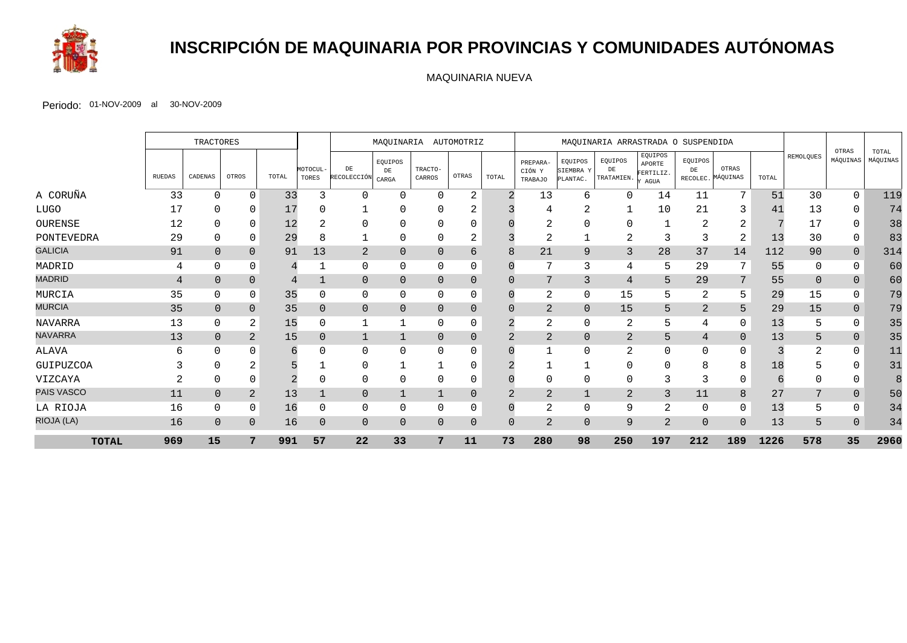

# **INSCRIPCIÓN DE MAQUINARIA POR PROVINCIAS Y COMUNIDADES AUTÓNOMAS**

MAQUINARIA NUEVA

|                |                | TRACTORES      |                |       |                   | MAQUINARIA AUTOMOTRIZ     |                               |                   | MAQUINARIA ARRASTRADA O SUSPENDIDA |          |                                      |                                  |                             |                                        |                           |                   |       |           |                   |                   |
|----------------|----------------|----------------|----------------|-------|-------------------|---------------------------|-------------------------------|-------------------|------------------------------------|----------|--------------------------------------|----------------------------------|-----------------------------|----------------------------------------|---------------------------|-------------------|-------|-----------|-------------------|-------------------|
|                | RUEDAS         | CADENAS        | OTROS          | TOTAL | MOTOCUL-<br>TORES | ${\rm DE}$<br>RECOLECCIÓN | EQUIPOS<br>$\rm{DE}$<br>CARGA | TRACTO-<br>CARROS | OTRAS                              | TOTAL    | PREPARA-<br>CIÓN Y<br><b>TRABAJO</b> | EQUIPOS<br>SIEMBRA Y<br>PLANTAC. | EQUIPOS<br>DE<br>TRATAMIEN. | EQUIPOS<br>APORTE<br>FERTILIZ.<br>AGUA | EQUIPOS<br>DE<br>RECOLEC. | OTRAS<br>MÁQUINAS | TOTAL | REMOLQUES | OTRAS<br>MÁQUINAS | TOTAL<br>MÁQUINAS |
| A CORUÑA       | 33             | $\Omega$       | $\Omega$       | 33    |                   | $\Omega$                  | $\Omega$                      | $\Omega$          | $\overline{2}$                     |          | 13                                   | 6                                | 0                           | 14                                     | 11                        | 7                 | 51    | 30        | $\Omega$          | 119               |
| <b>LUGO</b>    | 17             |                | 0              | 17    |                   |                           |                               |                   | ∠                                  |          |                                      | ◠<br>∠                           |                             | 10                                     | 21                        | 3                 | 41    | 13        |                   | 74                |
| OURENSE        | 12             |                |                | 12    |                   | 0                         | U                             | <sup>0</sup>      |                                    |          | ∠                                    | $\Omega$                         |                             |                                        |                           | 2                 |       | 17        |                   | 38                |
| PONTEVEDRA     | 29             | 0              | $\Omega$       | 29    |                   |                           | O                             | 0                 | 2                                  |          | $\overline{2}$                       |                                  | 2                           | 3                                      | 3                         | 2                 | 13    | 30        | $\Omega$          | 83                |
| <b>GALICIA</b> | 91             | $\overline{0}$ | $\Omega$       | 91    | 13                | $\overline{2}$            | $\Omega$                      | $\Omega$          | 6                                  | 8        | 21                                   | $\mathsf{Q}$                     | 3                           | 28                                     | 37                        | 14                | 112   | 90        | $\overline{0}$    | 314               |
| MADRID         | 4              | $\Omega$       | $\Omega$       | 4     |                   | $\mathbf 0$               | $\Omega$                      | $\Omega$          | 0                                  |          | $\mathbf{r}$                         | 3                                | 4                           | 5                                      | 29                        |                   | 55    | $\Omega$  |                   | 60                |
| <b>MADRID</b>  | $\overline{4}$ | $\Omega$       | $\Omega$       | 4     |                   | $\mathbf{0}$              | $\Omega$                      | $\Omega$          | $\overline{0}$                     |          | 7                                    | 3                                | $\overline{4}$              | 5                                      | 29                        | 7                 | 55    | $\Omega$  | $\overline{0}$    | 60                |
| MURCIA         | 35             | 0              | $\Omega$       | 35    |                   | 0                         | O                             | 0                 | 0                                  |          | 2                                    | $\mathbf 0$                      | 15                          | 5                                      | 2                         | 5                 | 29    | 15        | $\Omega$          | 79                |
| <b>MURCIA</b>  | 35             | $\mathbf{0}$   | $\Omega$       | 35    |                   | $\mathbf{0}$              | $\Omega$                      | $\Omega$          | $\Omega$                           |          | 2                                    | $\overline{0}$                   | 15                          | 5                                      | 2                         | 5                 | 29    | 15        | $\Omega$          | 79                |
| <b>NAVARRA</b> | 13             | 0              | 2              | 15    |                   | $\mathbf{1}$              |                               | 0                 | $\mathbf 0$                        |          | 2                                    | 0                                | $\overline{2}$              | 5                                      | 4                         | $\mathbf 0$       | 13    | 5         | $\Omega$          | 35                |
| <b>NAVARRA</b> | 13             | $\Omega$       | $\overline{2}$ | 15    | $\Omega$          | 1                         |                               | $\Omega$          | $\Omega$                           |          | 2                                    | $\overline{0}$                   | $\overline{2}$              | 5                                      | 4                         | $\Omega$          | 13    | 5         | $\overline{0}$    | 35                |
| ALAVA          | 6              | <sup>0</sup>   |                | 6     |                   | $\Omega$                  | U                             | <sup>0</sup>      |                                    |          |                                      | $\Omega$                         |                             | $\Omega$                               | ∩                         |                   |       |           |                   | 11                |
| GUIPUZCOA      |                | $\Omega$       | $\sim$         |       |                   | 0                         |                               |                   | $\Omega$                           |          |                                      |                                  |                             | $\Omega$                               | 8                         | 8                 | 18    |           |                   | 31                |
| VIZCAYA        |                | 0              | $\Omega$       |       |                   | 0                         | O                             | 0                 |                                    |          | 0                                    | 0                                | $\Omega$                    | 3                                      |                           | $\Omega$          |       |           |                   | 8                 |
| PAIS VASCO     | 11             | $\Omega$       | 2              | 13    |                   | $\mathbf{0}$              |                               |                   |                                    |          | 2                                    |                                  | 2                           | 3                                      | 11                        | 8                 | 27    |           | $\overline{0}$    | 50                |
| LA RIOJA       | 16             | $\Omega$       | $\Omega$       | 16    |                   | $\mathbf 0$               | O                             | $\Omega$          | $\Omega$                           |          | $\overline{a}$                       | $\Omega$                         | 9                           | $\overline{2}$                         |                           | $\Omega$          | 13    |           |                   | 34                |
| RIOJA (LA)     | 16             | $\Omega$       | $\Omega$       | 16    | $\Omega$          | $\mathbf{0}$              | $\Omega$                      | $\Omega$          | $\Omega$                           | $\Omega$ | $\overline{2}$                       | $\Omega$                         | 9                           | $\overline{2}$                         | $\Omega$                  | $\Omega$          | 13    | 5         | $\Omega$          | 34                |
| <b>TOTAL</b>   | 969            | 15             | 7              | 991   | 57                | 22                        | 33                            | 7                 | 11                                 | 73       | 280                                  | 98                               | 250                         | 197                                    | 212                       | 189               | 1226  | 578       | 35                | 2960              |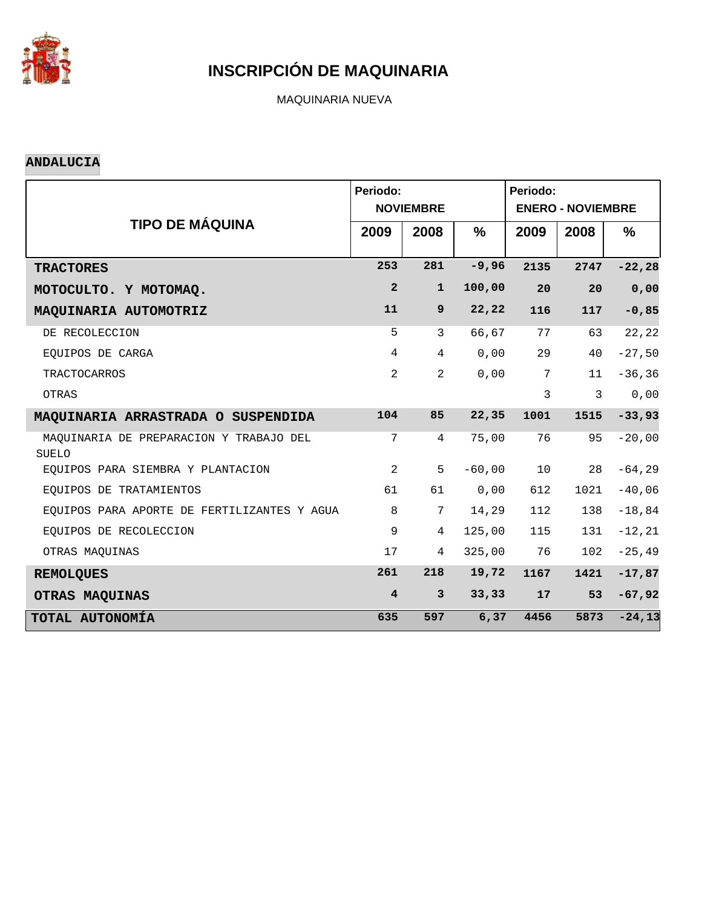

MAQUINARIA NUEVA

#### **ANDALUCIA**

|                                                  | Periodo:                | <b>NOVIEMBRE</b> | Periodo:<br><b>ENERO - NOVIEMBRE</b> |                |      |               |
|--------------------------------------------------|-------------------------|------------------|--------------------------------------|----------------|------|---------------|
| <b>TIPO DE MÁQUINA</b>                           | 2009                    | 2008             | $\frac{9}{6}$                        | 2009           | 2008 | $\frac{9}{6}$ |
| <b>TRACTORES</b>                                 | 253                     | 281              | $-9,96$                              | 2135           | 2747 | $-22, 28$     |
| MOTOCULTO. Y MOTOMAQ.                            | $\overline{a}$          | $\mathbf{1}$     | 100,00                               | 20             | 20   | 0,00          |
| MAQUINARIA AUTOMOTRIZ                            | 11                      | 9 <sup>°</sup>   | 22,22                                | 116            | 117  | $-0,85$       |
| DE RECOLECCION                                   | 5                       | 3                | 66,67                                | 77             | 63   | 22,22         |
| EQUIPOS DE CARGA                                 | $\overline{4}$          | $\overline{4}$   | 0,00                                 | 29             | 40   | $-27,50$      |
| <b>TRACTOCARROS</b>                              | 2                       | $\overline{2}$   | 0,00                                 | 7              | 11   | $-36, 36$     |
| OTRAS                                            |                         |                  |                                      | $\overline{3}$ | 3    | 0,00          |
| MAQUINARIA ARRASTRADA O SUSPENDIDA               | 104                     | 85               | 22,35                                | 1001           | 1515 | $-33,93$      |
| MAQUINARIA DE PREPARACION Y TRABAJO DEL<br>SUELO | 7                       | $\overline{4}$   | 75,00                                | 76             | 95   | $-20,00$      |
| EOUIPOS PARA SIEMBRA Y PLANTACION                | 2                       | 5                | $-60,00$                             | 10             | 28   | $-64, 29$     |
| EQUIPOS DE TRATAMIENTOS                          | 61                      | 61               | 0,00                                 | 612            | 1021 | $-40,06$      |
| EQUIPOS PARA APORTE DE FERTILIZANTES Y AGUA      | 8                       | 7                | 14,29                                | 112            | 138  | $-18,84$      |
| EOUIPOS DE RECOLECCION                           | 9                       | 4                | 125,00                               | 115            | 131  | $-12, 21$     |
| OTRAS MAQUINAS                                   | 17                      | 4                | 325,00                               | 76             | 102  | $-25, 49$     |
| <b>REMOLQUES</b>                                 | 261                     | 218              | 19,72                                | 1167           | 1421 | $-17,87$      |
| OTRAS MAQUINAS                                   | $\overline{\mathbf{4}}$ | $\mathbf{3}$     | 33, 33                               | 17             | 53   | $-67,92$      |
| TOTAL AUTONOMÍA                                  | 635                     | 597              | 6, 37                                | 4456           | 5873 | $-24,13$      |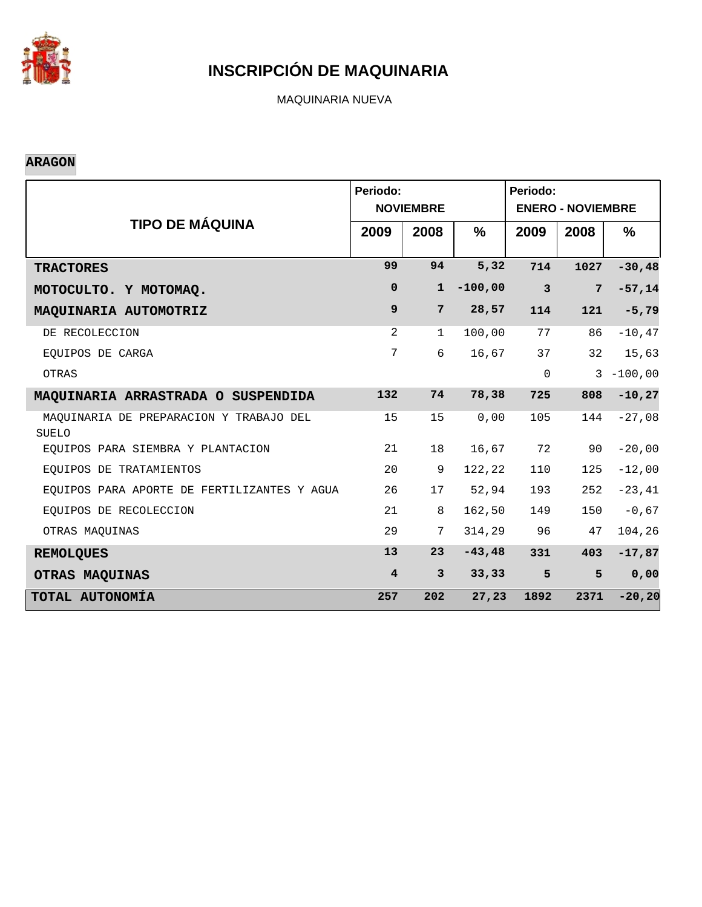

MAQUINARIA NUEVA

#### **ARAGON**

|                                                         | Periodo:                | <b>NOVIEMBRE</b> |           | Periodo:<br><b>ENERO - NOVIEMBRE</b> |                |              |  |
|---------------------------------------------------------|-------------------------|------------------|-----------|--------------------------------------|----------------|--------------|--|
| <b>TIPO DE MÁQUINA</b>                                  | 2009                    | 2008             | $\%$      | 2009                                 | 2008           | $\%$         |  |
| <b>TRACTORES</b>                                        | 99                      | 94               | 5,32      | 714                                  | 1027           | $-30,48$     |  |
| MOTOCULTO. Y MOTOMAQ.                                   | $\mathbf 0$             | $\mathbf{1}$     | $-100,00$ | $\mathbf{3}$                         | $7\phantom{.}$ | $-57,14$     |  |
| MAQUINARIA AUTOMOTRIZ                                   | 9                       | $7\phantom{.}$   | 28,57     | 114                                  | 121            | $-5,79$      |  |
| DE RECOLECCION                                          | 2                       | $\mathbf{1}$     | 100,00    | 77                                   | 86             | $-10,47$     |  |
| EOUIPOS DE CARGA                                        | 7                       | 6                | 16,67     | 37                                   | 32             | 15,63        |  |
| OTRAS                                                   |                         |                  |           | $\mathbf 0$                          |                | $3 - 100,00$ |  |
| MAQUINARIA ARRASTRADA O SUSPENDIDA                      | 132                     | 74               | 78,38     | 725                                  | 808            | $-10, 27$    |  |
| MAOUINARIA DE PREPARACION Y TRABAJO DEL<br><b>SUELO</b> | 15                      | 15               | 0,00      | 105                                  | 144            | $-27,08$     |  |
| EQUIPOS PARA SIEMBRA Y PLANTACION                       | 21                      | 18               | 16,67     | 72                                   | 90             | $-20,00$     |  |
| EQUIPOS DE TRATAMIENTOS                                 | 20                      | 9                | 122,22    | 110                                  | 125            | $-12,00$     |  |
| EQUIPOS PARA APORTE DE FERTILIZANTES Y AGUA             | 26                      | 17               | 52,94     | 193                                  | 252            | $-23, 41$    |  |
| EOUIPOS DE RECOLECCION                                  | 21                      | 8                | 162,50    | 149                                  | 150            | $-0,67$      |  |
| OTRAS MAQUINAS                                          | 29                      | $7\phantom{.0}$  | 314,29    | 96                                   | 47             | 104,26       |  |
| <b>REMOLQUES</b>                                        | 13                      | 23               | $-43, 48$ | 331                                  | 403            | $-17,87$     |  |
| <b>OTRAS MAQUINAS</b>                                   | $\overline{\mathbf{4}}$ | $\mathbf{3}$     | 33, 33    | 5                                    | 5              | 0,00         |  |
| TOTAL AUTONOMÍA                                         | 257                     | 202              | 27,23     | 1892                                 | 2371           | $-20, 20$    |  |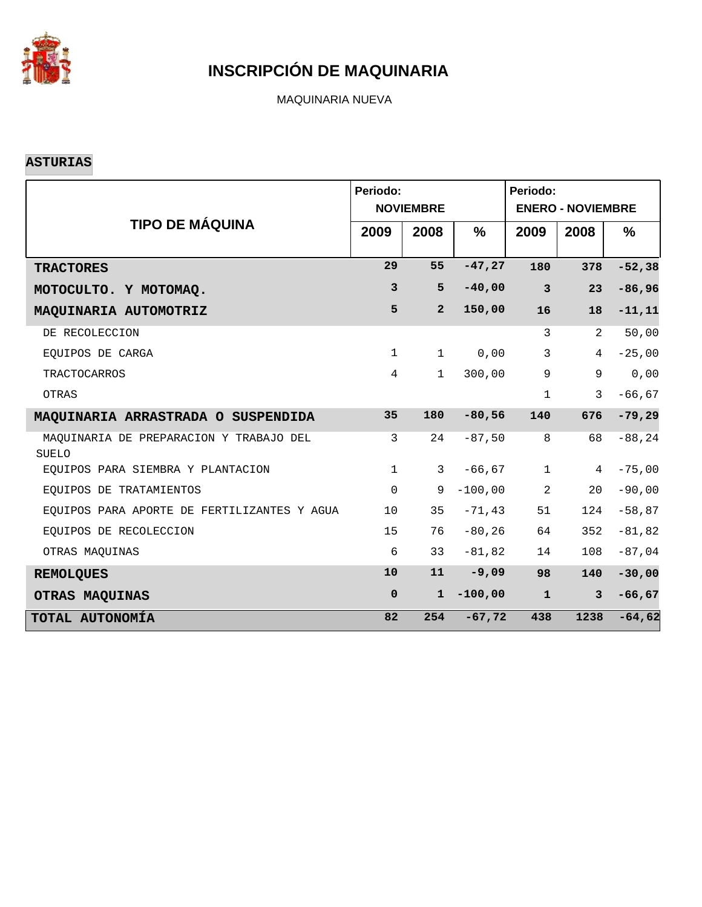

MAQUINARIA NUEVA

#### **ASTURIAS**

|                                                  | Periodo:            | <b>NOVIEMBRE</b> | Periodo:<br><b>ENERO - NOVIEMBRE</b> |                         |                |               |
|--------------------------------------------------|---------------------|------------------|--------------------------------------|-------------------------|----------------|---------------|
| <b>TIPO DE MÁQUINA</b>                           | 2009                | 2008             | $\frac{0}{0}$                        | 2009                    | 2008           | $\frac{9}{6}$ |
| <b>TRACTORES</b>                                 | 29                  | 55               | $-47,27$                             | 180                     | 378            | $-52,38$      |
| MOTOCULTO. Y MOTOMAQ.                            | $\mathbf{3}$        | 5                | $-40,00$                             | $\overline{\mathbf{3}}$ | 23             | $-86,96$      |
| MAQUINARIA AUTOMOTRIZ                            | 5                   | $\overline{2}$   | 150,00                               | 16                      | 18             | $-11, 11$     |
| DE RECOLECCION                                   |                     |                  |                                      | 3                       | 2              | 50,00         |
| EQUIPOS DE CARGA                                 | $\mathbf{1}$        | $\mathbf{1}$     | 0,00                                 | $\mathbf{3}$            | $\overline{4}$ | $-25,00$      |
| <b>TRACTOCARROS</b>                              | $\overline{4}$      | $\mathbf{1}$     | 300,00                               | 9                       | 9              | 0,00          |
| OTRAS                                            |                     |                  |                                      | $\mathbf{1}$            | 3              | $-66, 67$     |
| MAQUINARIA ARRASTRADA O SUSPENDIDA               | 35                  | 180              | $-80,56$                             | 140                     | 676            | $-79,29$      |
| MAQUINARIA DE PREPARACION Y TRABAJO DEL<br>SUELO | 3                   | 24               | $-87,50$                             | 8                       | 68             | $-88, 24$     |
| EOUIPOS PARA SIEMBRA Y PLANTACION                | $\mathbf{1}$        | $\mathbf{3}$     | $-66, 67$                            | $\mathbf{1}$            | 4              | $-75,00$      |
| EQUIPOS DE TRATAMIENTOS                          | $\mathsf{O}\xspace$ | 9                | $-100,00$                            | 2                       | 20             | $-90,00$      |
| EOUIPOS PARA APORTE DE FERTILIZANTES Y AGUA      | 10                  | 35               | $-71, 43$                            | 51                      | 124            | $-58,87$      |
| EQUIPOS DE RECOLECCION                           | 15                  | 76               | $-80, 26$                            | 64                      | 352            | $-81,82$      |
| OTRAS MAQUINAS                                   | 6                   | 33               | $-81,82$                             | 14                      | 108            | $-87,04$      |
| <b>REMOLQUES</b>                                 | 10                  | 11               | $-9,09$                              | 98                      | 140            | $-30,00$      |
| OTRAS MAQUINAS                                   | $\mathbf 0$         | $\mathbf{1}$     | $-100,00$                            | ${\bf 1}$               | $\mathbf{3}$   | $-66, 67$     |
| TOTAL AUTONOMÍA                                  | 82                  | 254              | $-67,72$                             | 438                     | 1238           | $-64,62$      |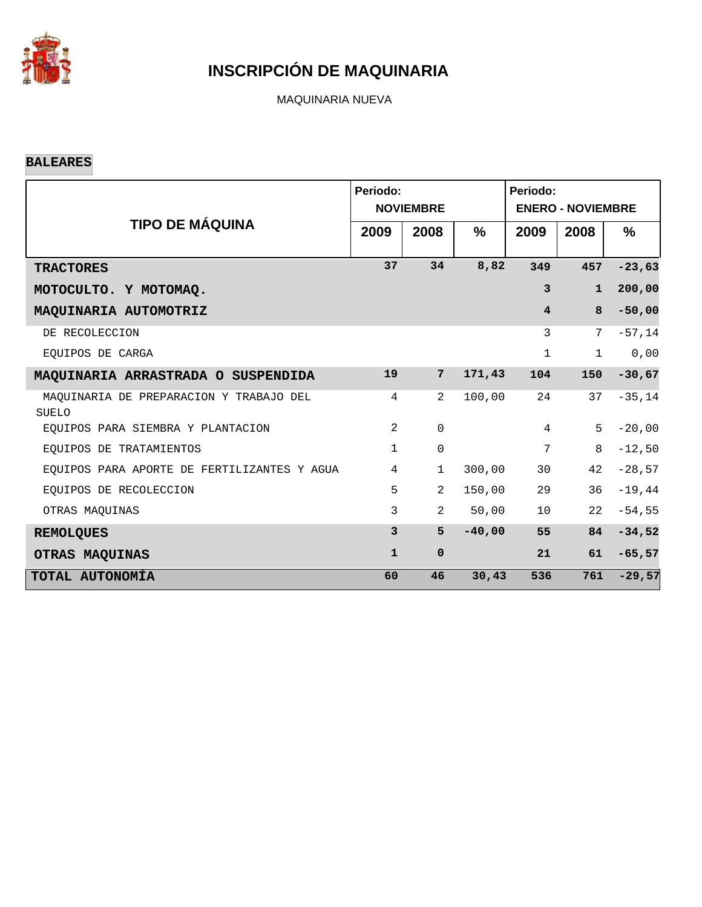

MAQUINARIA NUEVA

#### **BALEARES**

|                                                         | Periodo:       | <b>NOVIEMBRE</b> |          | Periodo:<br><b>ENERO - NOVIEMBRE</b> |              |          |  |
|---------------------------------------------------------|----------------|------------------|----------|--------------------------------------|--------------|----------|--|
| <b>TIPO DE MÁQUINA</b>                                  | 2009           | 2008             | %        | 2009                                 | 2008         | $\%$     |  |
| <b>TRACTORES</b>                                        | 37             | 34               | 8,82     | 349                                  | 457          | $-23,63$ |  |
| MOTOCULTO. Y MOTOMAQ.                                   |                |                  |          | $\mathbf{3}$                         | $\mathbf{1}$ | 200,00   |  |
| MAQUINARIA AUTOMOTRIZ                                   |                |                  |          | $\overline{\mathbf{4}}$              | 8            | $-50,00$ |  |
| DE RECOLECCION                                          |                |                  |          | 3                                    | 7            | $-57,14$ |  |
| EQUIPOS DE CARGA                                        |                |                  |          | $\mathbf{1}$                         | $\mathbf 1$  | 0,00     |  |
| MAQUINARIA ARRASTRADA O SUSPENDIDA                      | 19             | $7\phantom{.}$   | 171,43   | 104                                  | 150          | $-30,67$ |  |
| MAQUINARIA DE PREPARACION Y TRABAJO DEL<br><b>SUELO</b> | $\overline{4}$ | 2                | 100,00   | 24                                   | 37           | $-35,14$ |  |
| EQUIPOS PARA SIEMBRA Y PLANTACION                       | $\overline{2}$ | $\mathbf 0$      |          | $\overline{4}$                       | 5            | $-20,00$ |  |
| EOUIPOS DE TRATAMIENTOS                                 | $\mathbf{1}$   | 0                |          | 7                                    | 8            | $-12,50$ |  |
| EQUIPOS PARA APORTE DE FERTILIZANTES Y AGUA             | 4              | $\mathbf{1}$     | 300,00   | 30                                   | 42           | $-28,57$ |  |
| EQUIPOS DE RECOLECCION                                  | 5              | $\overline{2}$   | 150,00   | 29                                   | 36           | $-19,44$ |  |
| OTRAS MAQUINAS                                          | 3              | $\overline{2}$   | 50,00    | 10                                   | 22           | $-54,55$ |  |
| <b>REMOLQUES</b>                                        | 3              | 5                | $-40,00$ | 55                                   | 84           | $-34,52$ |  |
| OTRAS MAQUINAS                                          | $\mathbf{1}$   | $\mathbf 0$      |          | 21                                   | 61           | $-65,57$ |  |
| TOTAL AUTONOMÍA                                         | 60             | 46               | 30, 43   | 536                                  | 761          | $-29,57$ |  |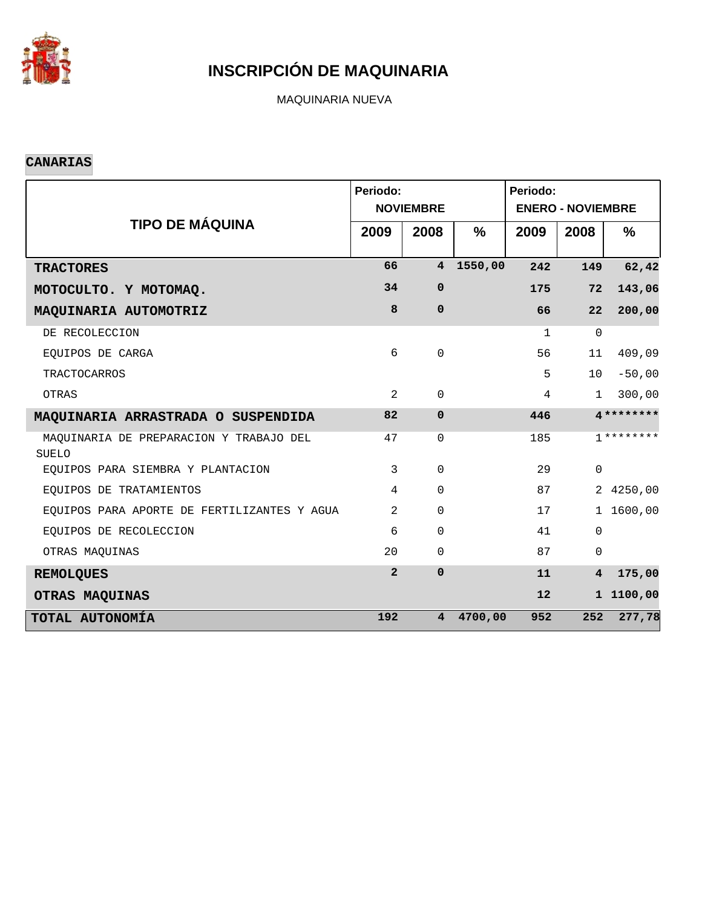

MAQUINARIA NUEVA

#### **CANARIAS**

|                                                         | Periodo:       | <b>NOVIEMBRE</b> |               | Periodo:<br><b>ENERO - NOVIEMBRE</b> |                         |               |  |
|---------------------------------------------------------|----------------|------------------|---------------|--------------------------------------|-------------------------|---------------|--|
| <b>TIPO DE MÁQUINA</b>                                  | 2009           | 2008             | $\frac{9}{6}$ | 2009                                 | 2008                    | $\frac{9}{6}$ |  |
| <b>TRACTORES</b>                                        | 66             | $\overline{4}$   | 1550,00       | 242                                  | 149                     | 62,42         |  |
| MOTOCULTO. Y MOTOMAQ.                                   | 34             | $\mathbf 0$      |               | 175                                  | 72                      | 143,06        |  |
| MAQUINARIA AUTOMOTRIZ                                   | 8              | $\mathbf 0$      |               | 66                                   | 22                      | 200,00        |  |
| DE RECOLECCION                                          |                |                  |               | $\mathbf{1}$                         | $\Omega$                |               |  |
| EQUIPOS DE CARGA                                        | 6              | $\Omega$         |               | 56                                   | 11                      | 409,09        |  |
| <b>TRACTOCARROS</b>                                     |                |                  |               | 5                                    | 10                      | $-50,00$      |  |
| OTRAS                                                   | 2              | $\Omega$         |               | $\overline{4}$                       | $\mathbf{1}$            | 300,00        |  |
| MAQUINARIA ARRASTRADA O SUSPENDIDA                      | 82             | $\mathbf 0$      |               | 446                                  |                         | $4*********$  |  |
| MAQUINARIA DE PREPARACION Y TRABAJO DEL<br><b>SUELO</b> | 47             | $\mathbf 0$      |               | 185                                  |                         | $7********$   |  |
| EQUIPOS PARA SIEMBRA Y PLANTACION                       | $\mathbf{3}$   | $\mathbf 0$      |               | 29                                   | $\mathbf 0$             |               |  |
| EQUIPOS DE TRATAMIENTOS                                 | $\overline{4}$ | $\Omega$         |               | 87                                   |                         | 2 4250,00     |  |
| EQUIPOS PARA APORTE DE FERTILIZANTES Y AGUA             | 2              | $\mathbf 0$      |               | 17                                   |                         | 1 1600,00     |  |
| EOUIPOS DE RECOLECCION                                  | 6              | $\Omega$         |               | 41                                   | $\mathbf 0$             |               |  |
| OTRAS MAQUINAS                                          | 20             | $\mathsf{O}$     |               | 87                                   | $\mathbf 0$             |               |  |
| <b>REMOLQUES</b>                                        | $\overline{2}$ | $\mathbf 0$      |               | 11                                   | $\overline{\mathbf{4}}$ | 175,00        |  |
| OTRAS MAQUINAS                                          |                |                  |               | 12                                   |                         | 1 1100,00     |  |
| TOTAL AUTONOMÍA                                         | 192            | 4                | 4700,00       | 952                                  | 252                     | 277,78        |  |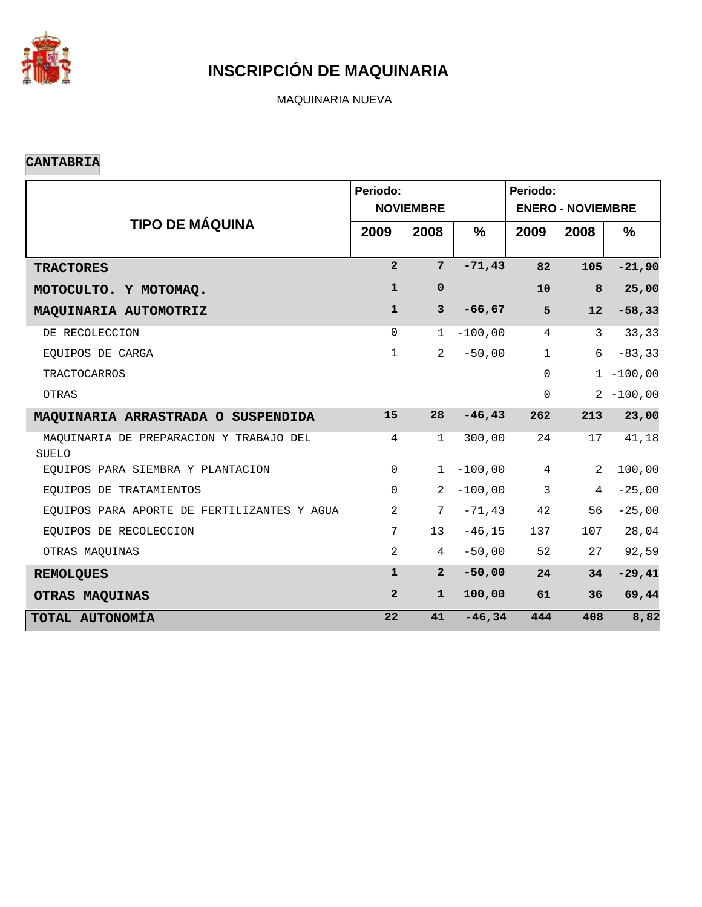

MAQUINARIA NUEVA

#### **CANTABRIA**

|                                                  | Periodo:       | <b>NOVIEMBRE</b> | Periodo:<br><b>ENERO - NOVIEMBRE</b> |                 |              |               |
|--------------------------------------------------|----------------|------------------|--------------------------------------|-----------------|--------------|---------------|
| <b>TIPO DE MÁQUINA</b>                           | 2009           | 2008             | $\frac{0}{0}$                        | 2009            | 2008         | $\frac{9}{6}$ |
| <b>TRACTORES</b>                                 | $\overline{2}$ | $7\overline{ }$  | $-71,43$                             | 82              | 105          | $-21,90$      |
| MOTOCULTO. Y MOTOMAQ.                            | $\mathbf{1}$   | $\mathbf 0$      |                                      | 10              | 8            | 25,00         |
| MAQUINARIA AUTOMOTRIZ                            | $\mathbf{1}$   | $\mathbf{3}$     | $-66, 67$                            | 5               | 12           | $-58,33$      |
| DE RECOLECCION                                   | $\mathbf 0$    | $\mathbf{1}$     | $-100,00$                            | $\overline{4}$  | $\mathbf{3}$ | 33,33         |
| EQUIPOS DE CARGA                                 | $\mathbf{1}$   | $\overline{a}$   | $-50,00$                             | $\mathbf{1}$    | 6            | $-83, 33$     |
| <b>TRACTOCARROS</b>                              |                |                  |                                      | $\Omega$        |              | $1 - 100,00$  |
| OTRAS                                            |                |                  |                                      | $\Omega$        |              | $2 - 100,00$  |
| MAQUINARIA ARRASTRADA O SUSPENDIDA               | 15             | 28               | $-46, 43$                            | 262             | 213          | 23,00         |
| MAQUINARIA DE PREPARACION Y TRABAJO DEL<br>SUELO | 4              | $\mathbf{1}$     | 300,00                               | 24              | 17           | 41,18         |
| EOUIPOS PARA SIEMBRA Y PLANTACION                | $\Omega$       | $\mathbf{1}$     | $-100,00$                            | $4\overline{ }$ | 2            | 100,00        |
| EQUIPOS DE TRATAMIENTOS                          | $\Omega$       | 2                | $-100,00$                            | $\mathbf{3}$    | 4            | $-25,00$      |
| EQUIPOS PARA APORTE DE FERTILIZANTES Y AGUA      | 2              | 7                | $-71,43$                             | 42              | 56           | $-25,00$      |
| EQUIPOS DE RECOLECCION                           | 7              | 13               | $-46, 15$                            | 137             | 107          | 28,04         |
| OTRAS MAQUINAS                                   | 2              | $\overline{4}$   | $-50,00$                             | 52              | 27           | 92,59         |
| <b>REMOLQUES</b>                                 | $\mathbf{1}$   | 2 <sup>1</sup>   | $-50,00$                             | 24              | 34           | $-29,41$      |
| OTRAS MAQUINAS                                   | $\overline{2}$ | $\mathbf{1}$     | 100,00                               | 61              | 36           | 69,44         |
| TOTAL AUTONOMÍA                                  | 22             | 41               | $-46, 34$                            | 444             | 408          | 8,82          |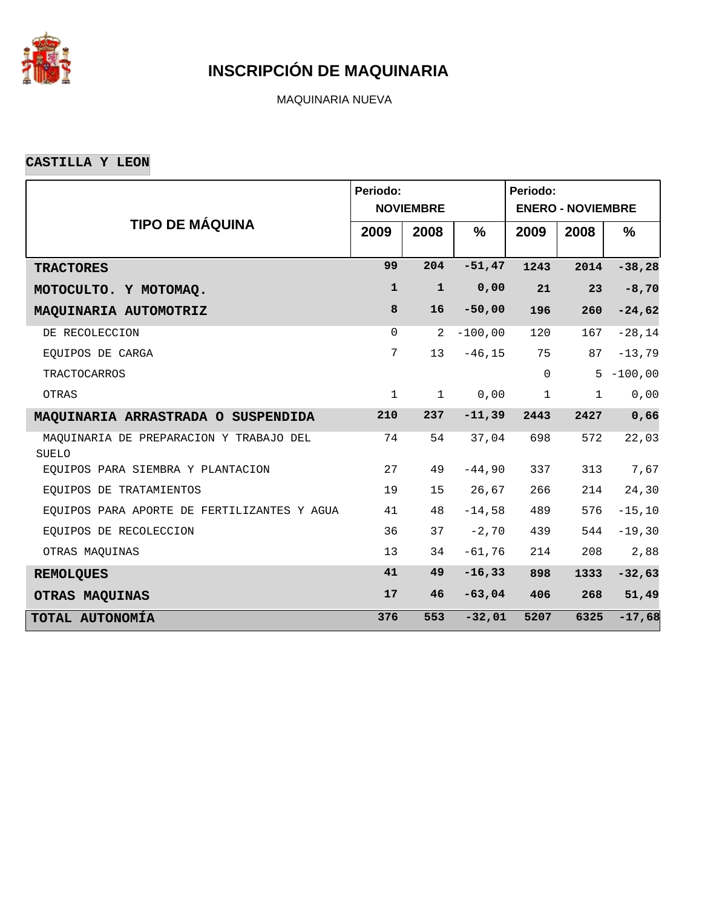

MAQUINARIA NUEVA

**CASTILLA Y LEON**

|                                                         | Periodo:     |                  |               | Periodo:     |                          |               |
|---------------------------------------------------------|--------------|------------------|---------------|--------------|--------------------------|---------------|
|                                                         |              | <b>NOVIEMBRE</b> |               |              | <b>ENERO - NOVIEMBRE</b> |               |
| <b>TIPO DE MÁQUINA</b>                                  | 2009         | 2008             | $\frac{9}{6}$ | 2009         | 2008                     | $\frac{9}{6}$ |
| <b>TRACTORES</b>                                        | 99           | 204              | $-51,47$      | 1243         | 2014                     | $-38,28$      |
| MOTOCULTO. Y MOTOMAQ.                                   | $\mathbf{1}$ | $\mathbf{1}$     | 0,00          | 21           | 23                       | $-8,70$       |
| MAQUINARIA AUTOMOTRIZ                                   | 8            | 16               | $-50,00$      | 196          | 260                      | $-24,62$      |
| DE RECOLECCION                                          | $\Omega$     | 2                | $-100,00$     | 120          | 167                      | $-28,14$      |
| EQUIPOS DE CARGA                                        | 7            | 13               | $-46, 15$     | 75           | 87                       | $-13,79$      |
| <b>TRACTOCARROS</b>                                     |              |                  |               | $\Omega$     | 5                        | $-100,00$     |
| OTRAS                                                   | $\mathbf 1$  | $\mathbf{1}$     | 0,00          | $\mathbf{1}$ | $\mathbf{1}$             | 0,00          |
| MAQUINARIA ARRASTRADA O SUSPENDIDA                      | 210          | 237              | $-11,39$      | 2443         | 2427                     | 0,66          |
| MAQUINARIA DE PREPARACION Y TRABAJO DEL<br><b>SUELO</b> | 74           | 54               | 37,04         | 698          | 572                      | 22,03         |
| EOUIPOS PARA SIEMBRA Y PLANTACION                       | 27           | 49               | $-44,90$      | 337          | 313                      | 7,67          |
| EQUIPOS DE TRATAMIENTOS                                 | 19           | 15               | 26,67         | 266          | 214                      | 24,30         |
| EQUIPOS PARA APORTE DE FERTILIZANTES Y AGUA             | 41           | 48               | $-14,58$      | 489          | 576                      | $-15, 10$     |
| EQUIPOS DE RECOLECCION                                  | 36           | 37               | $-2,70$       | 439          | 544                      | $-19,30$      |
| OTRAS MAQUINAS                                          | 13           | 34               | $-61,76$      | 214          | 208                      | 2,88          |
| <b>REMOLQUES</b>                                        | 41           | 49               | $-16, 33$     | 898          | 1333                     | $-32,63$      |
| OTRAS MAQUINAS                                          | 17           | 46               | $-63,04$      | 406          | 268                      | 51,49         |
| TOTAL AUTONOMÍA                                         | 376          | 553              | $-32,01$      | 5207         | 6325                     | $-17,68$      |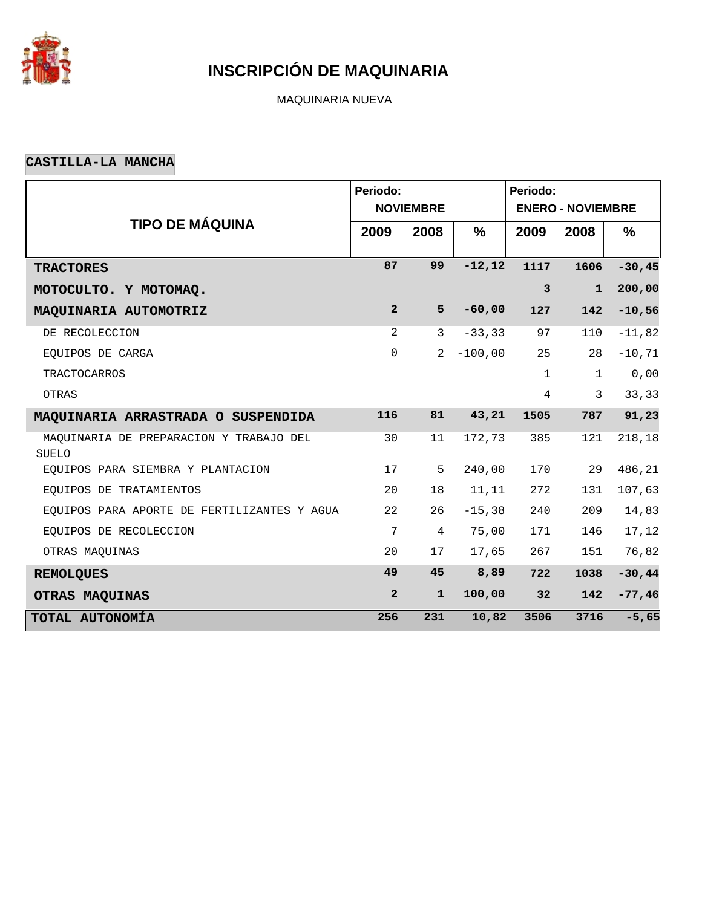

MAQUINARIA NUEVA

#### **CASTILLA-LA MANCHA**

|                                                         | Periodo:       |                  |               | Periodo:                 |              |               |  |  |  |  |
|---------------------------------------------------------|----------------|------------------|---------------|--------------------------|--------------|---------------|--|--|--|--|
|                                                         |                | <b>NOVIEMBRE</b> |               | <b>ENERO - NOVIEMBRE</b> |              |               |  |  |  |  |
| <b>TIPO DE MÁQUINA</b>                                  | 2009           | 2008             | $\frac{9}{6}$ | 2009                     | 2008         | $\frac{9}{6}$ |  |  |  |  |
| <b>TRACTORES</b>                                        | 87             | 99               | $-12, 12$     | 1117                     | 1606         | $-30, 45$     |  |  |  |  |
| MOTOCULTO. Y MOTOMAQ.                                   |                |                  |               | $\mathbf{3}$             | $\mathbf{1}$ | 200,00        |  |  |  |  |
| MAQUINARIA AUTOMOTRIZ                                   | $\overline{a}$ | 5                | $-60,00$      | 127                      | 142          | $-10,56$      |  |  |  |  |
| DE RECOLECCION                                          | 2              | $\mathbf{3}$     | $-33, 33$     | 97                       | 110          | $-11,82$      |  |  |  |  |
| EQUIPOS DE CARGA                                        | $\mathbf 0$    | 2                | $-100,00$     | 25                       | 28           | $-10, 71$     |  |  |  |  |
| <b>TRACTOCARROS</b>                                     |                |                  |               | $\mathbf{1}$             | $\mathbf 1$  | 0,00          |  |  |  |  |
| OTRAS                                                   |                |                  |               | $\overline{4}$           | 3            | 33,33         |  |  |  |  |
| MAQUINARIA ARRASTRADA O SUSPENDIDA                      | 116            | 81               | 43,21         | 1505                     | 787          | 91, 23        |  |  |  |  |
| MAQUINARIA DE PREPARACION Y TRABAJO DEL<br><b>SUELO</b> | 30             | 11               | 172,73        | 385                      | 121          | 218,18        |  |  |  |  |
| EQUIPOS PARA SIEMBRA Y PLANTACION                       | 17             | 5                | 240,00        | 170                      | 29           | 486,21        |  |  |  |  |
| EQUIPOS DE TRATAMIENTOS                                 | 20             | 18               | 11, 11        | 272                      | 131          | 107,63        |  |  |  |  |
| EQUIPOS PARA APORTE DE FERTILIZANTES Y AGUA             | 22             | 26               | $-15, 38$     | 240                      | 209          | 14,83         |  |  |  |  |
| EQUIPOS DE RECOLECCION                                  | 7              | 4                | 75,00         | 171                      | 146          | 17,12         |  |  |  |  |
| OTRAS MAQUINAS                                          | 20             | 17               | 17,65         | 267                      | 151          | 76,82         |  |  |  |  |
| <b>REMOLQUES</b>                                        | 49             | 45               | 8,89          | 722                      | 1038         | $-30,44$      |  |  |  |  |
| OTRAS MAQUINAS                                          | $\overline{a}$ | $\mathbf{1}$     | 100,00        | 32                       | 142          | $-77,46$      |  |  |  |  |
| TOTAL AUTONOMÍA                                         | 256            | 231              | 10,82         | 3506                     | 3716         | $-5,65$       |  |  |  |  |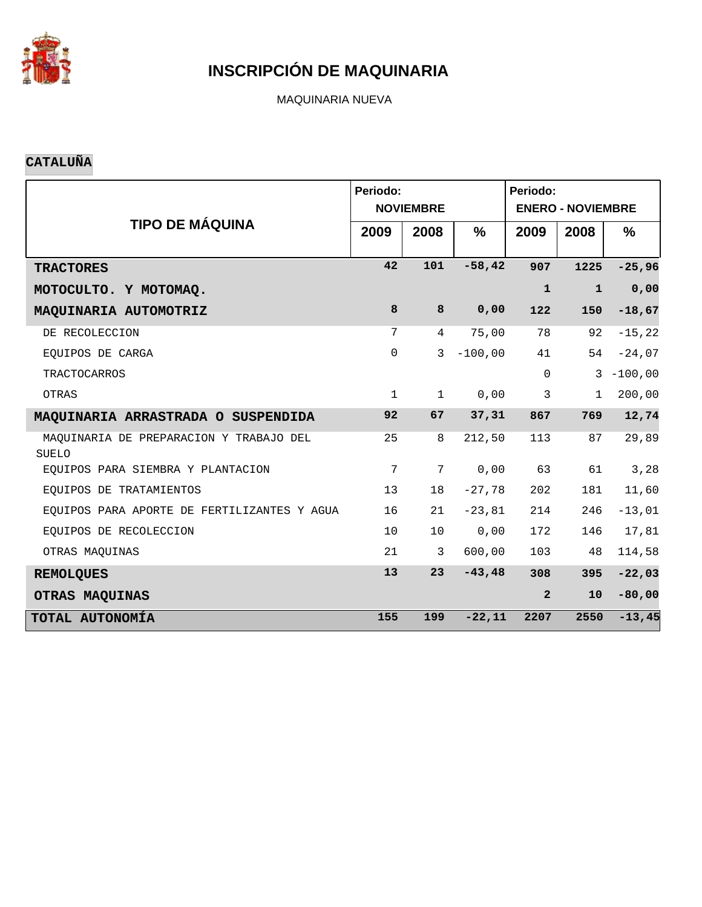

MAQUINARIA NUEVA

#### **CATALUÑA**

|                                                         | Periodo:     | <b>NOVIEMBRE</b> |               | Periodo:<br><b>ENERO - NOVIEMBRE</b> |              |              |  |  |  |
|---------------------------------------------------------|--------------|------------------|---------------|--------------------------------------|--------------|--------------|--|--|--|
| <b>TIPO DE MÁQUINA</b>                                  | 2009         | 2008             | $\frac{9}{6}$ | 2009                                 | 2008         | $\%$         |  |  |  |
| <b>TRACTORES</b>                                        | 42           | 101              | $-58,42$      | 907                                  | 1225         | $-25,96$     |  |  |  |
| MOTOCULTO. Y MOTOMAQ.                                   |              |                  |               | ${\bf 1}$                            | $\mathbf{1}$ | 0,00         |  |  |  |
| MAQUINARIA AUTOMOTRIZ                                   | 8            | 8                | 0,00          | 122                                  | 150          | $-18,67$     |  |  |  |
| DE RECOLECCION                                          | 7            | $\overline{4}$   | 75,00         | 78                                   | 92           | $-15, 22$    |  |  |  |
| EQUIPOS DE CARGA                                        | $\mathbf 0$  | $\mathbf{3}$     | $-100,00$     | 41                                   | 54           | $-24,07$     |  |  |  |
| <b>TRACTOCARROS</b>                                     |              |                  |               | $\mathbf 0$                          |              | $3 - 100,00$ |  |  |  |
| OTRAS                                                   | $\mathbf{1}$ | $\mathbf 1$      | 0,00          | 3                                    | $\mathbf{1}$ | 200,00       |  |  |  |
| MAQUINARIA ARRASTRADA O SUSPENDIDA                      | 92           | 67               | 37,31         | 867                                  | 769          | 12,74        |  |  |  |
| MAQUINARIA DE PREPARACION Y TRABAJO DEL<br><b>SUELO</b> | 25           | 8                | 212,50        | 113                                  | 87           | 29,89        |  |  |  |
| EOUIPOS PARA SIEMBRA Y PLANTACION                       | 7            | 7                | 0,00          | 63                                   | 61           | 3,28         |  |  |  |
| EQUIPOS DE TRATAMIENTOS                                 | 13           | 18               | $-27,78$      | 202                                  | 181          | 11,60        |  |  |  |
| EQUIPOS PARA APORTE DE FERTILIZANTES Y AGUA             | 16           | 21               | $-23,81$      | 214                                  | 246          | $-13,01$     |  |  |  |
| EQUIPOS DE RECOLECCION                                  | 10           | 10               | 0,00          | 172                                  | 146          | 17,81        |  |  |  |
| OTRAS MAQUINAS                                          | 21           | 3                | 600,00        | 103                                  | 48           | 114,58       |  |  |  |
| <b>REMOLQUES</b>                                        | 13           | 23               | $-43, 48$     | 308                                  | 395          | $-22,03$     |  |  |  |
| OTRAS MAQUINAS                                          |              |                  |               | $\overline{2}$                       | 10           | $-80,00$     |  |  |  |
| TOTAL AUTONOMÍA                                         | 155          | 199              | $-22,11$      | 2207                                 | 2550         | $-13, 45$    |  |  |  |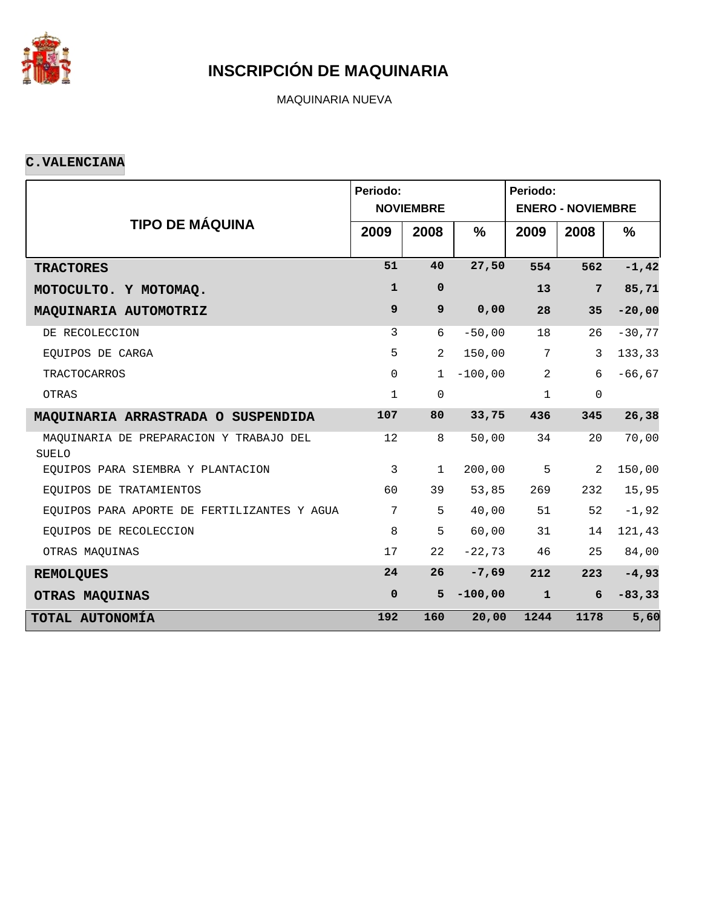

MAQUINARIA NUEVA

#### **C.VALENCIANA**

|                                                  | Periodo:         | <b>NOVIEMBRE</b> |               | Periodo:<br><b>ENERO - NOVIEMBRE</b> |                |               |  |  |  |
|--------------------------------------------------|------------------|------------------|---------------|--------------------------------------|----------------|---------------|--|--|--|
| <b>TIPO DE MÁQUINA</b>                           | 2009             | 2008             | $\frac{9}{6}$ | 2009                                 | 2008           | $\frac{9}{6}$ |  |  |  |
| <b>TRACTORES</b>                                 | 51               | 40               | 27,50         | 554                                  | 562            | $-1, 42$      |  |  |  |
| MOTOCULTO. Y MOTOMAQ.                            | $\mathbf{1}$     | $\mathbf 0$      |               | 13                                   | $7\phantom{.}$ | 85,71         |  |  |  |
| MAQUINARIA AUTOMOTRIZ                            | $\boldsymbol{9}$ | 9                | 0,00          | 28                                   | 35             | $-20,00$      |  |  |  |
| DE RECOLECCION                                   | 3                | 6                | $-50,00$      | 18                                   | 26             | $-30,77$      |  |  |  |
| EQUIPOS DE CARGA                                 | 5                | $\overline{2}$   | 150,00        | 7                                    | 3              | 133,33        |  |  |  |
| <b>TRACTOCARROS</b>                              | $\mathbf 0$      | $\mathbf{1}$     | $-100,00$     | 2                                    | 6              | $-66, 67$     |  |  |  |
| OTRAS                                            | $\mathbf{1}$     | $\mathbf 0$      |               | $\mathbf{1}$                         | $\mathbf 0$    |               |  |  |  |
| MAQUINARIA ARRASTRADA O SUSPENDIDA               | 107              | 80               | 33,75         | 436                                  | 345            | 26,38         |  |  |  |
| MAQUINARIA DE PREPARACION Y TRABAJO DEL<br>SUELO | 12               | 8                | 50,00         | 34                                   | 20             | 70,00         |  |  |  |
| EOUIPOS PARA SIEMBRA Y PLANTACION                | 3                | $\mathbf{1}$     | 200,00        | 5                                    | 2              | 150,00        |  |  |  |
| EQUIPOS DE TRATAMIENTOS                          | 60               | 39               | 53,85         | 269                                  | 232            | 15,95         |  |  |  |
| EQUIPOS PARA APORTE DE FERTILIZANTES Y AGUA      | 7                | 5                | 40,00         | 51                                   | 52             | $-1,92$       |  |  |  |
| EOUIPOS DE RECOLECCION                           | 8                | 5                | 60,00         | 31                                   | 14             | 121,43        |  |  |  |
| OTRAS MAQUINAS                                   | 17               | 22               | $-22,73$      | 46                                   | 25             | 84,00         |  |  |  |
| <b>REMOLQUES</b>                                 | 24               | 26               | $-7,69$       | 212                                  | 223            | $-4,93$       |  |  |  |
| OTRAS MAQUINAS                                   | $\mathbf 0$      | 5                | $-100,00$     | $\mathbf{1}$                         | 6              | $-83, 33$     |  |  |  |
| TOTAL AUTONOMÍA                                  | 192              | 160              | 20,00         | 1244                                 | 1178           | 5,60          |  |  |  |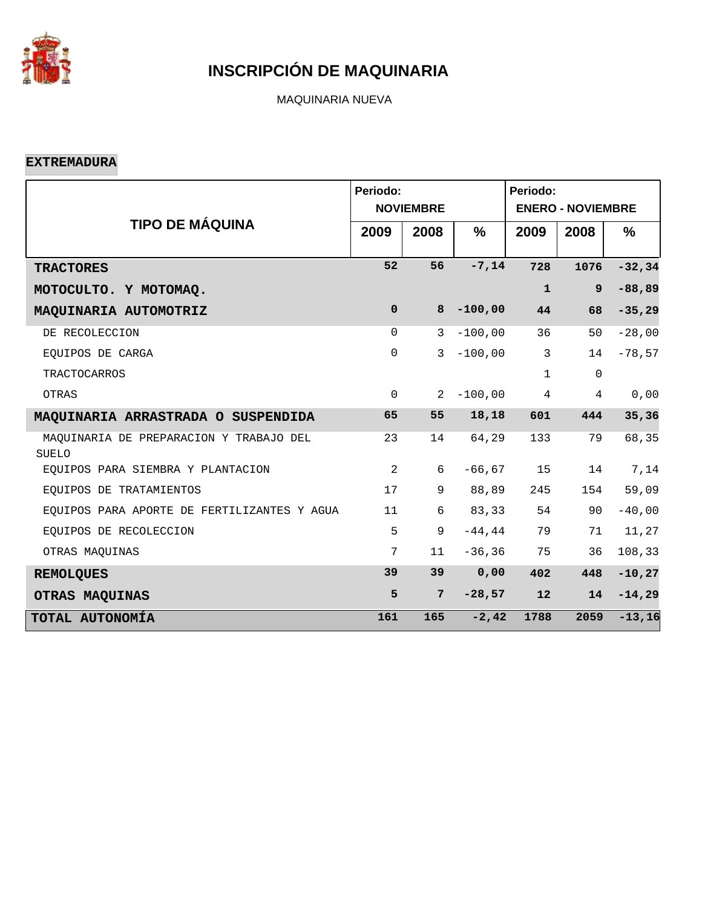

MAQUINARIA NUEVA

**EXTREMADURA**

|                                                  | Periodo:     | <b>NOVIEMBRE</b> |           | Periodo:<br><b>ENERO - NOVIEMBRE</b> |             |           |  |  |
|--------------------------------------------------|--------------|------------------|-----------|--------------------------------------|-------------|-----------|--|--|
| <b>TIPO DE MÁQUINA</b>                           | 2009         | 2008             | $\%$      | 2009                                 | 2008        | %         |  |  |
| <b>TRACTORES</b>                                 | 52           | 56               | $-7, 14$  | 728                                  | 1076        | $-32, 34$ |  |  |
| MOTOCULTO. Y MOTOMAQ.                            |              |                  |           | $\mathbf{1}$                         | 9           | $-88, 89$ |  |  |
| MAQUINARIA AUTOMOTRIZ                            | $\mathbf 0$  | 8                | $-100,00$ | 44                                   | 68          | $-35,29$  |  |  |
| DE RECOLECCION                                   | $\Omega$     | 3                | $-100,00$ | 36                                   | 50          | $-28,00$  |  |  |
| EQUIPOS DE CARGA                                 | $\mathsf{O}$ | 3                | $-100,00$ | $\mathbf{3}$                         | 14          | $-78,57$  |  |  |
| <b>TRACTOCARROS</b>                              |              |                  |           | $\mathbf{1}$                         | $\mathbf 0$ |           |  |  |
| OTRAS                                            | $\mathbf 0$  | 2                | $-100,00$ | $\overline{4}$                       | 4           | 0,00      |  |  |
| MAQUINARIA ARRASTRADA O SUSPENDIDA               | 65           | 55               | 18,18     | 601                                  | 444         | 35,36     |  |  |
| MAQUINARIA DE PREPARACION Y TRABAJO DEL<br>SUELO | 23           | 14               | 64,29     | 133                                  | 79          | 68,35     |  |  |
| EOUIPOS PARA SIEMBRA Y PLANTACION                | 2            | 6                | $-66, 67$ | 15                                   | 14          | 7,14      |  |  |
| EQUIPOS DE TRATAMIENTOS                          | 17           | 9                | 88,89     | 245                                  | 154         | 59,09     |  |  |
| EQUIPOS PARA APORTE DE FERTILIZANTES Y AGUA      | 11           | 6                | 83,33     | 54                                   | 90          | $-40,00$  |  |  |
| EOUIPOS DE RECOLECCION                           | 5            | 9                | $-44, 44$ | 79                                   | 71          | 11,27     |  |  |
| OTRAS MAQUINAS                                   | 7            | 11               | $-36, 36$ | 75                                   | 36          | 108,33    |  |  |
| <b>REMOLQUES</b>                                 | 39           | 39               | 0,00      | 402                                  | 448         | $-10, 27$ |  |  |
| OTRAS MAQUINAS                                   | 5            | $7\phantom{.}$   | $-28,57$  | 12                                   | 14          | $-14,29$  |  |  |
| TOTAL AUTONOMÍA                                  | 161          | 165              | $-2, 42$  | 1788                                 | 2059        | $-13,16$  |  |  |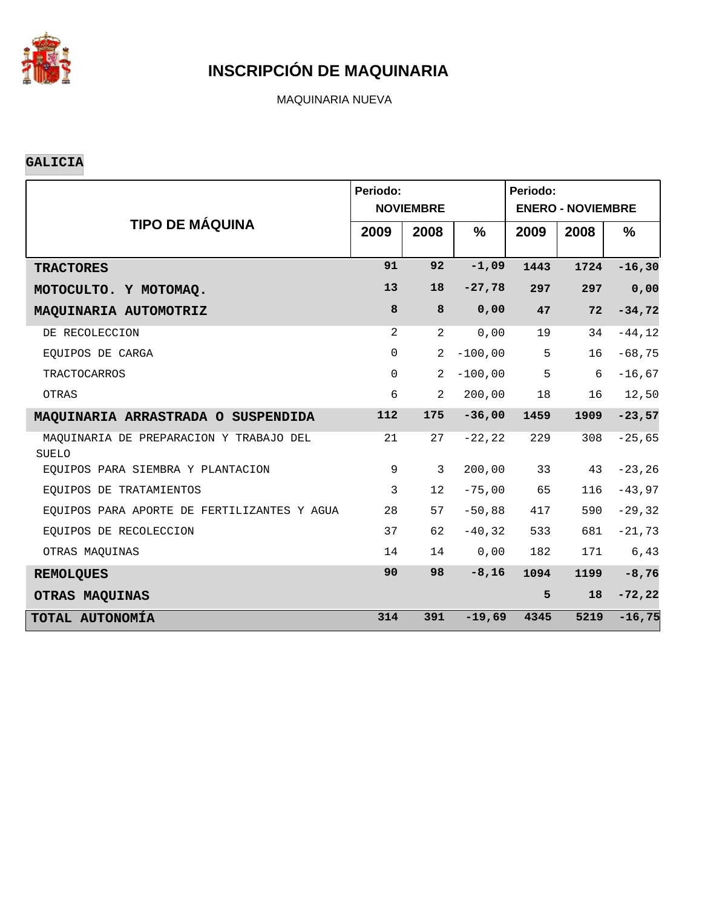

MAQUINARIA NUEVA

#### **GALICIA**

|                                                         | Periodo:     | <b>NOVIEMBRE</b> |           | Periodo:<br><b>ENERO - NOVIEMBRE</b> |      |               |  |  |  |
|---------------------------------------------------------|--------------|------------------|-----------|--------------------------------------|------|---------------|--|--|--|
| <b>TIPO DE MÁQUINA</b>                                  | 2009         | 2008             | $\%$      | 2009                                 | 2008 | $\frac{9}{6}$ |  |  |  |
| <b>TRACTORES</b>                                        | 91           | 92               | $-1,09$   | 1443                                 | 1724 | $-16, 30$     |  |  |  |
| MOTOCULTO. Y MOTOMAQ.                                   | 13           | 18               | $-27,78$  | 297                                  | 297  | 0,00          |  |  |  |
| MAQUINARIA AUTOMOTRIZ                                   | 8            | 8                | 0,00      | 47                                   | 72   | $-34,72$      |  |  |  |
| DE RECOLECCION                                          | 2            | $\overline{2}$   | 0,00      | 19                                   | 34   | $-44, 12$     |  |  |  |
| EOUIPOS DE CARGA                                        | $\mathsf{O}$ | $\overline{2}$   | $-100,00$ | 5                                    | 16   | $-68,75$      |  |  |  |
| <b>TRACTOCARROS</b>                                     | $\mathsf{O}$ | 2                | $-100,00$ | 5                                    | 6    | $-16,67$      |  |  |  |
| OTRAS                                                   | 6            | $\overline{2}$   | 200,00    | 18                                   | 16   | 12,50         |  |  |  |
| MAQUINARIA ARRASTRADA O SUSPENDIDA                      | 112          | 175              | $-36,00$  | 1459                                 | 1909 | $-23,57$      |  |  |  |
| MAQUINARIA DE PREPARACION Y TRABAJO DEL<br><b>SUELO</b> | 21           | 27               | $-22, 22$ | 229                                  | 308  | $-25,65$      |  |  |  |
| EQUIPOS PARA SIEMBRA Y PLANTACION                       | 9            | 3                | 200,00    | 33                                   | 43   | $-23, 26$     |  |  |  |
| EQUIPOS DE TRATAMIENTOS                                 | 3            | 12               | $-75,00$  | 65                                   | 116  | $-43,97$      |  |  |  |
| EQUIPOS PARA APORTE DE FERTILIZANTES Y AGUA             | 28           | 57               | $-50,88$  | 417                                  | 590  | $-29, 32$     |  |  |  |
| EOUIPOS DE RECOLECCION                                  | 37           | 62               | $-40, 32$ | 533                                  | 681  | $-21,73$      |  |  |  |
| OTRAS MAOUINAS                                          | 14           | 14               | 0,00      | 182                                  | 171  | 6,43          |  |  |  |
| <b>REMOLQUES</b>                                        | 90           | 98               | $-8,16$   | 1094                                 | 1199 | $-8,76$       |  |  |  |
| OTRAS MAQUINAS                                          |              |                  |           | 5                                    | 18   | $-72, 22$     |  |  |  |
| TOTAL AUTONOMÍA                                         | 314          | 391              | $-19,69$  | 4345                                 | 5219 | $-16,75$      |  |  |  |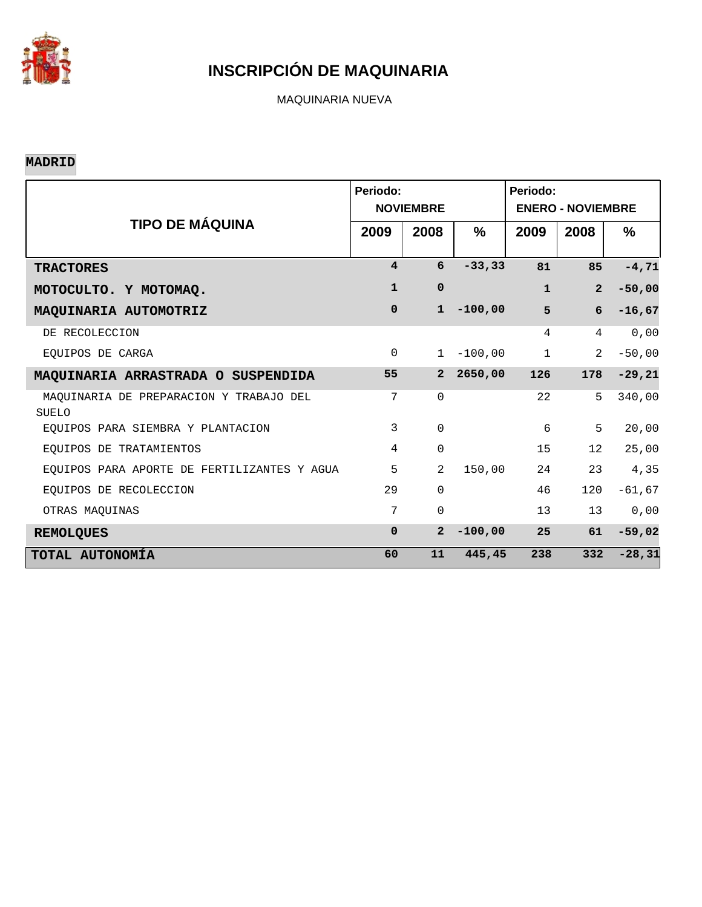

MAQUINARIA NUEVA

#### **MADRID**

|                                                         | Periodo:                | <b>NOVIEMBRE</b> |           | Periodo:<br><b>ENERO - NOVIEMBRE</b> |                 |               |  |  |
|---------------------------------------------------------|-------------------------|------------------|-----------|--------------------------------------|-----------------|---------------|--|--|
| <b>TIPO DE MÁQUINA</b>                                  | 2009                    | 2008             | %         | 2009                                 | 2008            | $\frac{0}{0}$ |  |  |
| <b>TRACTORES</b>                                        | $\overline{\mathbf{4}}$ | 6                | $-33, 33$ | 81                                   | 85              | $-4, 71$      |  |  |
| MOTOCULTO. Y MOTOMAQ.                                   | $\mathbf{1}$            | $\mathbf 0$      |           | $\mathbf{1}$                         | $\overline{2}$  | $-50,00$      |  |  |
| MAQUINARIA AUTOMOTRIZ                                   | $\Omega$                | $\mathbf{1}$     | $-100,00$ | 5                                    | 6               | $-16,67$      |  |  |
| DE RECOLECCION                                          |                         |                  |           | 4                                    | 4               | 0,00          |  |  |
| EOUIPOS DE CARGA                                        | $\mathbf 0$             | $\mathbf{1}$     | $-100,00$ | $\mathbf 1$                          | 2               | $-50,00$      |  |  |
| MAQUINARIA ARRASTRADA O SUSPENDIDA                      | 55                      | $\overline{2}$   | 2650,00   | 126                                  | 178             | $-29, 21$     |  |  |
| MAQUINARIA DE PREPARACION Y TRABAJO DEL<br><b>SUELO</b> | 7                       | $\Omega$         |           | 22                                   | 5               | 340,00        |  |  |
| EOUIPOS PARA SIEMBRA Y PLANTACION                       | 3                       | $\Omega$         |           | 6                                    | 5               | 20,00         |  |  |
| EOUIPOS DE TRATAMIENTOS                                 | $\overline{4}$          | $\mathbf 0$      |           | 15                                   | 12 <sup>°</sup> | 25,00         |  |  |
| EOUIPOS PARA APORTE DE FERTILIZANTES Y AGUA             | 5                       | $\overline{a}$   | 150,00    | 24                                   | 23              | 4,35          |  |  |
| EOUIPOS DE RECOLECCION                                  | 29                      | $\Omega$         |           | 46                                   | 120             | $-61,67$      |  |  |
| OTRAS MAQUINAS                                          | 7                       | $\Omega$         |           | 13                                   | 13              | 0,00          |  |  |
| <b>REMOLQUES</b>                                        | $\Omega$                | $\overline{a}$   | $-100,00$ | 25                                   | 61              | $-59,02$      |  |  |
| TOTAL AUTONOMÍA                                         | 60                      | 11               | 445,45    | 238                                  | 332             | $-28, 31$     |  |  |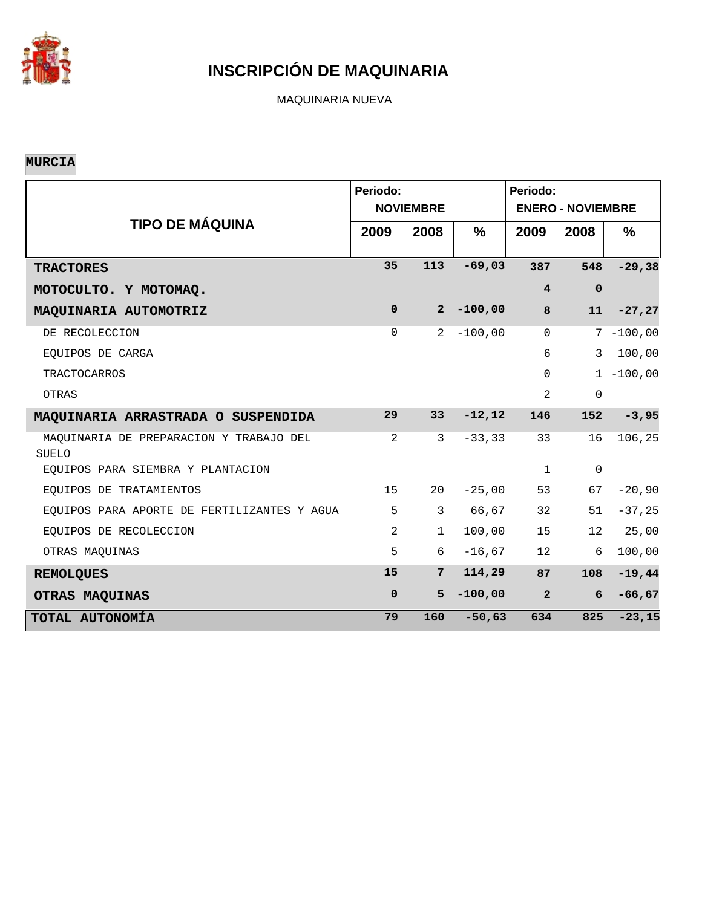

MAQUINARIA NUEVA

#### **MURCIA**

|                                                  | Periodo:    | <b>NOVIEMBRE</b> |               | Periodo:<br><b>ENERO - NOVIEMBRE</b> |             |              |  |  |  |
|--------------------------------------------------|-------------|------------------|---------------|--------------------------------------|-------------|--------------|--|--|--|
| <b>TIPO DE MÁQUINA</b>                           | 2009        | 2008             | $\frac{0}{0}$ | 2009                                 | 2008        | %            |  |  |  |
| <b>TRACTORES</b>                                 | 35          | 113              | $-69,03$      | 387                                  | 548         | $-29,38$     |  |  |  |
| MOTOCULTO. Y MOTOMAQ.                            |             |                  |               | $\overline{4}$                       | $\mathbf 0$ |              |  |  |  |
| MAQUINARIA AUTOMOTRIZ                            | $\mathbf 0$ | $2^{\circ}$      | $-100,00$     | 8                                    | 11          | $-27, 27$    |  |  |  |
| DE RECOLECCION                                   | $\Omega$    | $2^{1}$          | $-100,00$     | $\Omega$                             |             | $7 - 100,00$ |  |  |  |
| EQUIPOS DE CARGA                                 |             |                  |               | 6                                    | 3           | 100,00       |  |  |  |
| <b>TRACTOCARROS</b>                              |             |                  |               | $\Omega$                             |             | $1 - 100,00$ |  |  |  |
| OTRAS                                            |             |                  |               | 2                                    | $\mathsf 0$ |              |  |  |  |
| MAQUINARIA ARRASTRADA O SUSPENDIDA               | 29          | 33 <sup>2</sup>  | $-12, 12$     | 146                                  | 152         | $-3,95$      |  |  |  |
| MAQUINARIA DE PREPARACION Y TRABAJO DEL<br>SUELO | 2           | 3                | $-33, 33$     | 33                                   | 16          | 106,25       |  |  |  |
| EOUIPOS PARA SIEMBRA Y PLANTACION                |             |                  |               | $\mathbf{1}$                         | $\mathbf 0$ |              |  |  |  |
| EQUIPOS DE TRATAMIENTOS                          | 15          | 20               | $-25,00$      | 53                                   | 67          | $-20,90$     |  |  |  |
| EQUIPOS PARA APORTE DE FERTILIZANTES Y AGUA      | 5           | $\mathbf{3}$     | 66,67         | 32                                   | 51          | $-37,25$     |  |  |  |
| EQUIPOS DE RECOLECCION                           | 2           | $\mathbf 1$      | 100,00        | 15                                   | 12          | 25,00        |  |  |  |
| OTRAS MAQUINAS                                   | 5           | 6                | $-16,67$      | 12                                   | 6           | 100,00       |  |  |  |
| <b>REMOLQUES</b>                                 | 15          | $7\phantom{.}$   | 114,29        | 87                                   | 108         | $-19,44$     |  |  |  |
| OTRAS MAQUINAS                                   | $\mathbf 0$ | 5                | $-100,00$     | $\overline{a}$                       | 6           | $-66, 67$    |  |  |  |
| TOTAL AUTONOMÍA                                  | 79          | 160              | $-50,63$      | 634                                  | 825         | $-23,15$     |  |  |  |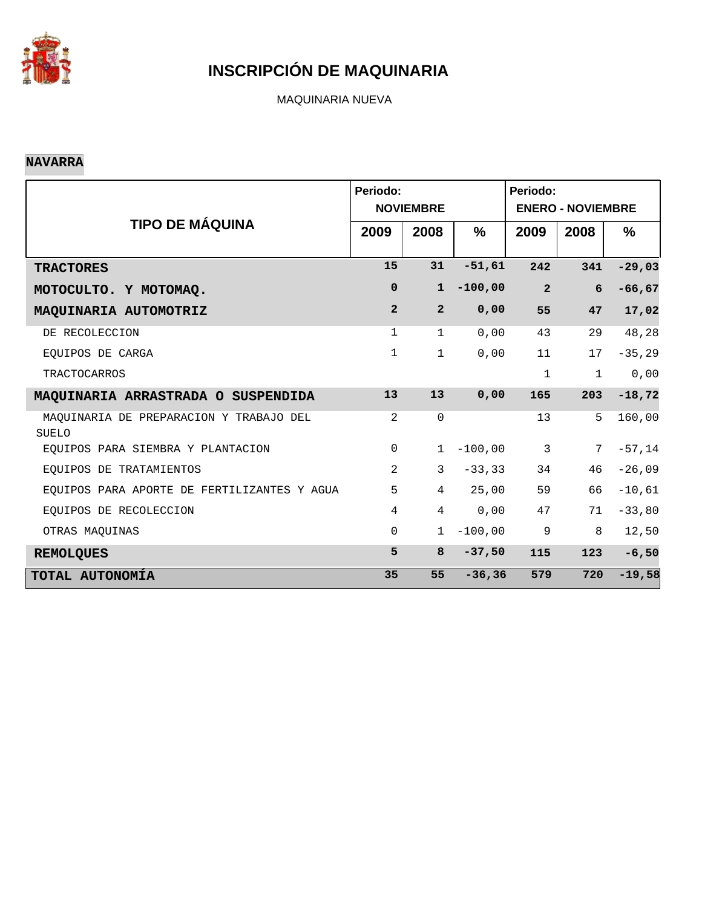

MAQUINARIA NUEVA

#### **NAVARRA**

|                                                         | Periodo:       | <b>NOVIEMBRE</b> |           | Periodo:<br><b>ENERO - NOVIEMBRE</b> |              |           |  |  |
|---------------------------------------------------------|----------------|------------------|-----------|--------------------------------------|--------------|-----------|--|--|
| <b>TIPO DE MÁQUINA</b>                                  | 2009           | 2008             | $\%$      | 2009                                 | 2008         | $\%$      |  |  |
| <b>TRACTORES</b>                                        | 15             | 31               | $-51,61$  | 242                                  | 341          | $-29,03$  |  |  |
| MOTOCULTO. Y MOTOMAQ.                                   | 0              | $\mathbf{1}$     | $-100,00$ | $\overline{2}$                       | 6            | $-66, 67$ |  |  |
| MAQUINARIA AUTOMOTRIZ                                   | $\overline{a}$ | $\overline{2}$   | 0,00      | 55                                   | 47           | 17,02     |  |  |
| DE RECOLECCION                                          | 1              | $\mathbf{1}$     | 0,00      | 43                                   | 29           | 48,28     |  |  |
| EOUIPOS DE CARGA                                        | $\mathbf 1$    | $\mathbf{1}$     | 0,00      | 11                                   | 17           | $-35, 29$ |  |  |
| <b>TRACTOCARROS</b>                                     |                |                  |           | $\mathbf{1}$                         | $\mathbf{1}$ | 0,00      |  |  |
| MAQUINARIA ARRASTRADA O SUSPENDIDA                      | 13             | 13               | 0,00      | 165                                  | 203          | $-18,72$  |  |  |
| MAQUINARIA DE PREPARACION Y TRABAJO DEL<br><b>SUELO</b> | 2              | $\mathbf 0$      |           | 13                                   | 5            | 160,00    |  |  |
| EQUIPOS PARA SIEMBRA Y PLANTACION                       | $\mathsf{O}$   | $\mathbf{1}$     | $-100,00$ | $\mathbf{3}$                         | 7            | $-57,14$  |  |  |
| EQUIPOS DE TRATAMIENTOS                                 | $\overline{2}$ | 3                | $-33, 33$ | 34                                   | 46           | $-26,09$  |  |  |
| EQUIPOS PARA APORTE DE FERTILIZANTES Y AGUA             | 5              | $\overline{4}$   | 25,00     | 59                                   | 66           | $-10,61$  |  |  |
| EQUIPOS DE RECOLECCION                                  | $\overline{4}$ | $\overline{4}$   | 0,00      | 47                                   | 71           | $-33,80$  |  |  |
| OTRAS MAQUINAS                                          | $\Omega$       | 1                | $-100,00$ | 9                                    | 8            | 12,50     |  |  |
| <b>REMOLQUES</b>                                        | 5              | 8                | $-37,50$  | 115                                  | 123          | $-6,50$   |  |  |
| TOTAL AUTONOMÍA                                         | 35             | 55               | $-36, 36$ | 579                                  | 720          | $-19,58$  |  |  |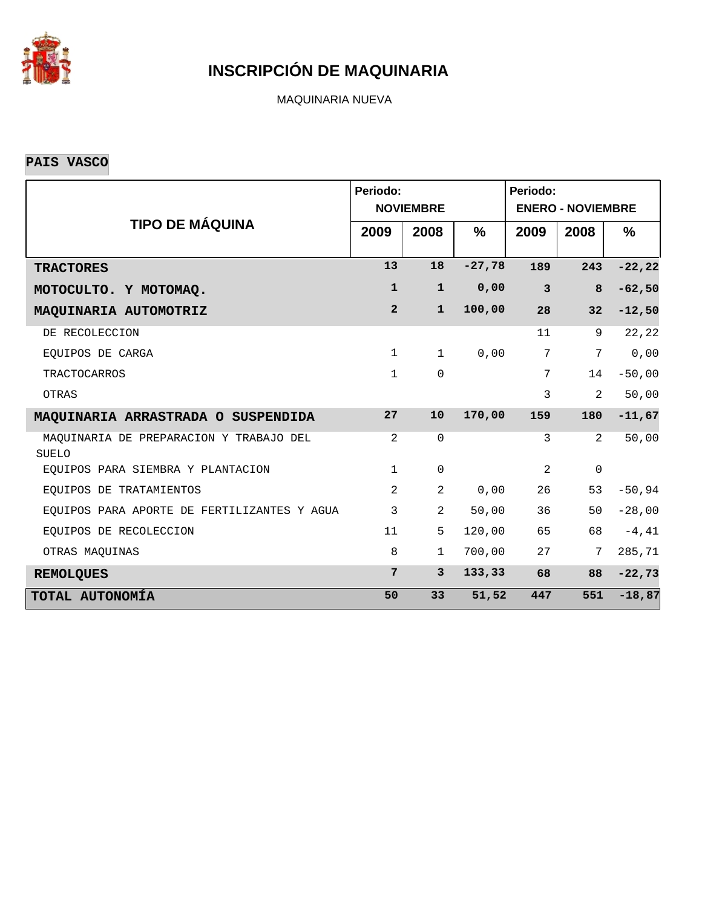

MAQUINARIA NUEVA

**PAIS VASCO**

|                                                         | Periodo:       | <b>NOVIEMBRE</b> |               | Periodo:<br><b>ENERO - NOVIEMBRE</b> |                 |           |  |  |  |
|---------------------------------------------------------|----------------|------------------|---------------|--------------------------------------|-----------------|-----------|--|--|--|
| <b>TIPO DE MÁQUINA</b>                                  | 2009           | 2008             | $\frac{9}{6}$ | 2009                                 | 2008            | $\%$      |  |  |  |
| <b>TRACTORES</b>                                        | 13             | 18               | $-27,78$      | 189                                  | 243             | $-22, 22$ |  |  |  |
| MOTOCULTO. Y MOTOMAQ.                                   | $\mathbf{1}$   | $\mathbf{1}$     | 0,00          | $\mathbf{3}$                         | 8               | $-62,50$  |  |  |  |
| MAQUINARIA AUTOMOTRIZ                                   | $\overline{2}$ | $\mathbf{1}$     | 100,00        | 28                                   | 32              | $-12,50$  |  |  |  |
| DE RECOLECCION                                          |                |                  |               | 11                                   | 9               | 22,22     |  |  |  |
| EOUIPOS DE CARGA                                        | $\mathbf{1}$   | $\mathbf 1$      | 0,00          | 7                                    | $7\phantom{.0}$ | 0,00      |  |  |  |
| <b>TRACTOCARROS</b>                                     | $\mathbf{1}$   | $\Omega$         |               | 7                                    | 14              | $-50,00$  |  |  |  |
| OTRAS                                                   |                |                  |               | 3                                    | $\overline{2}$  | 50,00     |  |  |  |
| MAQUINARIA ARRASTRADA O SUSPENDIDA                      | 27             | 10               | 170,00        | 159                                  | 180             | $-11,67$  |  |  |  |
| MAQUINARIA DE PREPARACION Y TRABAJO DEL<br><b>SUELO</b> | 2              | $\mathbf 0$      |               | 3                                    | 2               | 50,00     |  |  |  |
| EQUIPOS PARA SIEMBRA Y PLANTACION                       | $\mathbf{1}$   | $\mathbf 0$      |               | 2                                    | $\mathsf 0$     |           |  |  |  |
| EOUIPOS DE TRATAMIENTOS                                 | 2              | $\overline{2}$   | 0,00          | 26                                   | 53              | $-50,94$  |  |  |  |
| EQUIPOS PARA APORTE DE FERTILIZANTES Y AGUA             | 3              | $\overline{2}$   | 50,00         | 36                                   | 50              | $-28,00$  |  |  |  |
| EQUIPOS DE RECOLECCION                                  | 11             | 5                | 120,00        | 65                                   | 68              | $-4, 41$  |  |  |  |
| OTRAS MAQUINAS                                          | 8              | $\mathbf{1}$     | 700,00        | 27                                   | 7               | 285,71    |  |  |  |
| <b>REMOLQUES</b>                                        | 7              | $\mathbf{3}$     | 133, 33       | 68                                   | 88              | $-22,73$  |  |  |  |
| TOTAL AUTONOMÍA                                         | 50             | 33               | 51,52         | 447                                  | 551             | $-18,87$  |  |  |  |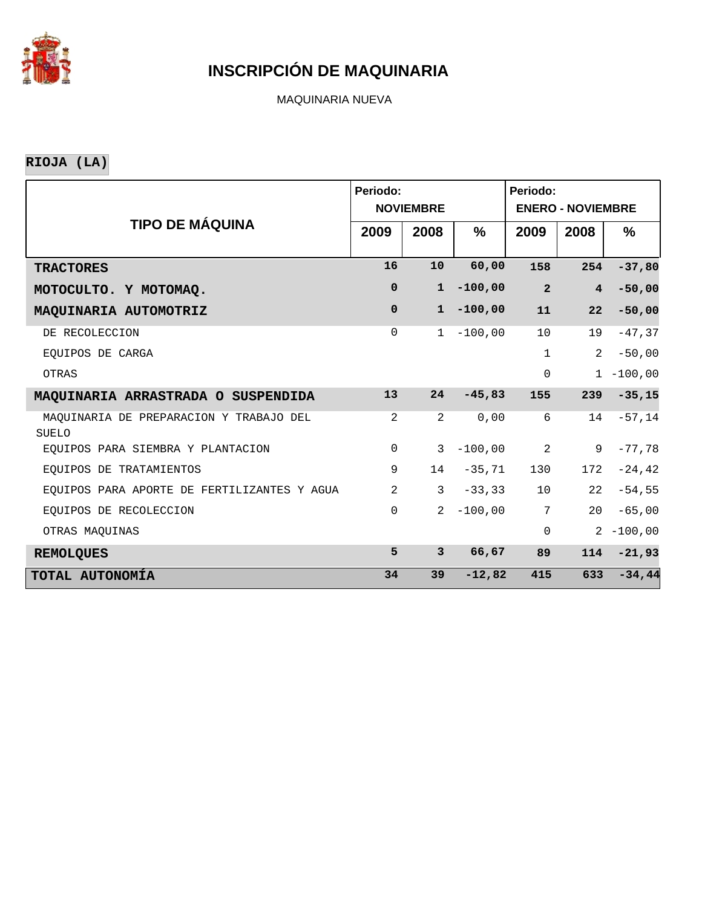

MAQUINARIA NUEVA

**RIOJA (LA)**

|                                                  | Periodo:       | <b>NOVIEMBRE</b> |           | Periodo:<br><b>ENERO - NOVIEMBRE</b> |                |              |  |  |
|--------------------------------------------------|----------------|------------------|-----------|--------------------------------------|----------------|--------------|--|--|
| <b>TIPO DE MÁQUINA</b>                           | 2009           | 2008             | %         | 2009                                 | 2008           | $\%$         |  |  |
| <b>TRACTORES</b>                                 | 16             | 10               | 60,00     | 158                                  | 254            | $-37,80$     |  |  |
| MOTOCULTO. Y MOTOMAQ.                            | $\mathbf 0$    | $\mathbf{1}$     | $-100,00$ | $\overline{a}$                       | $\overline{4}$ | $-50,00$     |  |  |
| MAQUINARIA AUTOMOTRIZ                            | $\mathbf 0$    | $\mathbf{1}$     | $-100,00$ | 11                                   | 22             | $-50,00$     |  |  |
| DE RECOLECCION                                   | $\mathbf 0$    | $\mathbf 1$      | $-100,00$ | 10                                   | 19             | $-47, 37$    |  |  |
| EOUIPOS DE CARGA                                 |                |                  |           | $\mathbf{1}$                         | 2              | $-50,00$     |  |  |
| OTRAS                                            |                |                  |           | $\Omega$                             |                | $1 - 100,00$ |  |  |
| MAQUINARIA ARRASTRADA O SUSPENDIDA               | 13             | 24               | $-45,83$  | 155                                  | 239            | $-35,15$     |  |  |
| MAQUINARIA DE PREPARACION Y TRABAJO DEL<br>SUELO | 2              | $\overline{2}$   | 0,00      | 6                                    | 14             | $-57,14$     |  |  |
| EOUIPOS PARA SIEMBRA Y PLANTACION                | $\mathbf 0$    | 3                | $-100,00$ | 2                                    | 9              | $-77,78$     |  |  |
| EOUIPOS DE TRATAMIENTOS                          | 9              | 14               | $-35,71$  | 130                                  | 172            | $-24, 42$    |  |  |
| EQUIPOS PARA APORTE DE FERTILIZANTES Y AGUA      | $\overline{2}$ | $\mathbf{3}$     | $-33, 33$ | 10 <sup>°</sup>                      | 22             | $-54,55$     |  |  |
| EOUIPOS DE RECOLECCION                           | $\Omega$       | 2                | $-100,00$ | $\overline{7}$                       | 20             | $-65,00$     |  |  |
| OTRAS MAQUINAS                                   |                |                  |           | $\mathbf 0$                          | $\overline{a}$ | $-100,00$    |  |  |
| <b>REMOLQUES</b>                                 | 5              | 3                | 66,67     | 89                                   | 114            | $-21,93$     |  |  |
| TOTAL AUTONOMÍA                                  | 34             | 39               | $-12,82$  | 415                                  | 633            | $-34,44$     |  |  |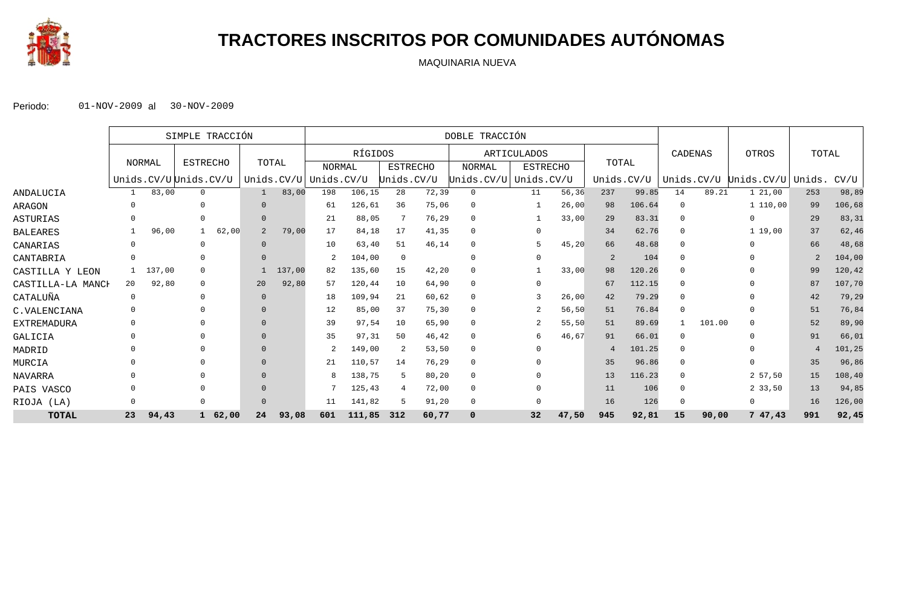

## **TRACTORES INSCRITOS POR COMUNIDADES AUTÓNOMAS**

MAQUINARIA NUEVA

|                   |          |        | SIMPLE TRACCIÓN       |           |       |        | DOBLE TRACCIÓN        |         |                 |       |               |  |                    |       |            |        |          |        |                       |                |         |
|-------------------|----------|--------|-----------------------|-----------|-------|--------|-----------------------|---------|-----------------|-------|---------------|--|--------------------|-------|------------|--------|----------|--------|-----------------------|----------------|---------|
|                   |          |        |                       |           |       |        |                       | RÍGIDOS |                 |       |               |  | <b>ARTICULADOS</b> |       |            |        | CADENAS  |        | OTROS                 | TOTAL          |         |
|                   |          | NORMAL | <b>ESTRECHO</b>       |           | TOTAL |        | <b>NORMAL</b>         |         | <b>ESTRECHO</b> |       | <b>NORMAL</b> |  | <b>ESTRECHO</b>    |       | TOTAL      |        |          |        |                       |                |         |
|                   |          |        | Unids.CV/U Unids.CV/U |           |       |        | Unids.CV/U Unids.CV/U |         | Unids.CV/U      |       | Unids.CV/U    |  | Unids.CV/U         |       | Unids.CV/U |        |          |        | Unids.CV/U Unids.CV/U | Unids.         | CV/U    |
| ANDALUCIA         |          | 83,00  | $\mathbf{0}$          |           |       | 83,00  | 198                   | 106,15  | 28              | 72,39 | $\mathbf{0}$  |  | 11                 | 56,36 | 237        | 99.85  | 14       | 89.21  | 1, 21, 00             | 253            | 98,89   |
| ARAGON            |          |        |                       |           |       |        | 61                    | 126,61  | 36              | 75,06 | $\Omega$      |  |                    | 26,00 | 98         | 106.64 | - 0      |        | 1 110,00              | 99             | 106,68  |
| ASTURIAS          |          |        |                       |           |       |        | 21                    | 88,05   |                 | 76,29 | $\mathbf{0}$  |  |                    | 33,00 | 29         | 83.31  | $\Omega$ |        | $\Omega$              | 29             | 83,31   |
| BALEARES          |          | 96,00  |                       | 62,00     | 2     | 79,00  | 17                    | 84,18   | 17              | 41,35 | $\Omega$      |  | $\Omega$           |       | 34         | 62.76  | $\Omega$ |        | 119,00                | 37             | 62,46   |
| CANARIAS          |          |        |                       |           |       |        | 10                    | 63,40   | 51              | 46,14 | $\mathbf{0}$  |  |                    | 45,20 | 66         | 48.68  |          |        |                       | 66             | 48,68   |
| CANTABRIA         |          |        |                       |           |       |        |                       | 104,00  | $\mathbf 0$     |       | $\mathbf{0}$  |  |                    |       | 2          | 104    | $\Omega$ |        |                       | $\overline{2}$ | 104,00  |
| CASTILLA Y LEON   |          | 137,00 | $\Omega$              |           |       | 137,00 | 82                    | 135,60  | 15              | 42,20 | $\Omega$      |  |                    | 33,00 | 98         | 120.26 |          |        |                       | 99             | 120,42  |
| CASTILLA-LA MANCH | 20       | 92,80  | $\Omega$              |           | 20    | 92,80  | 57                    | 120,44  | 10              | 64,90 | $\mathbf 0$   |  |                    |       | 67         | 112.15 | $\Omega$ |        |                       | 87             | 107,70  |
| CATALUÑA          | $\Omega$ |        | $\Omega$              |           |       |        | 18                    | 109,94  | 21              | 60,62 | $\Omega$      |  |                    | 26,00 | 42         | 79.29  |          |        |                       | 42             | 79,29   |
| C.VALENCIANA      |          |        |                       |           |       |        | 12                    | 85,00   | 37              | 75,30 | $\mathbf{0}$  |  |                    | 56,50 | 51         | 76.84  | $\Omega$ |        |                       | 51             | 76,84   |
| EXTREMADURA       |          |        |                       |           |       |        | 39                    | 97,54   | 10              | 65,90 | 0             |  |                    | 55,50 | 51         | 89.69  |          | 101.00 |                       | 52             | 89,90   |
| GALICIA           |          |        |                       |           |       |        | 35                    | 97,31   | 50              | 46,42 | $\Omega$      |  | 6                  | 46,67 | 91         | 66.01  | $\Omega$ |        |                       | 91             | 66,01   |
| MADRID            |          |        |                       |           |       |        |                       | 149,00  | -2              | 53,50 | $\mathbf{0}$  |  |                    |       | 4          | 101.25 | $\Omega$ |        |                       | 4              | 101,25  |
| MURCIA            |          |        |                       |           |       |        | 21                    | 110,57  | 14              | 76,29 | $\mathbf{0}$  |  |                    |       | 35         | 96.86  | $\Omega$ |        |                       | 35             | 96,86   |
| NAVARRA           |          |        |                       |           |       |        |                       | 138,75  | .5              | 80,20 | $\mathbf{0}$  |  |                    |       | 13         | 116.23 |          |        | 2 57,50               | 15             | 108, 40 |
| PAIS VASCO        |          |        |                       |           |       |        |                       | 125,43  | 4               | 72,00 | $\mathbf{0}$  |  |                    |       | 11         | 106    | $\Omega$ |        | 2 33,50               | 13             | 94,85   |
| RIOJA<br>(LA)     |          |        |                       |           |       |        | 11                    | 141,82  |                 | 91,20 | $\mathbf{0}$  |  |                    |       | 16         | 126    |          |        | $\Omega$              | 16             | 126,00  |
| <b>TOTAL</b>      | 23       | 94,43  |                       | 1, 62, 00 | 24    | 93,08  | 601                   | 111,85  | 312             | 60,77 |               |  | 32                 | 47,50 | 945        | 92,81  | 15       | 90,00  | 747,43                | 991            | 92,45   |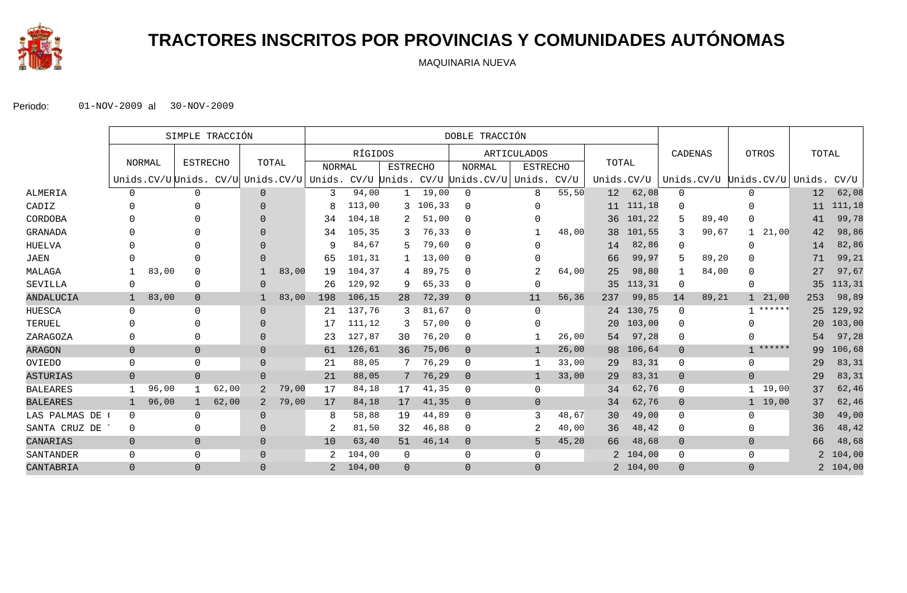

# **TRACTORES INSCRITOS POR PROVINCIAS Y COMUNIDADES AUTÓNOMAS**

MAQUINARIA NUEVA

|                 |                |        |                 | SIMPLE TRACCIÓN |                |       | DOBLE TRACCIÓN                           |         |                 |          |                             |                 |       |                 |            |                |       |                        |        |                |          |
|-----------------|----------------|--------|-----------------|-----------------|----------------|-------|------------------------------------------|---------|-----------------|----------|-----------------------------|-----------------|-------|-----------------|------------|----------------|-------|------------------------|--------|----------------|----------|
|                 |                |        |                 |                 |                |       |                                          | RÍGIDOS |                 |          |                             | ARTICULADOS     |       |                 |            | CADENAS        |       | OTROS                  |        | TOTAL          |          |
|                 |                | NORMAL | <b>ESTRECHO</b> |                 | TOTAL          |       | <b>NORMAL</b>                            |         | <b>ESTRECHO</b> |          | <b>NORMAL</b>               | <b>ESTRECHO</b> |       | TOTAL           |            |                |       |                        |        |                |          |
|                 |                |        |                 |                 |                |       | Unids.CV/U Unids. CV/U Unids.CV/U Unids. |         |                 |          | CV/U Unids. CV/U Unids.CV/U | Unids.          | CV/U  |                 | Unids.CV/U |                |       | Unids.CV/U Unids.CV/U  | Unids. |                | CV/U     |
| <b>ALMERIA</b>  | $\Omega$       |        | $\Omega$        |                 | $\Omega$       |       | 3                                        | 94,00   |                 | 19,00    | $\mathbf 0$                 | 8               | 55,50 | 12              | 62,08      | 0              |       | 0                      |        | 12             | 62,08    |
| CADIZ           |                |        |                 |                 | $\Omega$       |       | 8                                        | 113,00  |                 | 3 106,33 | $\Omega$                    | 0               |       | 11              | 111,18     | 0              |       |                        |        | 11             | 111,18   |
| CORDOBA         |                |        |                 |                 | $\Omega$       |       | 34                                       | 104,18  |                 | 51,00    | $\Omega$                    | 0               |       | 36              | 101,22     | 5              | 89,40 | $\Omega$               |        | 41             | 99,78    |
| GRANADA         |                |        |                 |                 | $\cap$         |       | 34                                       | 105,35  | 3               | 76,33    | $\mathbf 0$                 |                 | 48,00 | 38              | 101,55     | 3              | 90,67 | $\mathbf{1}$           | 21,00  | 42             | 98,86    |
| HUELVA          |                |        |                 |                 | $\cap$         |       | 9                                        | 84,67   |                 | 79,60    | $\Omega$                    | U               |       | 14              | 82,86      | 0              |       | $\Omega$               |        | 14             | 82,86    |
| JAEN            |                |        |                 |                 | $\Omega$       |       | 65                                       | 101,31  |                 | 13,00    | $\mathbf 0$                 | 0               |       | 66              | 99,97      | 5              | 89,20 | O                      |        | 71             | 99,21    |
| MALAGA          |                | 83,00  | $\Omega$        |                 |                | 83,00 | 19                                       | 104,37  | 4               | 89,75    | $\Omega$                    | $\overline{2}$  | 64,00 | 25              | 98,80      | 1              | 84,00 | $\Omega$               |        | 27             | 97,67    |
| SEVILLA         | 0              |        | $\Omega$        |                 | $\Omega$       |       | 26                                       | 129,92  | 9               | 65,33    | $\Omega$                    | $\Omega$        |       | 35              | 113,31     | $\mathbf 0$    |       | $\mathbf 0$            |        | 35             | 113,31   |
| ANDALUCIA       | $\mathbf{1}$   | 83,00  | $\overline{0}$  |                 |                | 83,00 | 198                                      | 106,15  | 28              | 72,39    | $\overline{0}$              | 11              | 56,36 | 237             | 99,85      | 14             | 89,21 | 21,00<br>$\mathbf{1}$  |        | 253            | 98,89    |
| HUESCA          | $\mathbf 0$    |        | $\Omega$        |                 | $\Omega$       |       | 21                                       | 137,76  | 3               | 81,67    | $\mathbf 0$                 | $\Omega$        |       | 24              | 130,75     | $\mathbf 0$    |       | ******<br>$\mathbf{1}$ |        | 25             | 129,92   |
| TERUEL          | $\Omega$       |        |                 |                 | $\Omega$       |       |                                          | 111,12  |                 | 57,00    | $\mathbf 0$                 | $\Omega$        |       | 20 <sup>°</sup> | 103,00     | $\Omega$       |       |                        |        | 20             | 103,00   |
| ZARAGOZA        | 0              |        | O               |                 | $\Omega$       |       | 23                                       | 127,87  | 30              | 76,20    | 0                           |                 | 26,00 | 54              | 97,28      | 0              |       | <sup>0</sup>           |        | 54             | 97,28    |
| <b>ARAGON</b>   | $\mathbf 0$    |        | $\mathbf 0$     |                 | $\Omega$       |       | 61                                       | 126,61  | 36              | 75,06    | $\overline{0}$              | $\mathbf{1}$    | 26,00 | 98              | 106,64     | $\overline{0}$ |       | ******<br>$\mathbf{1}$ |        | 99             | 106,68   |
| OVIEDO          | $\mathbf 0$    |        | $\mathbf{0}$    |                 | $\Omega$       |       | 21                                       | 88,05   |                 | 76,29    | $\mathbf{0}$                | -1              | 33,00 | 29              | 83,31      | 0              |       | $\mathbf{0}$           |        | 29             | 83,31    |
| <b>ASTURIAS</b> | $\overline{0}$ |        | $\overline{0}$  |                 | $\Omega$       |       | 21                                       | 88,05   |                 | 76,29    | $\overline{0}$              | $\mathbf{1}$    | 33,00 | 29              | 83,31      | $\overline{0}$ |       | $\overline{0}$         |        | 29             | 83,31    |
| <b>BALEARES</b> |                | 96,00  |                 | 62,00           | $\overline{2}$ | 79,00 | 17                                       | 84,18   | 17              | 41,35    | $\mathbf{0}$                | 0               |       | 34              | 62,76      | 0              |       | 19,00<br>$\mathbf{1}$  |        | 37             | 62,46    |
| <b>BALEARES</b> | $\mathbf{1}$   | 96,00  | $\mathbf{1}$    | 62,00           | 2              | 79,00 | 17                                       | 84,18   | 17              | 41,35    | $\overline{0}$              | $\mathbf{0}$    |       | 34              | 62,76      | $\mathbf 0$    |       | 1, 19, 00              |        | 37             | 62,46    |
| LAS PALMAS DE   | $\mathbf 0$    |        | $\Omega$        |                 | $\Omega$       |       | 8                                        | 58,88   | 19              | 44,89    | $\Omega$                    | 3               | 48,67 | 30              | 49,00      | 0              |       | $\Omega$               |        | 30             | 49,00    |
| SANTA CRUZ DE   | 0              |        | $\Omega$        |                 | $\Omega$       |       | 2                                        | 81,50   | 32              | 46,88    | $\Omega$                    | 2               | 40,00 | 36              | 48,42      | 0              |       | $\Omega$               |        | 36             | 48,42    |
| CANARIAS        | $\overline{0}$ |        | $\overline{0}$  |                 | $\Omega$       |       | 10                                       | 63,40   | 51              | 46,14    | $\overline{0}$              | 5               | 45,20 | 66              | 48,68      | $\overline{0}$ |       | $\overline{0}$         |        | 66             | 48,68    |
| SANTANDER       | $\mathbf 0$    |        | $\mathbf{0}$    |                 | $\Omega$       |       | 2                                        | 104,00  | $\Omega$        |          | $\mathbf{0}$                | 0               |       |                 | 2 104,00   | 0              |       | $\mathbf{0}$           |        | $\overline{2}$ | 104,00   |
| CANTABRIA       | $\overline{0}$ |        | $\overline{0}$  |                 | $\Omega$       |       | 2                                        | 104,00  | $\Omega$        |          | $\overline{0}$              | $\overline{0}$  |       |                 | 2 104,00   | $\Omega$       |       | $\overline{0}$         |        |                | 2 104,00 |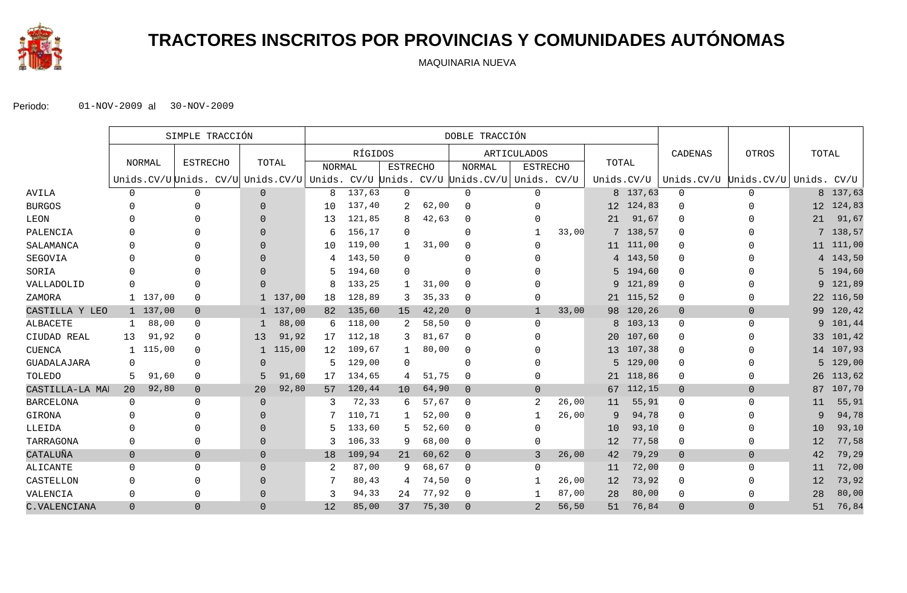

# **TRACTORES INSCRITOS POR PROVINCIAS Y COMUNIDADES AUTÓNOMAS**

MAQUINARIA NUEVA

|                  |                | SIMPLE TRACCIÓN |                                                                                  |              |          | DOBLE TRACCIÓN |         |                 |       |                |                    |       |            |           |                                   |                |             |           |
|------------------|----------------|-----------------|----------------------------------------------------------------------------------|--------------|----------|----------------|---------|-----------------|-------|----------------|--------------------|-------|------------|-----------|-----------------------------------|----------------|-------------|-----------|
|                  |                |                 |                                                                                  |              |          |                | RÍGIDOS |                 |       |                | <b>ARTICULADOS</b> |       |            |           | CADENAS                           | <b>OTROS</b>   | TOTAL       |           |
|                  |                | <b>NORMAL</b>   | <b>ESTRECHO</b>                                                                  |              | TOTAL    | NORMAL         |         | <b>ESTRECHO</b> |       | <b>NORMAL</b>  | <b>ESTRECHO</b>    |       | TOTAL      |           |                                   |                |             |           |
|                  |                |                 | Unids.CV/U Unids. CV/U Unids.CV/U Unids. CV/U Unids. CV/U Unids.CV/U Unids. CV/U |              |          |                |         |                 |       |                |                    |       | Unids.CV/U |           | Unids.CV/U Unids.CV/U Unids. CV/U |                |             |           |
| AVILA            | $\mathbf 0$    |                 | $\mathbf 0$                                                                      | $\Omega$     |          | 8              | 137,63  | $\Omega$        |       | $\Omega$       | 0                  |       |            | 8 137,63  | $\mathbf 0$                       | $\Omega$       |             | 8 137,63  |
| <b>BURGOS</b>    |                |                 | 0                                                                                | $\Omega$     |          | 10             | 137,40  |                 | 62,00 | $\mathbf 0$    | 0                  |       |            | 12 124,83 | $\Omega$                          | 0              |             | 12 124,83 |
| LEON             |                |                 |                                                                                  | $\Omega$     |          | 13             | 121,85  |                 | 42,63 | $\Omega$       |                    |       | 21         | 91,67     | $\Omega$                          |                | 21          | 91,67     |
| PALENCIA         |                |                 | U                                                                                | $\Omega$     |          | 6              | 156,17  | $\Omega$        |       | $\Omega$       |                    | 33,00 |            | 7 138,57  | $\Omega$                          |                |             | 7 138,57  |
| SALAMANCA        |                |                 |                                                                                  | $\Omega$     |          | 10             | 119,00  |                 | 31,00 | $\Omega$       |                    |       |            | 11 111,00 | 0                                 |                |             | 11 111,00 |
| SEGOVIA          |                |                 |                                                                                  | $\Omega$     |          |                | 143,50  | $\Omega$        |       | $\Omega$       |                    |       |            | 4 143,50  | $\Omega$                          |                |             | 4 143,50  |
| SORIA            |                |                 |                                                                                  | $\Omega$     |          | 5.             | 194,60  | $\Omega$        |       | $\Omega$       |                    |       |            | 5 194,60  | $\Omega$                          |                |             | 5 194,60  |
| VALLADOLID       |                |                 | $\Omega$                                                                         | $\Omega$     |          | 8              | 133,25  |                 | 31,00 | $\Omega$       |                    |       |            | 9 121,89  | $\Omega$                          |                |             | 9 121,89  |
| ZAMORA           |                | 1 137,00        | $\mathbf 0$                                                                      |              | 1 137,00 | 18             | 128,89  | 3               | 35,33 | $\mathbf 0$    | 0                  |       |            | 21 115,52 | 0                                 | O              |             | 22 116,50 |
| CASTILLA Y LEO   |                | 1 137,00        | $\overline{0}$                                                                   |              | 1 137,00 | 82             | 135,60  | 15              | 42,20 | $\overline{0}$ | 1                  | 33,00 |            | 98 120,26 | $\overline{0}$                    | $\overline{0}$ | 99          | 120,42    |
| <b>ALBACETE</b>  |                | 88,00           | $\mathbf 0$                                                                      | -1           | 88,00    | 6              | 118,00  |                 | 58,50 | $\mathbf 0$    | 0                  |       |            | 8 103,13  | 0                                 | $\mathbf 0$    |             | 9 101,44  |
| CIUDAD REAL      | 13             | 91,92           | $\mathbf 0$                                                                      | 13           | 91,92    | 17             | 112,18  | 3               | 81,67 | $\Omega$       |                    |       |            | 20 107,60 | 0                                 |                | 33          | 101,42    |
| <b>CUENCA</b>    |                | 115,00          | 0                                                                                | $\mathbf{1}$ | 115,00   | 12             | 109,67  |                 | 80,00 | 0              |                    |       |            | 13 107,38 | 0                                 |                |             | 14 107,93 |
| GUADALAJARA      | 0              |                 | $\mathbf 0$                                                                      | $\Omega$     |          | 5              | 129,00  | $\Omega$        |       | $\Omega$       |                    |       | 5          | 129,00    | 0                                 |                | $5^{\circ}$ | 129,00    |
| TOLEDO           | 5              | 91,60           | $\mathbf 0$                                                                      | 5            | 91,60    | 17             | 134,65  | 4               | 51,75 | $\mathbf 0$    | 0                  |       |            | 21 118,86 | 0                                 | 0              | 26          | 113,62    |
| CASTILLA-LA MAI  | 20             | 92,80           | $\mathbf 0$                                                                      | 20           | 92,80    | 57             | 120,44  | 10              | 64,90 | $\Omega$       | $\Omega$           |       |            | 67 112,15 | $\overline{0}$                    | $\Omega$       | 87          | 107,70    |
| <b>BARCELONA</b> | $\Omega$       |                 | $\Omega$                                                                         | $\Omega$     |          | 3              | 72,33   | 6               | 57,67 | $\Omega$       | $\overline{2}$     | 26,00 | 11         | 55,91     | 0                                 | $\Omega$       | 11          | 55,91     |
| GIRONA           | <sup>0</sup>   |                 | $\Omega$                                                                         | $\Omega$     |          |                | 110,71  |                 | 52,00 | $\mathbf 0$    | -1                 | 26,00 | 9          | 94,78     | 0                                 | <sup>0</sup>   | 9           | 94,78     |
| LLEIDA           |                |                 | 0                                                                                | $\Omega$     |          | 5              | 133,60  |                 | 52,60 | $\Omega$       | 0                  |       | 10         | 93,10     | $\Omega$                          |                | 10          | 93,10     |
| TARRAGONA        | $\Omega$       |                 | 0                                                                                | $\Omega$     |          | 3              | 106,33  | 9               | 68,00 | $\mathbf 0$    | 0                  |       | 12         | 77,58     | 0                                 | O              | 12          | 77,58     |
| CATALUÑA         | $\overline{0}$ |                 | $\overline{0}$                                                                   | $\Omega$     |          | 18             | 109,94  | 21              | 60,62 | $\overline{0}$ | 3                  | 26,00 | 42         | 79,29     | $\overline{0}$                    | $\overline{0}$ | 42          | 79,29     |
| ALICANTE         | $\mathbf 0$    |                 | $\Omega$                                                                         | $\Omega$     |          | 2              | 87,00   | 9               | 68,67 | $\mathbf{0}$   | $\Omega$           |       | 11         | 72,00     | 0                                 | $\Omega$       | 11          | 72,00     |
| CASTELLON        | $\Omega$       |                 | $\Omega$                                                                         | $\Omega$     |          |                | 80,43   | 4               | 74,50 | $\Omega$       |                    | 26,00 | 12         | 73,92     | 0                                 | 0              | 12          | 73,92     |
| VALENCIA         | $\Omega$       |                 | $\Omega$                                                                         | $\Omega$     |          | 3              | 94,33   | 24              | 77,92 | $\Omega$       |                    | 87,00 | 28         | 80,00     | 0                                 | 0              | 28          | 80,00     |
| C. VALENCIANA    | $\Omega$       |                 | $\Omega$                                                                         | $\Omega$     |          | 12             | 85,00   | 37              | 75,30 | $\Omega$       | 2                  | 56,50 | 51         | 76,84     | $\Omega$                          | $\Omega$       | 51          | 76,84     |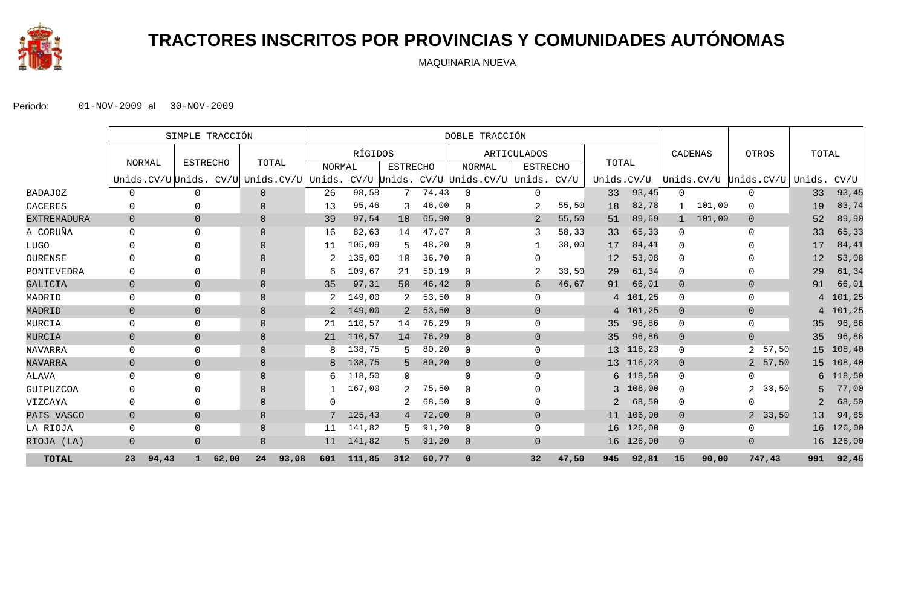

# **TRACTORES INSCRITOS POR PROVINCIAS Y COMUNIDADES AUTÓNOMAS**

MAQUINARIA NUEVA

|                    |                | SIMPLE TRACCIÓN                          |                |               | DOBLE TRACCIÓN |                 |       |                             |                    |       |                 |            |                |        |                         |        |          |
|--------------------|----------------|------------------------------------------|----------------|---------------|----------------|-----------------|-------|-----------------------------|--------------------|-------|-----------------|------------|----------------|--------|-------------------------|--------|----------|
|                    |                |                                          |                |               | RÍGIDOS        |                 |       |                             | <b>ARTICULADOS</b> |       |                 |            | CADENAS        |        | OTROS                   | TOTAL  |          |
|                    | NORMAL         | <b>ESTRECHO</b>                          | TOTAL          | <b>NORMAL</b> |                | <b>ESTRECHO</b> |       | <b>NORMAL</b>               | <b>ESTRECHO</b>    |       | TOTAL           |            |                |        |                         |        |          |
|                    |                | Unids.CV/U Unids. CV/U Unids.CV/U Unids. |                |               |                |                 |       | CV/U Unids. CV/U Unids.CV/U | Unids. CV/U        |       | Unids.CV/U      |            |                |        | Unids.CV/U Unids.CV/U   | Unids. | CV/U     |
| <b>BADAJOZ</b>     | $\Omega$       | 0                                        | $\overline{0}$ | 26            | 98,58          | 7               | 74,43 | $\Omega$                    | $\mathbf 0$        |       | 33              | 93,45      | $\mathbf 0$    |        | $\mathbf{0}$            | 33     | 93,45    |
| <b>CACERES</b>     | 0              | $\Omega$                                 | $\Omega$       | 13            | 95,46          | 3               | 46,00 | $\Omega$                    | 2                  | 55,50 | 18              | 82,78      |                | 101,00 | $\Omega$                | 19     | 83,74    |
| <b>EXTREMADURA</b> | $\overline{0}$ | $\overline{0}$                           | $\Omega$       | 39            | 97,54          | 10 <sup>°</sup> | 65,90 | $\Omega$                    | 2                  | 55,50 | 51              | 89,69      |                | 101,00 | $\overline{0}$          | 52     | 89,90    |
| A CORUÑA           | $\Omega$       | $\Omega$                                 | $\Omega$       | 16            | 82,63          | 14              | 47,07 | $\Omega$                    | 3                  | 58,33 | 33              | 65,33      | $\Omega$       |        | $\Omega$                | 33     | 65,33    |
| <b>LUGO</b>        | 0              | $\Omega$                                 | $\Omega$       | 11            | 105,09         | 5.              | 48,20 | $\Omega$                    |                    | 38,00 | 17              | 84,41      | $\mathbf 0$    |        | <sup>n</sup>            | 17     | 84,41    |
| OURENSE            | 0              | $\Omega$                                 | $\Omega$       |               | 135,00         | 10              | 36,70 | $\Omega$                    | $\Omega$           |       | 12              | 53,08      | $\Omega$       |        | <sup>0</sup>            | 12     | 53,08    |
| PONTEVEDRA         | 0              | $\Omega$                                 | $\Omega$       | 6             | 109,67         | 21              | 50,19 | $\Omega$                    |                    | 33,50 | 29              | 61,34      | 0              |        | $\Omega$                | 29     | 61,34    |
| GALICIA            | $\overline{0}$ | $\overline{0}$                           | $\overline{0}$ | 35            | 97,31          | 50              | 46,42 | $\overline{0}$              | 6                  | 46,67 | 91              | 66,01      | $\overline{0}$ |        | $\overline{0}$          | 91     | 66,01    |
| MADRID             | $\mathbf 0$    | $\mathbf 0$                              | $\overline{0}$ |               | 149,00         |                 | 53,50 | $\Omega$                    | $\mathbf 0$        |       | 4               | 101,25     | $\mathbf 0$    |        | $\mathbf 0$             | 4      | 101,25   |
| MADRID             | $\overline{0}$ | $\overline{0}$                           | $\mathbf 0$    | 2             | 149,00         | 2               | 53,50 | $\Omega$                    | $\Omega$           |       |                 | 4 101,25   | $\mathbf 0$    |        | $\overline{0}$          |        | 4 101,25 |
| MURCIA             | 0              | $\mathbf 0$                              | $\Omega$       | 21            | 110,57         | 14              | 76,29 | $\Omega$                    | $\Omega$           |       | 35              | 96,86      | $\mathbf 0$    |        | $\mathbf 0$             | 35     | 96,86    |
| MURCIA             | $\overline{0}$ | $\overline{0}$                           | $\Omega$       | 21            | 110,57         | 14              | 76,29 | $\overline{0}$              | $\overline{0}$     |       | 35              | 96,86      | $\overline{0}$ |        | $\overline{0}$          | 35     | 96,86    |
| <b>NAVARRA</b>     | 0              | $\mathbf 0$                              | $\Omega$       | 8             | 138,75         |                 | 80,20 | $\Omega$                    | $\mathbf 0$        |       | 13 <sup>7</sup> | 116,23     | $\mathbf 0$    |        | 57,50<br>$\overline{2}$ | 15     | 108,40   |
| NAVARRA            | $\overline{0}$ | $\overline{0}$                           | $\overline{0}$ | 8             | 138,75         | 5.              | 80,20 | $\Omega$                    | $\Omega$           |       |                 | 13 116,23  | $\overline{0}$ |        | 2 57,50                 | 15     | 108, 40  |
| ALAVA              | $\Omega$       | $\Omega$                                 | $\Omega$       | 6             | 118,50         | $\Omega$        |       | $\Omega$                    | $\Omega$           |       |                 | $6$ 118,50 | $\Omega$       |        | $\Omega$                | 6      | 118,50   |
| GUIPUZCOA          | 0              | $\Omega$                                 | $\Omega$       |               | 167,00         | $\overline{2}$  | 75,50 | $\Omega$                    | $\Omega$           |       | 3               | 106,00     | $\mathbf{0}$   |        | 33,50<br>2              | 5      | 77,00    |
| VIZCAYA            | 0              | $\Omega$                                 | $\Omega$       | $\Omega$      |                | 2.              | 68,50 | $\Omega$                    | $\Omega$           |       | 2               | 68,50      | $\mathbf{0}$   |        | $\Omega$                | 2      | 68,50    |
| PAIS VASCO         | $\mathbf{0}$   | $\mathsf{O}\xspace$                      | $\mathbf 0$    | 7             | 125,43         | 4               | 72,00 | $\Omega$                    | $\overline{0}$     |       | 11              | 106,00     | $\mathbf 0$    |        | 2, 33, 50               | 13     | 94,85    |
| LA RIOJA           | 0              | 0                                        | $\overline{0}$ | 11            | 141,82         | 5.              | 91,20 | $\Omega$                    | $\mathbf 0$        |       | 16              | 126,00     | 0              |        | $\mathbf 0$             | 16     | 126,00   |
| RIOJA (LA)         | $\overline{0}$ | $\overline{0}$                           | $\overline{0}$ | 11            | 141,82         | 5.              | 91,20 | $\overline{0}$              | $\overline{0}$     |       | 16              | 126,00     | $\mathbf 0$    |        | $\overline{0}$          | 16     | 126,00   |
| <b>TOTAL</b>       | 23<br>94,43    | 62,00<br>$\mathbf{1}$                    | 93,08<br>24    | 601           | 111,85         | 312             | 60,77 | $\mathbf 0$                 | 32                 | 47,50 | 945             | 92,81      | 15             | 90,00  | 747,43                  | 991    | 92,45    |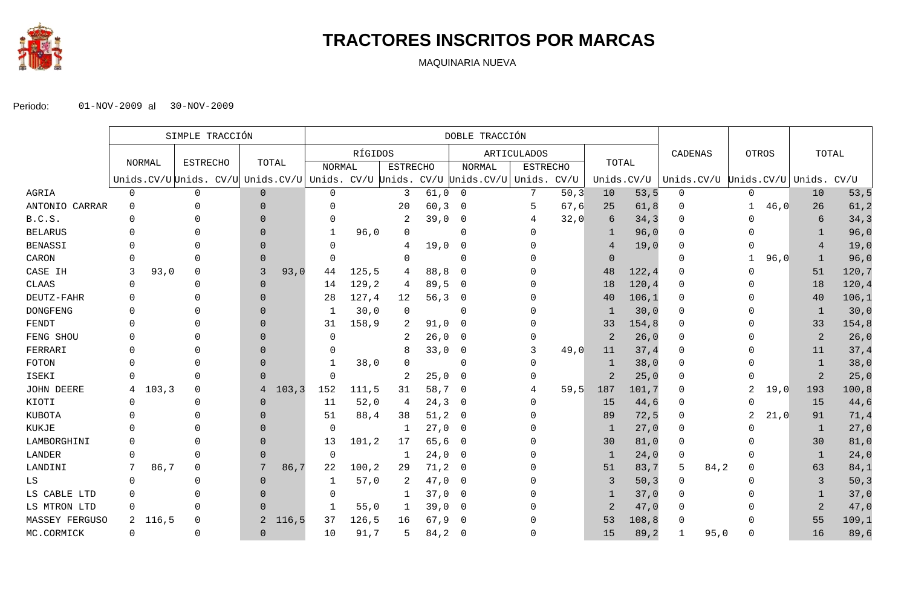

## **TRACTORES INSCRITOS POR MARCAS**

MAQUINARIA NUEVA

|                 | SIMPLE TRACCIÓN |               |                                                                                  |                | DOBLE TRACCIÓN |               |         |                 |         |                |                 |       |                |        |                                   |      |                |      |                |        |
|-----------------|-----------------|---------------|----------------------------------------------------------------------------------|----------------|----------------|---------------|---------|-----------------|---------|----------------|-----------------|-------|----------------|--------|-----------------------------------|------|----------------|------|----------------|--------|
|                 |                 |               |                                                                                  |                |                |               | RÍGIDOS |                 |         |                | ARTICULADOS     |       |                |        | CADENAS                           |      | <b>OTROS</b>   |      |                | TOTAL  |
|                 |                 | <b>NORMAL</b> | <b>ESTRECHO</b>                                                                  |                | TOTAL          | <b>NORMAL</b> |         | <b>ESTRECHO</b> |         | <b>NORMAL</b>  | <b>ESTRECHO</b> |       | TOTAL          |        |                                   |      |                |      |                |        |
|                 |                 |               | Unids.CV/U Unids. CV/U Unids.CV/U Unids. CV/U Unids. CV/U Unids.CV/U Unids. CV/U |                |                |               |         |                 |         |                |                 |       | Unids.CV/U     |        | Unids.CV/U Unids.CV/U Unids. CV/U |      |                |      |                |        |
| AGRIA           | 0               |               | $\mathbf 0$                                                                      | $\overline{0}$ |                | 0             |         | 3               | 61,0    | $\overline{0}$ |                 | 50, 3 | 10             | 53, 5  | 0                                 |      | 0              |      | 10             | 53, 5  |
| ANTONIO CARRAR  | 0               |               |                                                                                  | $\Omega$       |                | 0             |         | 20              | 60, 3   | $\mathbf 0$    | 5               | 67,6  | 25             | 61, 8  | 0                                 |      |                | 46,0 | 26             | 61, 2  |
| B.C.S.          | $\Omega$        |               |                                                                                  | $\Omega$       |                | 0             |         | 2               | 39,0    | $\overline{0}$ | 4               | 32,0  | 6              | 34,3   | $\Omega$                          |      |                |      | 6              | 34,3   |
| <b>BELARUS</b>  |                 |               |                                                                                  | $\Omega$       |                | 1             | 96,0    | $\Omega$        |         | $\Omega$       |                 |       | -1             | 96,0   | $\Omega$                          |      |                |      | -1             | 96,0   |
| <b>BENASSI</b>  |                 |               |                                                                                  | $\Omega$       |                | 0             |         | 4               | 19,0    | $\mathbf 0$    |                 |       |                | 19,0   |                                   |      |                |      | $\overline{4}$ | 19,0   |
| CARON           |                 |               |                                                                                  | $\Omega$       |                | 0             |         | $\Omega$        |         | $\Omega$       |                 |       | $\Omega$       |        |                                   |      |                | 96,0 | 1              | 96,0   |
| CASE IH         | 3               | 93,0          | $\Omega$                                                                         | 3              | 93,0           | 44            | 125, 5  | 4               | 88,8    | $\Omega$       |                 |       | 48             | 122, 4 | U                                 |      |                |      | 51             | 120,7  |
| <b>CLAAS</b>    | $\Omega$        |               | $\Omega$                                                                         | $\Omega$       |                | 14            | 129, 2  | 4               | 89,5    | $\overline{0}$ |                 |       | 18             | 120, 4 | $\Omega$                          |      |                |      | 18             | 120,4  |
| DEUTZ-FAHR      |                 |               |                                                                                  | $\Omega$       |                | 28            | 127,4   | 12              | 56, 3   | $\overline{0}$ |                 |       | 40             | 106,1  | $\Omega$                          |      |                |      | 40             | 106,1  |
| <b>DONGFENG</b> |                 |               |                                                                                  | $\Omega$       |                | -1            | 30,0    | 0               |         | $\Omega$       |                 |       | $\overline{1}$ | 30,0   | $\Omega$                          |      |                |      | 1              | 30,0   |
| FENDT           |                 |               |                                                                                  | $\Omega$       |                | 31            | 158,9   | 2               | 91,0    | $\overline{0}$ |                 |       | 33             | 154,8  | 0                                 |      |                |      | 33             | 154,8  |
| FENG SHOU       |                 |               |                                                                                  | $\Omega$       |                | $\Omega$      |         | 2               | 26,0    | 0              |                 |       | $\overline{2}$ | 26,0   | $\Omega$                          |      |                |      | $\overline{2}$ | 26,0   |
| FERRARI         |                 |               |                                                                                  | $\Omega$       |                | 0             |         |                 | 33,0    | $\mathbf 0$    |                 | 49,0  | 11             | 37,4   | $\Omega$                          |      |                |      | 11             | 37,4   |
| FOTON           | $\Omega$        |               |                                                                                  | $\Omega$       |                | 1             | 38,0    | $\Omega$        |         | $\Omega$       |                 |       | 1              | 38,0   | $\Omega$                          |      |                |      | $\mathbf{1}$   | 38,0   |
| ISEKI           | $\Omega$        |               | 0                                                                                | $\Omega$       |                | 0             |         | 2               | 25,0    | $\overline{0}$ |                 |       | $\overline{2}$ | 25,0   | $\Omega$                          |      |                |      | $\overline{2}$ | 25,0   |
| JOHN DEERE      | 4               | 103, 3        | $\Omega$                                                                         | 4              | 103, 3         | 152           | 111,5   | 31              | 58,7    | $\overline{0}$ |                 | 59,5  | 187            | 101,7  |                                   |      |                | 19,0 | 193            | 100, 8 |
| KIOTI           | $\Omega$        |               | $\Omega$                                                                         | $\overline{0}$ |                | 11            | 52,0    | 4               | 24,3    | $\overline{0}$ |                 |       | 15             | 44,6   |                                   |      | U              |      | 15             | 44,6   |
| <b>KUBOTA</b>   |                 |               |                                                                                  | $\Omega$       |                | 51            | 88,4    | 38              | 51, 2   | $\overline{0}$ |                 |       | 89             | 72, 5  | $\Omega$                          |      | $\mathfrak{D}$ | 21,0 | 91             | 71,4   |
| KUKJE           |                 |               |                                                                                  | $\Omega$       |                | $\mathbf 0$   |         | -1              | 27,0    | $\overline{0}$ |                 |       | -1             | 27,0   | $\Omega$                          |      |                |      | 1              | 27,0   |
| LAMBORGHINI     |                 |               |                                                                                  | $\Omega$       |                | 13            | 101, 2  | 17              | 65,6    | $\overline{0}$ |                 |       | 30             | 81,0   |                                   |      |                |      | 30             | 81,0   |
| LANDER          | $\Omega$        |               |                                                                                  | $\Omega$       |                | 0             |         | -1              | 24,0    | $\overline{0}$ |                 |       | -1             | 24,0   | $\Omega$                          |      |                |      | 1              | 24,0   |
| LANDINI         | 7               | 86,7          | $\Omega$                                                                         | 7              | 86,7           | 22            | 100, 2  | 29              | 71, 2 0 |                |                 |       | 51             | 83,7   | 5                                 | 84,2 | 0              |      | 63             | 84,1   |
| LS              | $\Omega$        |               |                                                                                  | $\Omega$       |                | 1             | 57,0    | 2               | 47,0    | $\overline{0}$ |                 |       |                | 50, 3  | $\Omega$                          |      |                |      | 3              | 50, 3  |
| LS CABLE LTD    |                 |               |                                                                                  | $\Omega$       |                | $\Omega$      |         | -1              | 37,0    | 0              |                 |       |                | 37,0   |                                   |      |                |      | 1              | 37,0   |
| LS MTRON LTD    | $\mathbf 0$     |               | $\Omega$                                                                         | $\Omega$       |                | 1             | 55,0    | -1              | 39,0    | $\overline{0}$ |                 |       | 2              | 47,0   | $\Omega$                          |      |                |      | $\overline{c}$ | 47,0   |
| MASSEY FERGUSO  | 2               | 116,5         | $\Omega$                                                                         | 2              | 116, 5         | 37            | 126, 5  | 16              | 67,9    | - 0            |                 |       | 53             | 108, 8 | 0                                 |      |                |      | 55             | 109,1  |
| MC.CORMICK      | $\mathbf 0$     |               | $\Omega$                                                                         | $\Omega$       |                | 10            | 91,7    | 5               | 84, 2   | $\overline{0}$ |                 |       | 15             | 89, 2  |                                   | 95,0 | 0              |      | 16             | 89,6   |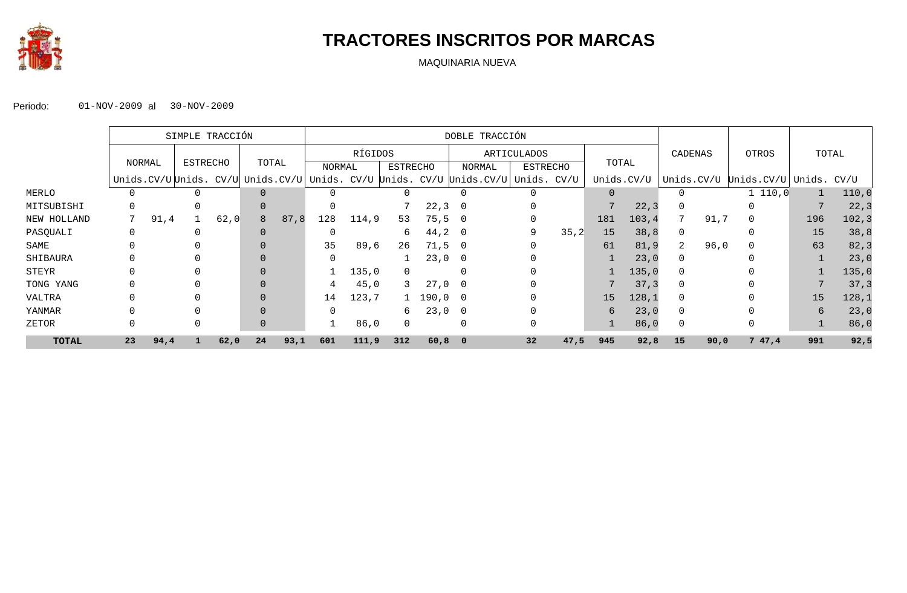

## **TRACTORES INSCRITOS POR MARCAS**

MAQUINARIA NUEVA

|              |    | SIMPLE TRACCIÓN |          |      |          |      | DOBLE TRACCIÓN |         |                 |                       |                                                                                  |                 |       |          |            |                |      |                              |     |        |
|--------------|----|-----------------|----------|------|----------|------|----------------|---------|-----------------|-----------------------|----------------------------------------------------------------------------------|-----------------|-------|----------|------------|----------------|------|------------------------------|-----|--------|
|              |    |                 |          |      |          |      |                | RÍGIDOS |                 |                       | ARTICULADOS                                                                      |                 |       |          |            | CADENAS        |      | OTROS                        |     | TOTAL  |
|              |    | NORMAL          | ESTRECHO |      | TOTAL    |      | NORMAL         |         | <b>ESTRECHO</b> |                       | NORMAL                                                                           | <b>ESTRECHO</b> |       | TOTAL    |            |                |      |                              |     |        |
|              |    |                 |          |      |          |      |                |         |                 |                       | Unids.CV/U Unids. CV/U Unids.CV/U Unids. CV/U Unids. CV/U Unids.CV/U Unids. CV/U |                 |       |          | Unids.CV/U |                |      | Unids.CV/U Unids.CV/U Unids. |     | CV/U   |
| MERLO        |    |                 |          |      | $\Omega$ |      |                |         |                 |                       |                                                                                  |                 |       | $\Omega$ |            |                |      | 1 110, 0                     |     | 110,0  |
| MITSUBISHI   |    |                 |          |      | $\Omega$ |      |                |         |                 | 22, 3                 | $\overline{\phantom{0}}$                                                         |                 |       |          | 22, 3      |                |      |                              |     | 22, 3  |
| NEW HOLLAND  |    | 91,4            |          | 62,0 | 8        | 87,8 | 128            | 114,9   | 53              | 75, 5                 | $\overline{\phantom{0}}$                                                         |                 |       | 181      | 103, 4     |                | 91,7 |                              | 196 | 102, 3 |
| PASQUALI     |    |                 |          |      |          |      |                |         | 6               | $44, 2$ 0             |                                                                                  | 9               | 35, 2 | 15       | 38,8       |                |      |                              | 15  | 38,8   |
| SAME         |    |                 |          |      |          |      | 35             | 89,6    | 26              | 71,50                 |                                                                                  |                 |       | 61       | 81,9       | $\overline{2}$ | 96,0 |                              | 63  | 82, 3  |
| SHIBAURA     |    |                 |          |      | $\Omega$ |      |                |         |                 | $23,0$ 0              |                                                                                  |                 |       |          | 23,0       | $\Omega$       |      |                              |     | 23,0   |
| STEYR        |    |                 |          |      |          |      |                | 135,0   | $\Omega$        |                       | $\Omega$                                                                         |                 |       |          | 135,0      | $\Omega$       |      |                              |     | 135,0  |
| TONG YANG    |    |                 |          |      |          |      | 4              | 45,0    | 3               | $27,0$ 0              |                                                                                  |                 |       |          | 37, 3      |                |      |                              |     | 37, 3  |
| VALTRA       |    |                 |          |      |          |      | 14             | 123,7   |                 | $1\quad 190,0\quad 0$ |                                                                                  |                 |       | 15       | 128,1      |                |      |                              | 15  | 128,1  |
| YANMAR       |    |                 |          |      | $\Omega$ |      | $\Omega$       |         | 6               | $23,0$ 0              |                                                                                  |                 |       | 6        | 23,0       |                |      |                              | 6   | 23,0   |
| ZETOR        |    |                 |          |      | $\Omega$ |      |                | 86,0    | $\Omega$        |                       | $\Omega$                                                                         |                 |       |          | 86,0       | $\Omega$       |      |                              |     | 86,0   |
| <b>TOTAL</b> | 23 | 94,4            |          | 62,0 | 24       | 93,1 | 601            | 111,9   | 312             | $60,8$ 0              |                                                                                  | 32              | 47,5  | 945      | 92,8       | 15             | 90,0 | 747,4                        | 991 | 92,5   |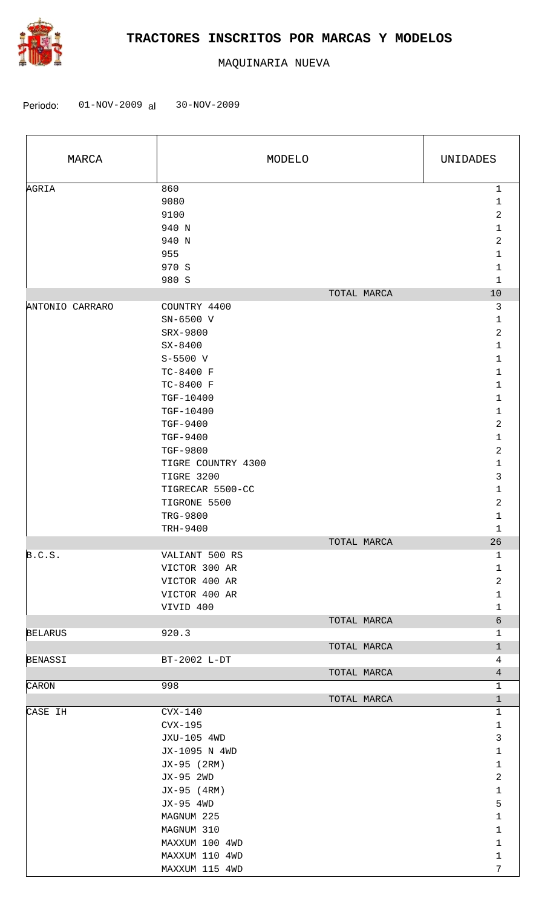

| MARCA           |                                                      | MODELO      | UNIDADES                                                      |  |  |
|-----------------|------------------------------------------------------|-------------|---------------------------------------------------------------|--|--|
| AGRIA           | 860<br>9080<br>9100<br>940 N<br>940 N                |             | $\mathbf 1$<br>$\mathbf{1}$<br>$\sqrt{2}$<br>$\mathbf 1$<br>2 |  |  |
|                 | 955<br>970 S<br>980 S                                |             | $\mathbf{1}$<br>$\mathbf{1}$<br>$\mathbf{1}$                  |  |  |
|                 |                                                      | TOTAL MARCA | $10$                                                          |  |  |
| ANTONIO CARRARO | COUNTRY 4400<br>SN-6500 V<br>SRX-9800                |             | 3<br>$\mathbf{1}$<br>2                                        |  |  |
|                 | $SX - 8400$<br>$S-5500$ V<br>TC-8400 F               |             | $\mathbf 1$<br>$\mathbf{1}$<br>$\mathbf 1$                    |  |  |
|                 | TC-8400 F<br>TGF-10400<br>TGF-10400                  |             | $\mathbf{1}$<br>$\mathbf{1}$<br>$\mathbf 1$                   |  |  |
|                 | TGF-9400<br>TGF-9400<br>TGF-9800                     |             | $\overline{a}$<br>$\mathbf 1$<br>$\overline{a}$               |  |  |
|                 | TIGRE COUNTRY 4300<br>TIGRE 3200<br>TIGRECAR 5500-CC |             | $\mathbf 1$<br>$\mathbf{3}$<br>$\mathbf 1$                    |  |  |
|                 | TIGRONE 5500<br>TRG-9800<br>TRH-9400                 |             | 2<br>$\mathbf{1}$<br>$\mathbf{1}$                             |  |  |
|                 |                                                      | TOTAL MARCA | 26                                                            |  |  |
| B.C.S.          | VALIANT 500 RS                                       |             | 1                                                             |  |  |
|                 | VICTOR 300 AR                                        |             | 1                                                             |  |  |
|                 | VICTOR 400 AR                                        |             | $\sqrt{2}$                                                    |  |  |
|                 | VICTOR 400 AR                                        |             | $\mathbf{1}$                                                  |  |  |
|                 | VIVID 400                                            | TOTAL MARCA | $\mathbf{1}$<br>6                                             |  |  |
| <b>BELARUS</b>  | 920.3                                                | TOTAL MARCA | $\mathbf 1$<br>$\mathbf{1}$                                   |  |  |
| <b>BENASSI</b>  | BT-2002 L-DT                                         |             | 4                                                             |  |  |
|                 |                                                      | TOTAL MARCA | $\overline{4}$                                                |  |  |
| CARON           | 998                                                  |             | $\mathbf 1$                                                   |  |  |
|                 |                                                      | TOTAL MARCA | $\mathbf{1}$                                                  |  |  |
| CASE IH         | $CVX-140$<br>$CVX-195$                               |             | 1<br>$\mathbf 1$                                              |  |  |
|                 | JXU-105 4WD<br>JX-1095 N 4WD                         |             | $\mathfrak{Z}$<br>$\mathbf{1}$                                |  |  |
|                 | JX-95 (2RM)<br>JX-95 2WD<br>JX-95 (4RM)              |             | $\mathbf{1}$<br>$\overline{2}$<br>$\mathbf{1}$                |  |  |
|                 | JX-95 4WD<br>MAGNUM 225                              |             | 5<br>$\mathbf 1$                                              |  |  |
|                 | MAGNUM 310<br>MAXXUM 100 4WD                         |             | $\mathbf 1$<br>$\mathbf 1$                                    |  |  |
|                 | MAXXUM 110 4WD<br>MAXXUM 115 4WD                     |             | $\mathbf{1}$<br>7                                             |  |  |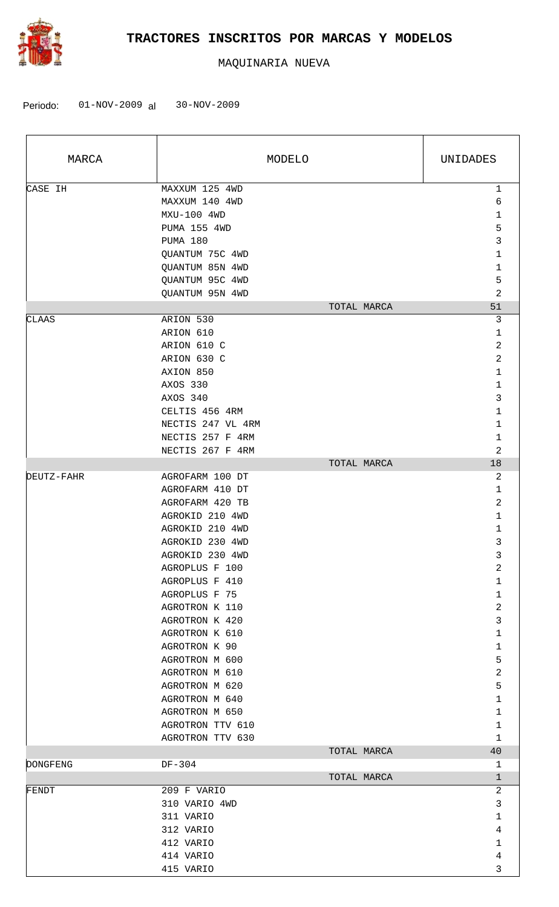

| MARCA           | MODELO            | UNIDADES       |
|-----------------|-------------------|----------------|
| CASE IH         | MAXXUM 125 4WD    | 1              |
|                 | MAXXUM 140 4WD    | 6              |
|                 | MXU-100 4WD       | $\mathbf 1$    |
|                 | PUMA 155 4WD      | 5              |
|                 | PUMA 180          | 3              |
|                 | QUANTUM 75C 4WD   | 1              |
|                 | QUANTUM 85N 4WD   | 1              |
|                 | QUANTUM 95C 4WD   | 5              |
|                 | QUANTUM 95N 4WD   | $\overline{2}$ |
|                 | TOTAL MARCA       | 51             |
| CLAAS           | ARION 530         | 3              |
|                 | ARION 610         | $\mathbf{1}$   |
|                 | ARION 610 C       | 2              |
|                 | ARION 630 C       | 2              |
|                 | AXION 850         | $\mathbf 1$    |
|                 | AXOS 330          | $\mathbf 1$    |
|                 | AXOS 340          | 3              |
|                 | CELTIS 456 4RM    | 1              |
|                 | NECTIS 247 VL 4RM | 1              |
|                 | NECTIS 257 F 4RM  | 1              |
|                 | NECTIS 267 F 4RM  | $\overline{2}$ |
|                 | TOTAL MARCA       | 18             |
| DEUTZ-FAHR      | AGROFARM 100 DT   | 2              |
|                 | AGROFARM 410 DT   | $\mathbf{1}$   |
|                 | AGROFARM 420 TB   | 2              |
|                 | AGROKID 210 4WD   | 1              |
|                 | AGROKID 210 4WD   | 1              |
|                 | AGROKID 230 4WD   | 3              |
|                 | AGROKID 230 4WD   | 3              |
|                 | AGROPLUS F 100    | $\overline{a}$ |
|                 | AGROPLUS F 410    | $\mathbf{1}$   |
|                 | AGROPLUS F 75     | 1              |
|                 | AGROTRON K 110    | 2              |
|                 | AGROTRON K 420    | 3              |
|                 | AGROTRON K 610    | 1              |
|                 | AGROTRON K 90     | 1              |
|                 | AGROTRON M 600    | 5              |
|                 | AGROTRON M 610    | 2              |
|                 | AGROTRON M 620    | 5              |
|                 | AGROTRON M 640    | 1              |
|                 | AGROTRON M 650    | 1              |
|                 | AGROTRON TTV 610  | 1              |
|                 | AGROTRON TTV 630  | $\mathbf 1$    |
|                 | TOTAL MARCA       | 40             |
| <b>DONGFENG</b> | DF-304            | $\mathbf{1}$   |
|                 | TOTAL MARCA       | $\mathbf 1$    |
| FENDT           | 209 F VARIO       | 2              |
|                 | 310 VARIO 4WD     | 3              |
|                 | 311 VARIO         | 1              |
|                 | 312 VARIO         | 4              |
|                 | 412 VARIO         | $\mathbf 1$    |
|                 | 414 VARIO         | 4              |
|                 | 415 VARIO         | 3              |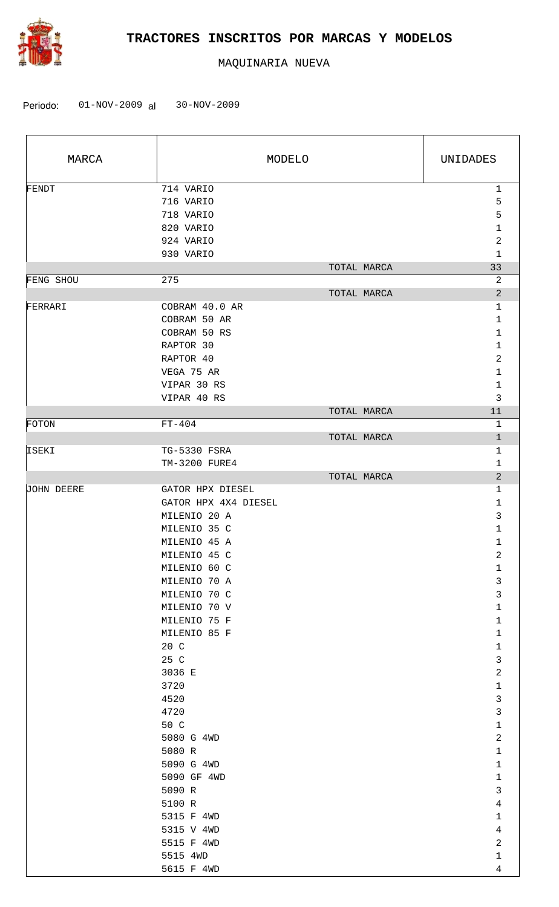

| MARCA      | MODELO                                                                                                                                                                   | UNIDADES                                                                                                       |
|------------|--------------------------------------------------------------------------------------------------------------------------------------------------------------------------|----------------------------------------------------------------------------------------------------------------|
| FENDT      | 714 VARIO<br>716 VARIO<br>718 VARIO<br>820 VARIO<br>924 VARIO<br>930 VARIO                                                                                               | $\mathbf 1$<br>5<br>5<br>$\mathbf 1$<br>2<br>$\mathbf{1}$                                                      |
| FENG SHOU  | TOTAL MARCA<br>275                                                                                                                                                       | 33<br>2                                                                                                        |
| FERRARI    | TOTAL MARCA<br>COBRAM 40.0 AR<br>COBRAM 50 AR<br>COBRAM 50 RS<br>RAPTOR 30<br>RAPTOR 40<br>VEGA 75 AR<br>VIPAR 30 RS                                                     | $\overline{a}$<br>$\mathbf 1$<br>$\mathbf 1$<br>$\mathbf{1}$<br>$\mathbf 1$<br>2<br>$\mathbf 1$<br>$\mathbf 1$ |
|            | VIPAR 40 RS                                                                                                                                                              | 3                                                                                                              |
|            | TOTAL MARCA                                                                                                                                                              | 11                                                                                                             |
| FOTON      | $FT-404$<br>TOTAL MARCA                                                                                                                                                  | $\mathbf{1}$<br>$\mathbf{1}$                                                                                   |
| ISEKI      | TG-5330 FSRA<br>TM-3200 FURE4                                                                                                                                            | 1<br>$\mathbf{1}$                                                                                              |
|            | TOTAL MARCA                                                                                                                                                              | $\overline{2}$                                                                                                 |
| JOHN DEERE | GATOR HPX DIESEL<br>GATOR HPX 4X4 DIESEL<br>MILENIO 20 A<br>MILENIO 35 C<br>MILENIO 45 A<br>MILENIO 45 C<br>MILENIO 60 C<br>MILENIO 70 A<br>MILENIO 70 C<br>MILENIO 70 V | 1<br>$\mathbf{1}$<br>3<br>$\mathbf 1$<br>$\mathbf 1$<br>2<br>$\mathbf{1}$<br>$\mathsf 3$<br>3<br>$\mathbf{1}$  |
|            | MILENIO 75 F<br>MILENIO 85 F<br>20 C<br>25 C<br>3036 E                                                                                                                   | 1<br>$\mathbf 1$<br>$\mathbf{1}$<br>$\mathsf{3}$<br>$\overline{c}$                                             |
|            | 3720<br>4520<br>4720<br>50 C<br>5080 G 4WD                                                                                                                               | $\mathbf 1$<br>$\mathbf{3}$<br>$\mathbf{3}$<br>1<br>$\overline{c}$                                             |
|            | 5080 R<br>5090 G 4WD<br>5090 GF 4WD<br>5090 R<br>5100 R                                                                                                                  | $\mathbf{1}$<br>$\mathbf{1}$<br>$\mathbf{1}$<br>$\mathsf{3}$<br>$\overline{4}$                                 |
|            | 5315 F 4WD<br>5315 V 4WD<br>5515 F 4WD<br>5515 4WD<br>5615 F 4WD                                                                                                         | $\mathbf{1}$<br>$\overline{4}$<br>$\overline{a}$<br>$\mathbf{1}$<br>4                                          |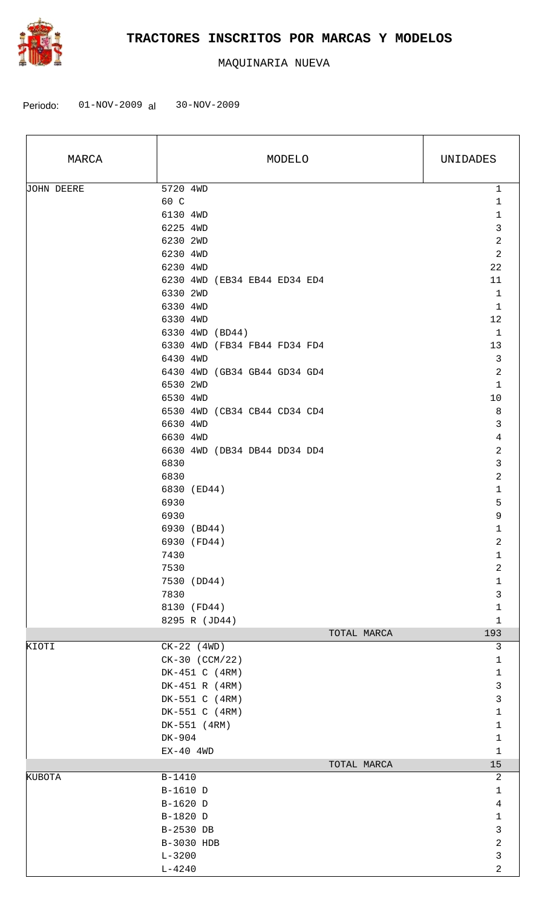

| MARCA             | MODELO                                   | UNIDADES                    |
|-------------------|------------------------------------------|-----------------------------|
| <b>JOHN DEERE</b> | 5720 4WD<br>60 C<br>6130 4WD             | 1<br>1<br>$\mathbf{1}$      |
|                   | 6225 4WD                                 | $\mathbf{3}$                |
|                   | 6230 2WD                                 | $\overline{2}$              |
|                   | 6230 4WD                                 | $\overline{a}$              |
|                   | 6230 4WD                                 | 22                          |
|                   | 6230 4WD (EB34 EB44 ED34 ED4             | 11                          |
|                   | 6330 2WD                                 | $\mathbf{1}$                |
|                   | 6330 4WD                                 | 1                           |
|                   | 6330 4WD                                 | 12                          |
|                   | 6330 4WD (BD44)                          | $\mathbf{1}$                |
|                   | 6330 4WD (FB34 FB44 FD34 FD4             | 13                          |
|                   | 6430 4WD<br>6430 4WD (GB34 GB44 GD34 GD4 | 3<br>$\overline{2}$         |
|                   | 6530 2WD                                 | $\mathbf{1}$                |
|                   | 6530 4WD                                 | $10$                        |
|                   | 6530 4WD (CB34 CB44 CD34 CD4             | 8                           |
|                   | 6630 4WD                                 | $\mathbf{3}$                |
|                   | 6630 4WD                                 | $\overline{4}$              |
|                   | 6630 4WD (DB34 DB44 DD34 DD4             | $\overline{c}$              |
|                   | 6830                                     | 3                           |
|                   | 6830                                     | 2                           |
|                   | 6830 (ED44)                              | $\mathbf{1}$                |
|                   | 6930                                     | 5                           |
|                   | 6930                                     | $\mathsf 9$                 |
|                   | 6930 (BD44)                              | $\mathbf 1$                 |
|                   | 6930 (FD44)                              | 2                           |
|                   | 7430                                     | 1                           |
|                   | 7530<br>7530 (DD44)                      | 2                           |
|                   | 7830                                     | $\mathbf 1$<br>$\mathbf{3}$ |
|                   | 8130 (FD44)                              | $\mathbf{1}$                |
|                   | 8295 R (JD44)                            | $\mathbf{1}$                |
|                   | TOTAL MARCA                              | 193                         |
| KIOTI             | $CK-22$ (4WD)                            | 3                           |
|                   | CK-30 (CCM/22)                           | $\mathbf{1}$                |
|                   | DK-451 C (4RM)                           | $\mathbf{1}$                |
|                   | DK-451 R (4RM)                           | $\mathfrak{Z}$              |
|                   | DK-551 C (4RM)                           | $\mathbf{3}$                |
|                   | DK-551 C (4RM)                           | $\mathbf{1}$                |
|                   | DK-551 (4RM)                             | $\mathbf{1}$                |
|                   | DK-904                                   | $\mathbf{1}$                |
|                   | $EX-40$ 4WD<br>TOTAL MARCA               | $\mathbf{1}$<br>15          |
| KUBOTA            | B-1410                                   | 2                           |
|                   | B-1610 D                                 | $\mathbf{1}$                |
|                   | B-1620 D                                 | $\overline{4}$              |
|                   | B-1820 D                                 | $\mathbf 1$                 |
|                   | B-2530 DB                                | $\mathbf{3}$                |
|                   | B-3030 HDB                               | $\overline{c}$              |
|                   | $L - 3200$                               | $\mathbf{3}$                |
|                   | $L - 4240$                               | 2                           |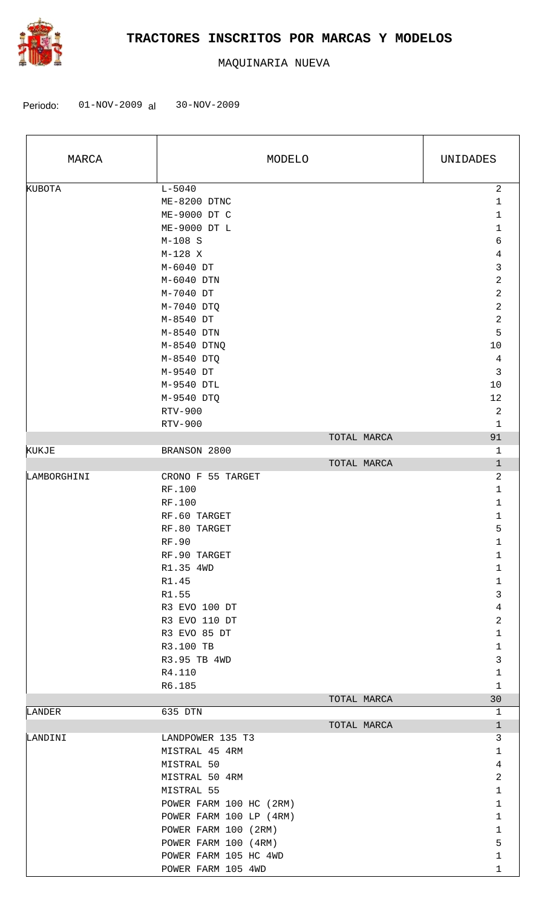

| MARCA       | MODELO                  | UNIDADES       |
|-------------|-------------------------|----------------|
| KUBOTA      | $L - 5040$              | $\sqrt{2}$     |
|             | ME-8200 DTNC            | $\mathbf 1$    |
|             | ME-9000 DT C            | 1              |
|             | ME-9000 DT L            | $\mathbf 1$    |
|             | $M-108$ S               | 6              |
|             | $M-128$ X               | $\overline{4}$ |
|             | M-6040 DT               | 3              |
|             | M-6040 DTN              | $\overline{2}$ |
|             | M-7040 DT               | $\sqrt{2}$     |
|             | M-7040 DTQ              | $\sqrt{2}$     |
|             | M-8540 DT               | $\sqrt{2}$     |
|             | M-8540 DTN              | 5              |
|             | M-8540 DTNQ             | $10$           |
|             | M-8540 DTQ              | $\,4$          |
|             | M-9540 DT               | $\mathbf{3}$   |
|             | M-9540 DTL              | $10$           |
|             | M-9540 DTQ              | 12             |
|             | RTV-900                 | $\overline{a}$ |
|             | RTV-900                 | $\mathbf 1$    |
|             | TOTAL MARCA             | 91             |
| KUKJE       | BRANSON 2800            | $\mathbf 1$    |
|             | TOTAL MARCA             | $\mathbf 1$    |
| LAMBORGHINI | CRONO F 55 TARGET       | $\overline{c}$ |
|             | RF.100                  | $\mathbf 1$    |
|             | RF.100                  | $\mathbf 1$    |
|             | RF.60 TARGET            | $\mathbf 1$    |
|             | RF.80 TARGET            | 5              |
|             | <b>RF.90</b>            | $\mathbf 1$    |
|             | RF.90 TARGET            | 1              |
|             |                         |                |
|             | R1.35 4WD               | $1\,$          |
|             | R1.45                   | 1              |
|             | R1.55                   | 3              |
|             | R3 EVO 100 DT           | $\overline{4}$ |
|             | R3 EVO 110 DT           | 2              |
|             | R3 EVO 85 DT            | $\mathbf 1$    |
|             | R3.100 TB               | $\mathbf 1$    |
|             | R3.95 TB 4WD            | 3              |
|             | R4.110                  | $\mathbf 1$    |
|             | R6.185                  | $\mathbf{1}$   |
|             | TOTAL MARCA             | 30             |
| LANDER      | 635 DTN                 | 1              |
|             | TOTAL MARCA             | $\mathbf{1}$   |
| LANDINI     | LANDPOWER 135 T3        | 3              |
|             | MISTRAL 45 4RM          | $\mathbf{1}$   |
|             | MISTRAL 50              | $\overline{4}$ |
|             | MISTRAL 50 4RM          | $\overline{c}$ |
|             | MISTRAL 55              | $\mathbf 1$    |
|             | POWER FARM 100 HC (2RM) | $\mathbf{1}$   |
|             | POWER FARM 100 LP (4RM) | $\mathbf{1}$   |
|             | POWER FARM 100 (2RM)    | $\mathbf 1$    |
|             | POWER FARM 100 (4RM)    | 5              |
|             | POWER FARM 105 HC 4WD   | $\mathbf 1$    |
|             | POWER FARM 105 4WD      | $\mathbf{1}$   |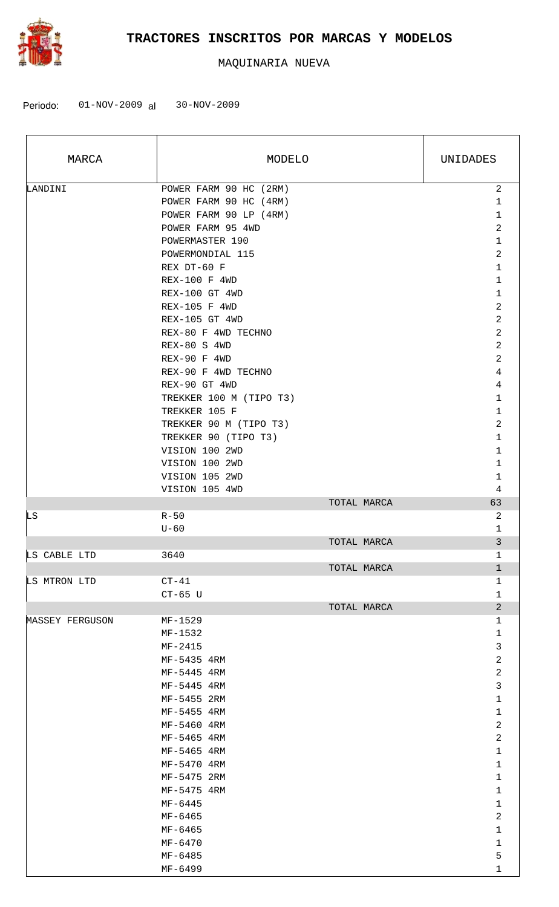

| MARCA           | MODELO                  | UNIDADES                |
|-----------------|-------------------------|-------------------------|
| LANDINI         | POWER FARM 90 HC (2RM)  | $\overline{a}$          |
|                 | POWER FARM 90 HC (4RM)  | $\mathbf 1$             |
|                 | POWER FARM 90 LP (4RM)  | $\mathbf{1}$            |
|                 | POWER FARM 95 4WD       | 2                       |
|                 | POWERMASTER 190         | $\mathbf{1}$            |
|                 | POWERMONDIAL 115        | 2                       |
|                 | REX DT-60 F             | 1                       |
|                 | <b>REX-100 F 4WD</b>    | $\mathbf{1}$            |
|                 | REX-100 GT 4WD          | $\mathbf{1}$            |
|                 | REX-105 F 4WD           | 2                       |
|                 | REX-105 GT 4WD          | 2                       |
|                 | REX-80 F 4WD TECHNO     | 2                       |
|                 | REX-80 S 4WD            | 2                       |
|                 | REX-90 F 4WD            | $\overline{2}$          |
|                 | REX-90 F 4WD TECHNO     | 4                       |
|                 | REX-90 GT 4WD           | 4                       |
|                 | TREKKER 100 M (TIPO T3) | $\mathbf 1$             |
|                 | TREKKER 105 F           | $\mathbf{1}$            |
|                 |                         | 2                       |
|                 | TREKKER 90 M (TIPO T3)  | $\mathbf{1}$            |
|                 | TREKKER 90 (TIPO T3)    |                         |
|                 | VISION 100 2WD          | 1                       |
|                 | VISION 100 2WD          | 1                       |
|                 | VISION 105 2WD          | $\mathbf 1$             |
|                 | VISION 105 4WD          | 4                       |
|                 | TOTAL MARCA             | 63                      |
| LS              | $R - 50$                | 2                       |
|                 | $U-60$                  | $\mathbf 1$             |
| LS CABLE LTD    | TOTAL MARCA<br>3640     | 3<br>1                  |
|                 |                         | $\mathbf{1}$            |
|                 | TOTAL MARCA             |                         |
| LS MTRON LTD    | $CT-41$                 | 1                       |
|                 | $CT-65$ U               | $\mathbf 1$             |
|                 | TOTAL MARCA<br>MF-1529  | $\overline{c}$          |
| MASSEY FERGUSON |                         | 1                       |
|                 | MF-1532                 | 1                       |
|                 | MF-2415                 | 3                       |
|                 | MF-5435 4RM             | $\overline{\mathbf{c}}$ |
|                 | MF-5445 4RM             | 2                       |
|                 | MF-5445 4RM             | 3                       |
|                 | MF-5455 2RM             | 1                       |
|                 | MF-5455 4RM             | 1                       |
|                 | MF-5460 4RM             | 2                       |
|                 | MF-5465 4RM             | 2                       |
|                 | MF-5465 4RM             | 1                       |
|                 | MF-5470 4RM             | 1                       |
|                 | MF-5475 2RM             | 1                       |
|                 | MF-5475 4RM             | 1                       |
|                 | $MF-6445$               | 1                       |
|                 | MF-6465                 | $\mathbf 2$             |
|                 | MF-6465                 | 1                       |
|                 | MF-6470                 | 1                       |
|                 | MF-6485                 | 5                       |
|                 | MF-6499                 | 1                       |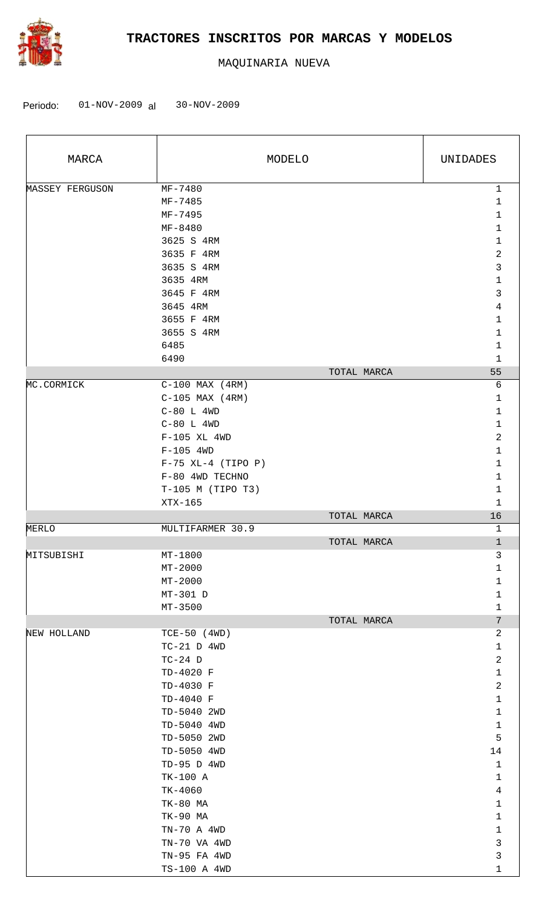

| MARCA           |                           | MODELO      | UNIDADES                |
|-----------------|---------------------------|-------------|-------------------------|
| MASSEY FERGUSON | MF-7480                   |             | $\mathbf{1}$            |
|                 | MF-7485                   |             | 1                       |
|                 | MF-7495                   |             | 1                       |
|                 | MF-8480                   |             | 1                       |
|                 | 3625 S 4RM                |             | 1                       |
|                 | 3635 F 4RM                |             | 2                       |
|                 | 3635 S 4RM                |             | 3                       |
|                 | 3635 4RM                  |             | 1                       |
|                 | 3645 F 4RM                |             | 3                       |
|                 | 3645 4RM                  |             | 4                       |
|                 | 3655 F 4RM                |             | 1                       |
|                 | 3655 S 4RM                |             | 1                       |
|                 | 6485                      |             | $\mathbf{1}$            |
|                 | 6490                      |             | $\mathbf 1$             |
|                 |                           | TOTAL MARCA | 55                      |
| MC.CORMICK      | $C-100$ MAX $(4RM)$       |             | 6                       |
|                 | $C-105$ MAX $(4RM)$       |             | $\mathbf{1}$            |
|                 | $C-80$ L $4WD$            |             | 1                       |
|                 | $C-80$ L $4WD$            |             | $\mathbf{1}$            |
|                 | $F-105$ XL 4WD            |             | $\overline{\mathbf{c}}$ |
|                 | $F-105$ 4WD               |             | $\mathbf{1}$            |
|                 | $F-75$ XL-4 (TIPO P)      |             | 1                       |
|                 | F-80 4WD TECHNO           |             | 1                       |
|                 | $T-105$ M (TIPO T3)       |             | 1                       |
|                 | XTX-165                   |             | $\mathbf{1}$            |
|                 |                           | TOTAL MARCA | 16                      |
| MERLO           | MULTIFARMER 30.9          |             | 1                       |
|                 |                           | TOTAL MARCA | $\mathbf{1}$            |
| MITSUBISHI      | MT-1800                   |             | 3<br>1                  |
|                 | $MT - 2000$               |             |                         |
|                 | $MT-2000$                 |             | $\mathbf{1}$            |
|                 | $MT-301$ D<br>$MT - 3500$ |             | $\mathbf{1}$<br>1       |
|                 |                           | TOTAL MARCA | 7                       |
| NEW HOLLAND     | $TCE-50$ (4WD)            |             | $\overline{c}$          |
|                 | $TC-21$ D $4WD$           |             | $\mathbf{1}$            |
|                 | $TC-24$ D                 |             | $\overline{c}$          |
|                 | TD-4020 F                 |             | $\mathbf{1}$            |
|                 | TD-4030 F                 |             | 2                       |
|                 | TD-4040 F                 |             | $\mathbf{1}$            |
|                 | TD-5040 2WD               |             | $\mathbf{1}$            |
|                 | TD-5040 4WD               |             | $\mathbf{1}$            |
|                 | TD-5050 2WD               |             | 5                       |
|                 | TD-5050 4WD               |             | 14                      |
|                 | TD-95 D 4WD               |             | $\mathbf{1}$            |
|                 | TK-100 A                  |             | $\mathbf{1}$            |
|                 | $TK-4060$                 |             | $\overline{4}$          |
|                 | TK-80 MA                  |             | $\mathbf 1$             |
|                 | TK-90 MA                  |             | $\mathbf{1}$            |
|                 | TN-70 A 4WD               |             | $\mathbf{1}$            |
|                 | TN-70 VA 4WD              |             | 3                       |
|                 | TN-95 FA 4WD              |             | $\mathbf{3}$            |
|                 | TS-100 A 4WD              |             | 1                       |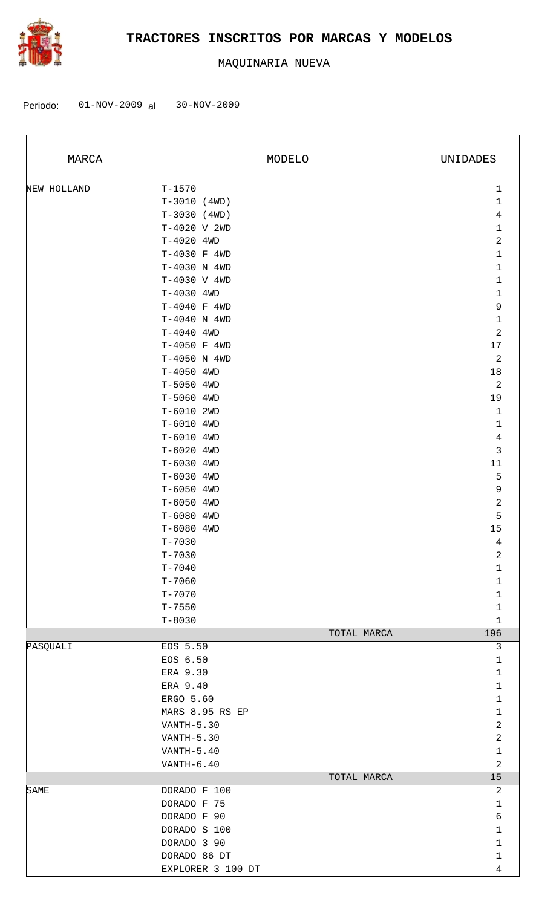

| MARCA       | MODELO            | UNIDADES       |
|-------------|-------------------|----------------|
| NEW HOLLAND | $T - 1570$        | $\mathbf{1}$   |
|             | $T-3010$ (4WD)    | $\mathbf{1}$   |
|             | $T-3030$ (4WD)    | $\,4$          |
|             | T-4020 V 2WD      | $1\,$          |
|             | T-4020 4WD        | $\overline{c}$ |
|             | T-4030 F 4WD      | $1\,$          |
|             | T-4030 N 4WD      | $\mathbf{1}$   |
|             | T-4030 V 4WD      | $1\,$          |
|             | T-4030 4WD        | $\mathbf{1}$   |
|             | T-4040 F 4WD      | $\mathsf 9$    |
|             | $T-4040$ N 4WD    | $1\,$          |
|             | T-4040 4WD        | $\overline{c}$ |
|             | T-4050 F 4WD      | $17\,$         |
|             | T-4050 N 4WD      | $\sqrt{2}$     |
|             | T-4050 4WD        | 18             |
|             | T-5050 4WD        | $\sqrt{2}$     |
|             | T-5060 4WD        | 19             |
|             | T-6010 2WD        | $\mathbf 1$    |
|             | T-6010 4WD        | $1\,$          |
|             | T-6010 4WD        | $\,4$          |
|             | T-6020 4WD        | 3              |
|             | T-6030 4WD        | 11             |
|             | T-6030 4WD        | 5              |
|             | T-6050 4WD        | 9              |
|             | T-6050 4WD        | $\sqrt{2}$     |
|             | T-6080 4WD        | 5              |
|             | T-6080 4WD        | 15             |
|             | $T - 7030$        | $\overline{4}$ |
|             | $T - 7030$        | 2              |
|             | $T - 7040$        | $\mathbf 1$    |
|             | $T - 7060$        | $\mathbf{1}$   |
|             | $T - 7070$        | $\mathbf 1$    |
|             | $T - 7550$        | $\mathbf{1}$   |
|             | $T - 8030$        | $\mathbf{1}$   |
|             | TOTAL MARCA       | 196            |
| PASQUALI    | EOS 5.50          | 3              |
|             | EOS 6.50          | $\mathbf 1$    |
|             | ERA 9.30          | $\mathbf 1$    |
|             | ERA 9.40          | $\mathbf{1}$   |
|             | ERGO 5.60         | $\mathbf{1}$   |
|             | MARS 8.95 RS EP   | $\mathbf 1$    |
|             | VANTH-5.30        | $\overline{c}$ |
|             | $VANTH-5.30$      | $\overline{2}$ |
|             | VANTH-5.40        | $\mathbf{1}$   |
|             | $VANTH-6.40$      | 2              |
|             | TOTAL MARCA       | 15             |
| SAME        | DORADO F 100      | 2              |
|             | DORADO F 75       | $\mathbf{1}$   |
|             | DORADO F 90       | б              |
|             | DORADO S 100      | $\mathbf 1$    |
|             | DORADO 3 90       | $\mathbf{1}$   |
|             | DORADO 86 DT      | $\mathbf{1}$   |
|             | EXPLORER 3 100 DT | 4              |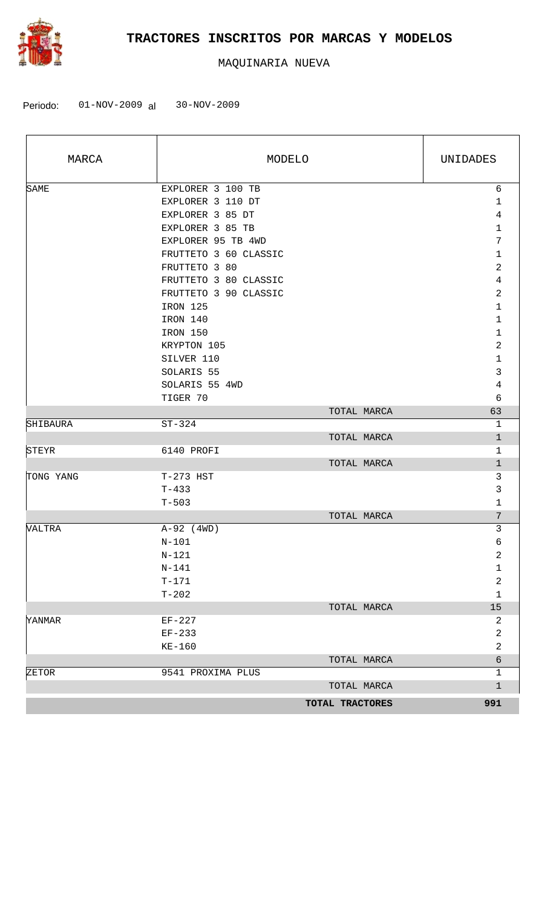

| MARCA     | MODELO                | UNIDADES                |
|-----------|-----------------------|-------------------------|
| SAME      | EXPLORER 3 100 TB     | 6                       |
|           | EXPLORER 3 110 DT     | $\mathbf{1}$            |
|           | EXPLORER 3 85 DT      | 4                       |
|           | EXPLORER 3 85 TB      | $\mathbf 1$             |
|           | EXPLORER 95 TB 4WD    | $7\phantom{.0}$         |
|           | FRUTTETO 3 60 CLASSIC | 1                       |
|           | FRUTTETO 3 80         | 2                       |
|           | FRUTTETO 3 80 CLASSIC | 4                       |
|           | FRUTTETO 3 90 CLASSIC | $\overline{a}$          |
|           | IRON 125              | 1                       |
|           | IRON 140              | $\mathbf 1$             |
|           | IRON 150              | $\mathbf 1$             |
|           | KRYPTON 105           | $\overline{a}$          |
|           | SILVER 110            | $\mathbf 1$             |
|           | SOLARIS 55            | $\mathfrak{Z}$          |
|           | SOLARIS 55 4WD        | $\overline{4}$          |
|           | TIGER 70              | 6                       |
|           | TOTAL MARCA           | 63                      |
| SHIBAURA  | $ST-324$              | 1                       |
|           | TOTAL MARCA           | $\mathbf{1}$            |
| STEYR     | 6140 PROFI            | 1                       |
|           | TOTAL MARCA           | $\mathbf{1}$            |
| TONG YANG | T-273 HST             | 3                       |
|           | $T - 433$             | 3                       |
|           | $T - 503$             | $\mathbf 1$             |
|           | TOTAL MARCA           | 7                       |
| VALTRA    | $A-92$ (4WD)          | $\mathfrak{Z}$          |
|           | $N-101$               | 6                       |
|           | $N-121$               | 2                       |
|           | $N-141$               | 1                       |
|           | $T - 171$             | $\overline{\mathbf{c}}$ |
|           | $T - 202$             | $\mathbf 1$             |
|           | TOTAL MARCA           | $15$                    |
| YANMAR    | EF-227                | $\overline{c}$          |
|           | $EF-233$              | 2                       |
|           | $KE-160$              | 2                       |
|           | TOTAL MARCA           | б                       |
| ZETOR     | 9541 PROXIMA PLUS     | 1                       |
|           | TOTAL MARCA           | $\mathbf 1$             |
|           | TOTAL TRACTORES       | 991                     |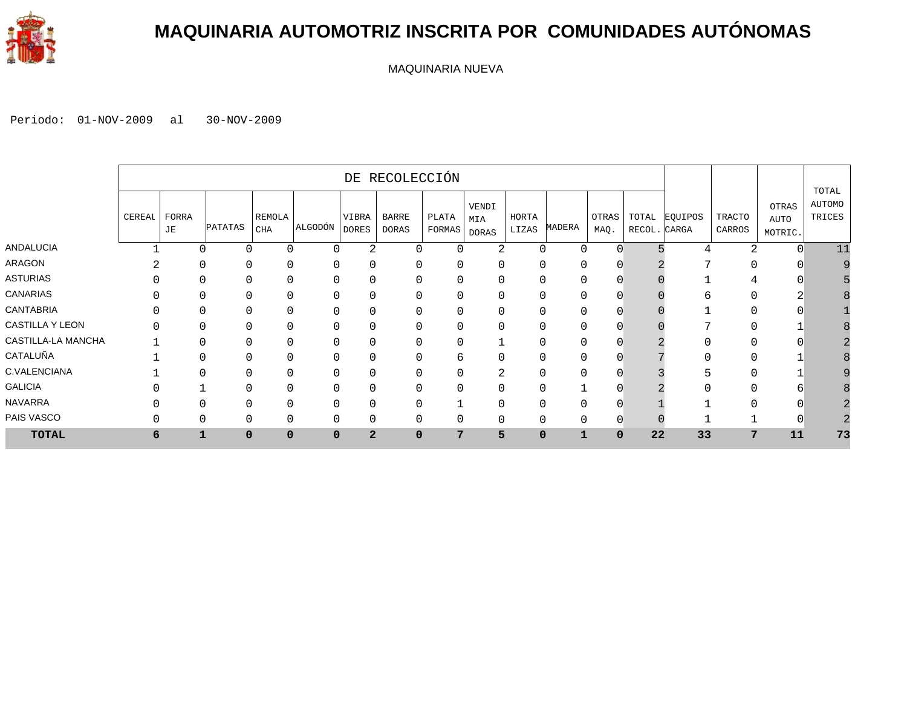

#### **MAQUINARIA AUTOMOTRIZ INSCRITA POR COMUNIDADES AUTÓNOMAS**

MAQUINARIA NUEVA

|                    |        |             |               |                      |             |                       | DE RECOLECCIÓN               |                 |                       |                |          |                |                       |         |                  |                                 |                                  |
|--------------------|--------|-------------|---------------|----------------------|-------------|-----------------------|------------------------------|-----------------|-----------------------|----------------|----------|----------------|-----------------------|---------|------------------|---------------------------------|----------------------------------|
|                    | CEREAL | FORRA<br>JE | PATATAS       | REMOLA<br><b>CHA</b> | ALGODÓN     | VIBRA<br><b>DORES</b> | <b>BARRE</b><br><b>DORAS</b> | PLATA<br>FORMAS | VENDI<br>MIA<br>DORAS | HORTA<br>LIZAS | MADERA   | OTRAS<br>MAQ.  | TOTAL<br>RECOL. CARGA | EQUIPOS | TRACTO<br>CARROS | <b>OTRAS</b><br>AUTO<br>MOTRIC. | TOTAL<br><b>AUTOMO</b><br>TRICES |
| <b>ANDALUCIA</b>   |        |             | 0<br>$\Omega$ | $\Omega$             | $\Omega$    | 2                     | $\Omega$                     | $\Omega$        | 2                     | 0              | $\Omega$ | $\Omega$       |                       |         |                  | $\cap$                          | 11                               |
| ARAGON             |        |             | 0<br>$\Omega$ | $\Omega$             | O           | 0                     | $\Omega$                     | 0               | $\Omega$              | 0              |          | 0              |                       |         |                  |                                 |                                  |
| <b>ASTURIAS</b>    |        |             |               | $\Omega$             | $\Omega$    | 0                     | $\Omega$                     | 0               |                       | 0              |          | O              |                       |         |                  |                                 |                                  |
| <b>CANARIAS</b>    |        |             |               | $\Omega$             |             | 0                     | $\Omega$                     | 0               |                       | ი              |          | O              |                       |         |                  |                                 |                                  |
| <b>CANTABRIA</b>   |        |             |               | $\Omega$             |             | 0                     | $\Omega$                     | 0               |                       | ი              |          |                |                       |         |                  |                                 |                                  |
| CASTILLA Y LEON    |        |             |               | $\Omega$             |             | 0                     | $\Omega$                     | 0               |                       | ი              |          | 0              |                       |         |                  |                                 |                                  |
| CASTILLA-LA MANCHA |        |             |               | C                    | $\Omega$    | 0                     | $\mathbf 0$                  | 0               |                       | Ω              |          |                |                       |         |                  |                                 |                                  |
| CATALUÑA           |        |             |               |                      |             | 0                     | $\mathbf 0$                  | 6               |                       | 0              |          |                |                       |         |                  |                                 |                                  |
| C.VALENCIANA       |        |             |               |                      |             | 0                     | $\Omega$                     | 0               | 4                     | 0              |          |                |                       |         |                  |                                 |                                  |
| <b>GALICIA</b>     |        |             |               |                      |             | 0                     | $\Omega$                     | 0               |                       | 0              |          |                |                       |         |                  |                                 |                                  |
| <b>NAVARRA</b>     |        |             | $\Omega$      | $\Omega$             | O           | 0                     | $\Omega$                     |                 |                       | 0              |          | 0              |                       |         |                  |                                 |                                  |
| PAIS VASCO         |        |             | 0<br>$\Omega$ | $\Omega$             | $\Omega$    | 0                     | $\mathbf 0$                  | 0               | 0                     | 0              |          | $\overline{0}$ |                       |         |                  |                                 |                                  |
| <b>TOTAL</b>       | 6      |             | 1<br>$\Omega$ | $\mathbf 0$          | $\mathbf 0$ | $\overline{a}$        | $\mathbf 0$                  | 7               | 5                     | $\mathbf 0$    |          | 0              | 22                    | 33      | 7                | 11                              | 73                               |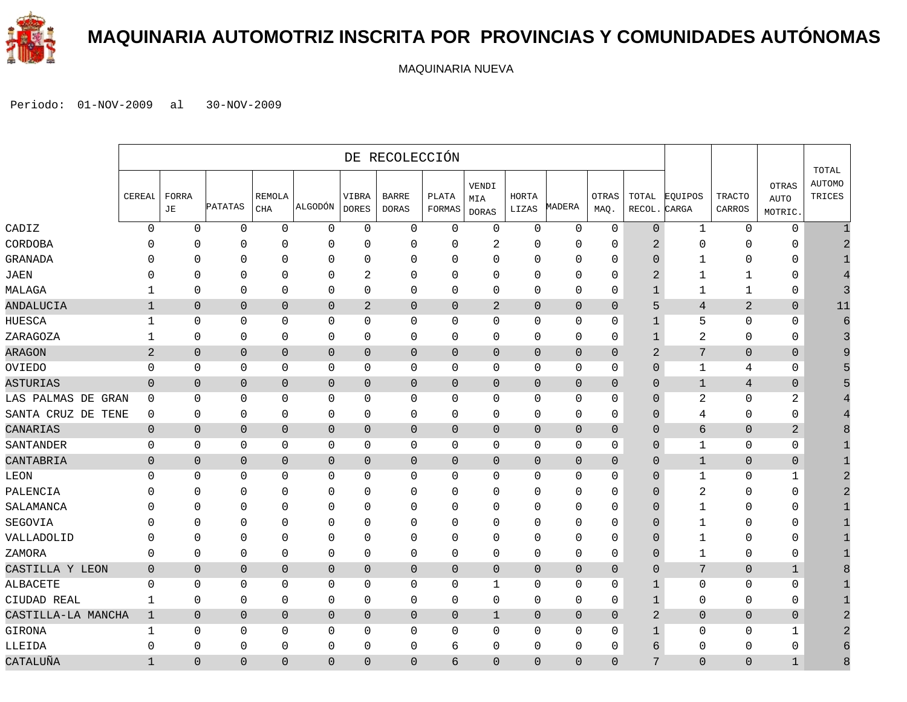

#### **MAQUINARIA AUTOMOTRIZ INSCRITA POR PROVINCIAS Y COMUNIDADES AUTÓNOMAS**

MAQUINARIA NUEVA

|                    |                |                |                |                             |                |                       | DE RECOLECCIÓN               |                        |                              |                |                |                      |                 |                  |                  |                                 |                                  |
|--------------------|----------------|----------------|----------------|-----------------------------|----------------|-----------------------|------------------------------|------------------------|------------------------------|----------------|----------------|----------------------|-----------------|------------------|------------------|---------------------------------|----------------------------------|
|                    | CEREAL         | FORRA<br>JE    | PATATAS        | <b>REMOLA</b><br><b>CHA</b> | ALGODÓN        | VIBRA<br><b>DORES</b> | <b>BARRE</b><br><b>DORAS</b> | PLATA<br><b>FORMAS</b> | VENDI<br>MIA<br><b>DORAS</b> | HORTA<br>LIZAS | MADERA         | <b>OTRAS</b><br>MAQ. | TOTAL<br>RECOL. | EQUIPOS<br>CARGA | TRACTO<br>CARROS | OTRAS<br><b>AUTO</b><br>MOTRIC. | TOTAL<br><b>AUTOMO</b><br>TRICES |
| CADIZ              | $\mathbf 0$    | $\Omega$       | $\mathbf 0$    | $\mathbf 0$                 | $\mathbf 0$    | $\Omega$              | $\mathbf{0}$                 | $\mathbf 0$            | 0                            | $\mathbf 0$    | $\mathbf 0$    | $\mathbf 0$          | $\overline{0}$  | $\mathbf{1}$     | $\mathbf 0$      | $\mathbf 0$                     |                                  |
| CORDOBA            | n              | 0              | $\mathbf{0}$   | 0                           | $\mathbf 0$    | $\mathbf{0}$          | 0                            | $\Omega$               | 2                            | 0              | $\mathbf 0$    | 0                    | $\overline{2}$  | 0                | $\Omega$         | 0                               |                                  |
| GRANADA            | C              | $\Omega$       | $\mathbf 0$    | $\Omega$                    | $\mathbf 0$    | $\mathbf 0$           | 0                            | $\mathbf 0$            | $\Omega$                     | $\mathbf{0}$   | $\mathbf 0$    | 0                    | $\overline{0}$  | $\mathbf{1}$     | $\mathbf 0$      | 0                               |                                  |
| JAEN               | C              | $\Omega$       | $\mathbf{0}$   | $\mathbf 0$                 | $\mathbf 0$    | 2                     | 0                            | 0                      | $\Omega$                     | $\Omega$       | $\mathbf 0$    | 0                    | $\overline{2}$  | $\mathbf{1}$     | $\mathbf 1$      | 0                               |                                  |
| MALAGA             | 1              | $\Omega$       | $\Omega$       | $\Omega$                    | $\mathbf 0$    | $\Omega$              | 0                            | $\Omega$               | $\Omega$                     | $\Omega$       | $\Omega$       | 0                    | $\mathbf 1$     | $\mathbf{1}$     | $\mathbf{1}$     | 0                               |                                  |
| ANDALUCIA          | $\mathbf{1}$   | $\mathbf{0}$   | $\overline{0}$ | $\mathbf{0}$                | $\overline{0}$ | $\overline{2}$        | 0                            | $\overline{0}$         | $\overline{2}$               | 0              | $\mathbf{0}$   | $\overline{0}$       | 5               | $\overline{4}$   | $\overline{2}$   | $\overline{0}$                  | 11                               |
| HUESCA             | -1             | 0              | 0              | $\mathbf 0$                 | $\mathbf 0$    | 0                     | $\mathbf{0}$                 | 0                      | 0                            | 0              | $\mathbf 0$    | 0                    | $\mathbf{1}$    | 5                | $\mathbf 0$      | $\mathbf{0}$                    |                                  |
| ZARAGOZA           | 1              | $\mathbf 0$    | 0              | $\mathbf 0$                 | 0              | 0                     | 0                            | 0                      | 0                            | $\mathbf 0$    | $\mathbf 0$    | 0                    | 1               | 2                | $\mathbf 0$      | 0                               |                                  |
| ARAGON             | $\overline{2}$ | $\mathbf{0}$   | $\mathbf 0$    | $\overline{0}$              | $\mathbf{0}$   | $\mathbf{0}$          | 0                            | $\overline{0}$         | $\overline{0}$               | $\mathbf{0}$   | $\overline{0}$ | $\mathbf 0$          | $\overline{2}$  | 7                | $\overline{0}$   | $\overline{0}$                  | q                                |
| OVIEDO             | $\mathbf 0$    | $\mathbf 0$    | $\mathbf 0$    | $\mathbf 0$                 | $\mathbf 0$    | $\mathbf 0$           | 0                            | $\mathbf 0$            | 0                            | $\mathbf 0$    | $\mathbf 0$    | 0                    | $\overline{0}$  | $\mathbf{1}$     | 4                | 0                               |                                  |
| ASTURIAS           | $\mathbf 0$    | $\mathbf{0}$   | $\overline{0}$ | $\mathbf{0}$                | $\mathbf{0}$   | $\mathbf{0}$          | 0                            | $\overline{0}$         | $\overline{0}$               | $\overline{0}$ | $\mathbf{0}$   | $\overline{0}$       | $\Omega$        | $\mathbf{1}$     | $\overline{4}$   | $\overline{0}$                  |                                  |
| LAS PALMAS DE GRAN | $\mathbf{0}$   | 0              | 0              | $\mathbf 0$                 | $\mathbf 0$    | $\Omega$              | $\mathbf{0}$                 | 0                      | 0                            | 0              | $\mathbf 0$    | 0                    | $\Omega$        | 2                | $\mathbf 0$      | 2                               |                                  |
| SANTA CRUZ DE TENE | $\mathbf{0}$   | $\Omega$       | 0              | $\mathbf 0$                 | 0              | 0                     | 0                            | 0                      | 0                            | $\mathbf 0$    | $\mathbf 0$    | 0                    | $\Omega$        | 4                | $\mathbf 0$      | 0                               |                                  |
| CANARIAS           | $\overline{0}$ | $\mathbf{0}$   | $\overline{0}$ | $\mathbf{0}$                | $\mathbf{0}$   | $\mathbf{0}$          | 0                            | $\overline{0}$         | $\overline{0}$               | $\mathbf{0}$   | $\mathbf{0}$   | $\mathbf 0$          | $\Omega$        | 6                | $\overline{0}$   | $\mathbf{2}$                    |                                  |
| SANTANDER          | $\mathbf 0$    | $\mathbf 0$    | $\mathbf 0$    | $\mathbf 0$                 | $\mathbf 0$    | $\mathbf 0$           | $\mathsf 0$                  | $\mathbf 0$            | 0                            | $\mathbf 0$    | $\mathbf 0$    | 0                    | $\overline{0}$  | $\mathbf{1}$     | $\mathbf{0}$     | 0                               |                                  |
| CANTABRIA          | $\mathbf 0$    | $\mathbf 0$    | $\overline{0}$ | $\overline{0}$              | $\mathbf{0}$   | $\mathbf 0$           | 0                            | $\theta$               | 0                            | 0              | $\overline{0}$ | $\mathbf 0$          | 0               | $\mathbf{1}$     | $\theta$         | $\mathbf 0$                     |                                  |
| LEON               | $\Omega$       | $\Omega$       | 0              | $\mathbf 0$                 | $\mathbf 0$    | $\Omega$              | $\mathbf{0}$                 | $\Omega$               | 0                            | 0              | $\mathbf 0$    | 0                    | $\Omega$        | 1                | $\mathbf 0$      | 1                               |                                  |
| PALENCIA           |                | 0              | $\Omega$       | $\Omega$                    | $\mathbf 0$    | $\mathbf{0}$          | 0                            | $\Omega$               | $\Omega$                     | $\Omega$       | $\Omega$       | 0                    | $\Omega$        | 2                | $\Omega$         | 0                               |                                  |
| SALAMANCA          |                | $\Omega$       | 0              | $\Omega$                    | 0              | $\Omega$              | 0                            | $\Omega$               | $\Omega$                     | 0              | $\mathbf 0$    | 0                    | $\Omega$        | 1                | $\Omega$         | 0                               |                                  |
| SEGOVIA            |                | $\Omega$       | $\mathbf 0$    | $\mathbf 0$                 | $\mathbf 0$    | $\Omega$              | 0                            | $\mathbf 0$            | 0                            | $\mathbf{0}$   | $\mathbf 0$    | 0                    | $\Omega$        | $\mathbf{1}$     | $\mathbf 0$      | 0                               |                                  |
| VALLADOLID         | C              | $\Omega$       | $\Omega$       | $\Omega$                    | $\mathbf 0$    | $\mathbf 0$           | 0                            | $\mathbf 0$            | 0                            | $\Omega$       | $\mathbf 0$    | 0                    | 0               | $\mathbf{1}$     | $\mathbf 0$      | 0                               |                                  |
| ZAMORA             | $\Omega$       | $\Omega$       | 0              | $\mathbf 0$                 | $\mathbf 0$    | 0                     | $\mathbf{0}$                 | $\mathbf 0$            | $\Omega$                     | $\mathbf 0$    | $\mathbf 0$    | 0                    | $\Omega$        | $\mathbf{1}$     | $\mathbf 0$      | $\mathbf{0}$                    |                                  |
| CASTILLA Y LEON    | $\overline{0}$ | $\mathbf{0}$   | $\overline{0}$ | $\mathbf{0}$                | $\mathbf 0$    | $\overline{0}$        | 0                            | $\mathbf{0}$           | $\overline{0}$               | $\mathbf{0}$   | $\mathbf{0}$   | $\overline{0}$       | $\Omega$        | 7                | $\overline{0}$   | $\mathbf{1}$                    |                                  |
| ALBACETE           | $\Omega$       | 0              | 0              | $\mathbf 0$                 | $\mathbf 0$    | $\Omega$              | 0                            | $\Omega$               | 1                            | 0              | $\mathbf 0$    | 0                    | $\mathbf{1}$    | 0                | $\mathbf 0$      | 0                               |                                  |
| CIUDAD REAL        | $\mathbf{1}$   | 0              | $\mathbf{0}$   | $\mathbf 0$                 | $\mathbf{0}$   | $\mathbf 0$           | $\mathsf 0$                  | $\mathbf 0$            | 0                            | $\mathbf 0$    | $\mathbf 0$    | 0                    | $\mathbf 1$     | 0                | $\mathbf{0}$     | 0                               |                                  |
| CASTILLA-LA MANCHA | $\mathbf{1}$   | $\overline{0}$ | $\overline{0}$ | $\overline{0}$              | $\theta$       | $\mathbf 0$           | 0                            | $\theta$               | $\mathbf{1}$                 | 0              | $\overline{0}$ | $\overline{0}$       | $\overline{2}$  | $\mathsf 0$      | $\theta$         | $\mathbf 0$                     |                                  |
| GIRONA             | 1              | 0              | 0              | $\mathbf 0$                 | $\mathbf 0$    | $\mathbf 0$           | 0                            | $\mathbf 0$            | 0                            | 0              | $\mathbf 0$    | 0                    | 1               | 0                | $\mathbf 0$      | 1                               |                                  |
| LLEIDA             | $\Omega$       | $\Omega$       | $\Omega$       | $\mathbf 0$                 | $\mathbf 0$    | $\mathbf 0$           | $\mathbf{0}$                 | 6                      | $\Omega$                     | $\Omega$       | $\Omega$       | 0                    | 6               | $\Omega$         | $\mathbf 0$      | $\mathbf 0$                     |                                  |
| CATALUÑA           | $\mathbf{1}$   | $\Omega$       | $\Omega$       | $\Omega$                    | $\overline{0}$ | $\Omega$              | $\Omega$                     | 6                      | $\Omega$                     | $\Omega$       | $\Omega$       | $\Omega$             | 7               | $\Omega$         | $\Omega$         | $\mathbf{1}$                    | 8                                |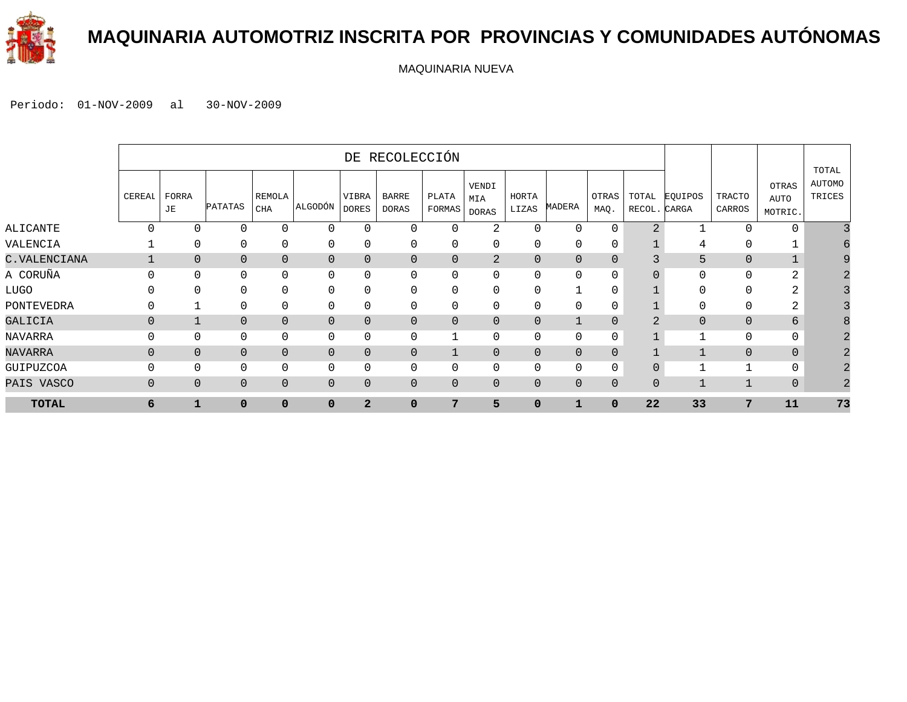

#### **MAQUINARIA AUTOMOTRIZ INSCRITA POR PROVINCIAS Y COMUNIDADES AUTÓNOMAS**

MAQUINARIA NUEVA

|              |                |                |                |                |                |                       | DE RECOLECCIÓN        |                 |                              |                |                |               |                       |                |                         |                          |                           |
|--------------|----------------|----------------|----------------|----------------|----------------|-----------------------|-----------------------|-----------------|------------------------------|----------------|----------------|---------------|-----------------------|----------------|-------------------------|--------------------------|---------------------------|
|              | CEREAI         | FORRA<br>JE    | <b>PATATAS</b> | REMOLA<br>CHA  | ALGODÓN        | VIBRA<br><b>DORES</b> | BARRE<br><b>DORAS</b> | PLATA<br>FORMAS | VENDI<br>MIA<br><b>DORAS</b> | HORTA<br>LIZAS | MADERA         | OTRAS<br>MAQ. | TOTAL<br>RECOL. CARGA | EQUIPOS        | <b>TRACTO</b><br>CARROS | OTRAS<br>AUTO<br>MOTRIC. | TOTAL<br>AUTOMO<br>TRICES |
| ALICANTE     | $\Omega$       | $\Omega$       | $\Omega$       | $\Omega$       | $\mathbf 0$    | $\Omega$              | $\Omega$              | $\Omega$        | 2                            | $\cap$         | $\Omega$       | $\Omega$      | $\overline{2}$        |                | $\Omega$                | $\mathbf 0$              |                           |
| VALENCIA     |                | $\mathbf{0}$   | 0              | $\mathbf 0$    | $\mathbf 0$    | $\mathbf 0$           | $\mathbf 0$           | 0               | 0                            | 0              | 0              | 0             |                       | 4              | 0                       |                          |                           |
| C.VALENCIANA |                | $\overline{0}$ | $\overline{0}$ | $\mathbf{0}$   | $\overline{0}$ | $\overline{0}$        | 0                     | $\Omega$        | 2                            | $\overline{0}$ | $\overline{0}$ | $\Omega$      |                       | 5              | $\Omega$                | $\mathbf{1}$             |                           |
| A CORUÑA     | $\Omega$       | $\Omega$       | 0              | $\Omega$       | 0              | $\Omega$              | $\Omega$              | $\Omega$        | $\Omega$                     |                | 0              | $\Omega$      |                       | $\Omega$       | $\Omega$                | 2                        |                           |
| LUGO         | U              | ∩              | $\mathbf{0}$   | $\mathbf{0}$   | $\mathbf 0$    | $\Omega$              | 0                     | $\Omega$        | $\Omega$                     |                | -1             | $\mathbf 0$   |                       | O              | $\mathbf{0}$            | 2                        |                           |
| PONTEVEDRA   | 0              |                | 0              | $\mathbf 0$    | 0              | $\Omega$              | 0                     | $\Omega$        | $\Omega$                     |                | 0              | $\mathbf 0$   |                       | 0              | 0                       | 2                        |                           |
| GALICIA      | $\mathbf 0$    |                | $\overline{0}$ | $\mathbf{0}$   | $\mathbf{0}$   | $\overline{0}$        | 0                     | $\overline{0}$  | $\Omega$                     | $\overline{0}$ | $\mathbf{1}$   | $\Omega$      |                       | $\overline{0}$ | $\overline{0}$          | 6                        |                           |
| NAVARRA      | $\Omega$       | $\Omega$       | 0              | $\mathbf{0}$   | $\mathbf 0$    | $\Omega$              | 0                     |                 | $\Omega$                     |                | 0              | 0             |                       |                | $\mathbf{0}$            | 0                        |                           |
| NAVARRA      | $\Omega$       | $\Omega$       | 0              | $\overline{0}$ | $\mathbf 0$    | $\overline{0}$        | 0                     |                 | $\Omega$                     | $\mathbf{0}$   | $\overline{0}$ | $\Omega$      |                       |                | $\overline{0}$          | $\mathbf{0}$             |                           |
| GUIPUZCOA    | $\Omega$       | $\Omega$       | $\mathbf{0}$   | $\mathbf 0$    | $\mathbf 0$    | $\mathbf 0$           | 0                     | $\Omega$        | $\Omega$                     | $\Omega$       | 0              | $\mathbf 0$   | $\overline{0}$        |                | $\mathbf{1}$            | $\mathbf{0}$             |                           |
| PAIS VASCO   | $\overline{0}$ | $\Omega$       | 0              | $\overline{0}$ | $\mathbf{0}$   | $\overline{0}$        | 0                     | $\Omega$        | $\Omega$                     | $\overline{0}$ | $\mathbf{0}$   | $\mathbf{0}$  | $\mathbf{0}$          |                | $\mathbf{1}$            | $\mathbf 0$              |                           |
| <b>TOTAL</b> | 6              | 1              | $\mathbf{0}$   | $\mathbf 0$    | $\Omega$       | $\overline{2}$        | 0                     | 7               | 5                            | $\mathbf{0}$   | $\mathbf{1}$   | $\mathbf 0$   | 22                    | 33             | 7                       | 11                       | 73                        |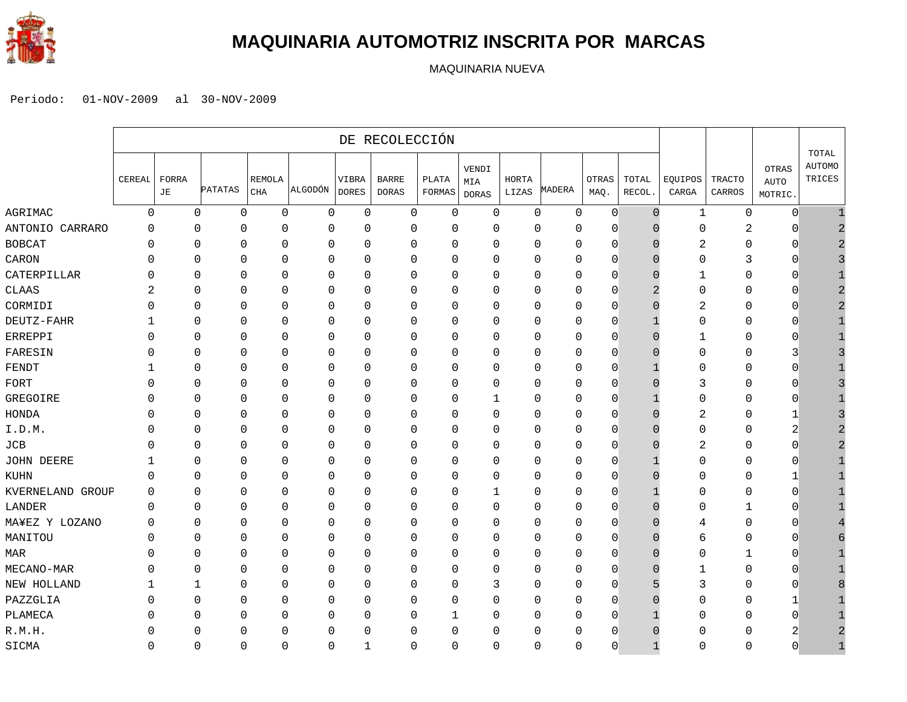

#### **MAQUINARIA AUTOMOTRIZ INSCRITA POR MARCAS**

MAQUINARIA NUEVA

|                  |          |              |              |                      |             |                       | DE RECOLECCIÓN               |                 |                              |                |             |               |                 |                  |                         |                                 |                                  |
|------------------|----------|--------------|--------------|----------------------|-------------|-----------------------|------------------------------|-----------------|------------------------------|----------------|-------------|---------------|-----------------|------------------|-------------------------|---------------------------------|----------------------------------|
|                  | CEREAL   | FORRA<br>JЕ  | PATATAS      | REMOLA<br><b>CHA</b> | ALGODÓN     | VIBRA<br><b>DORES</b> | <b>BARRE</b><br><b>DORAS</b> | PLATA<br>FORMAS | VENDI<br>MIA<br><b>DORAS</b> | HORTA<br>LIZAS | MADERA      | OTRAS<br>MAQ. | TOTAL<br>RECOL. | EQUIPOS<br>CARGA | <b>TRACTO</b><br>CARROS | OTRAS<br><b>AUTO</b><br>MOTRIC. | TOTAL<br><b>AUTOMO</b><br>TRICES |
| AGRIMAC          | $\Omega$ | $\mathbf 0$  | 0            | 0                    | $\mathbf 0$ | 0                     | 0                            | 0               | 0                            | 0              | $\mathbf 0$ | $\mathbf{0}$  | $\Omega$        | 1                | 0                       | $\overline{0}$                  |                                  |
| ANTONIO CARRARO  | $\Omega$ | 0            | $\Omega$     | 0                    | 0           | $\mathbf 0$           | $\mathbf 0$                  | 0               | 0                            | 0              | 0           | $\Omega$      | U               | $\Omega$         | $\overline{c}$          | $\Omega$                        |                                  |
| BOBCAT           | 0        | $\Omega$     | $\mathbf{0}$ | $\Omega$             | 0           | 0                     | $\mathbf 0$                  | $\mathbf 0$     | 0                            | $\mathbf 0$    | 0           | $\mathbf{0}$  | $\Box$          | 2                | 0                       | $\mathbf 0$                     |                                  |
| CARON            |          | $\Omega$     | $\Omega$     | $\Omega$             | $\Omega$    | $\mathbf{0}$          | $\mathbf 0$                  | $\Omega$        | $\Omega$                     | $\mathbf{0}$   | $\Omega$    | $\Omega$      |                 | $\Omega$         | 3                       | $\Omega$                        |                                  |
| CATERPILLAR      |          | 0            | $\Omega$     | $\Omega$             | 0           | $\mathbf 0$           | $\mathbf{0}$                 | $\Omega$        | 0                            | $\mathbf{0}$   | 0           | $\mathbf{0}$  |                 | 1                | 0                       | $\Omega$                        |                                  |
| CLAAS            |          | $\Omega$     | $\Omega$     | 0                    | 0           | 0                     | 0                            | $\mathbf 0$     | 0                            | $\mathbf 0$    | $\mathbf 0$ | $\mathbf{0}$  |                 | $\mathbf 0$      | 0                       | $\Omega$                        |                                  |
| CORMIDI          |          | $\mathbf{0}$ | $\Omega$     | $\mathbf 0$          | 0           | $\mathbf 0$           | $\mathbf 0$                  | $\mathbf 0$     | $\Omega$                     | $\Omega$       | $\mathbf 0$ | $\Omega$      | C               | 2                | 0                       | $\Omega$                        |                                  |
| DEUTZ-FAHR       |          | $\mathbf{0}$ | $\mathbf 0$  | $\mathbf 0$          | $\mathbf 0$ | 0                     | $\mathbf 0$                  | $\mathbf 0$     | 0                            | $\mathbf 0$    | $\mathbf 0$ | $\mathbf{0}$  |                 | $\mathbf 0$      | 0                       | $\mathbf 0$                     |                                  |
| ERREPPI          | ∩        | $\Omega$     | $\Omega$     | $\Omega$             | $\Omega$    | $\mathbf{0}$          | $\mathbf 0$                  | $\Omega$        | $\Omega$                     | $\mathbf 0$    | $\Omega$    | $\Omega$      | ⋂               | 1                | 0                       | $\Omega$                        |                                  |
| FARESIN          |          | $\Omega$     | $\mathbf 0$  | $\Omega$             | 0           | $\mathbf 0$           | $\mathbf 0$                  | 0               | 0                            | $\mathbf 0$    | $\Omega$    | $\mathbf{0}$  |                 | $\Omega$         | 0                       | 3                               |                                  |
| FENDT            |          | 0            | $\mathbf{0}$ | 0                    | 0           | 0                     | 0                            | 0               | 0                            | $\mathbf 0$    | 0           | $\mathbf{0}$  |                 | $\Omega$         | 0                       | $\mathbf 0$                     |                                  |
| FORT             |          | $\Omega$     | $\Omega$     | $\Omega$             | 0           | $\mathbf 0$           | $\mathbf 0$                  | $\mathbf 0$     | 0                            | $\mathbf 0$    | $\mathbf 0$ | $\Omega$      |                 | 3                | 0                       | $\Omega$                        |                                  |
| GREGOIRE         |          | $\Omega$     | $\mathbf{0}$ | 0                    | 0           | 0                     | $\mathbf 0$                  | $\mathbf 0$     | 1                            | $\mathbf 0$    | 0           | $\mathbf{0}$  |                 | $\mathbf 0$      | 0                       | $\mathbf 0$                     |                                  |
| HONDA            |          | $\Omega$     | $\Omega$     | $\Omega$             | $\Omega$    | $\mathbf{0}$          | $\mathbf 0$                  | $\Omega$        | $\Omega$                     | $\mathbf 0$    | $\Omega$    | $\Omega$      |                 | 2                | 0                       | 1                               |                                  |
| I.D.M.           |          | 0            | $\Omega$     | $\Omega$             | 0           | $\mathbf 0$           | $\mathbf 0$                  | $\Omega$        | 0                            | $\mathbf{0}$   | 0           | $\mathbf{0}$  |                 | $\Omega$         | 0                       | 2                               |                                  |
| JCB              |          | $\Omega$     | $\mathbf{0}$ | 0                    | 0           | 0                     | 0                            | 0               | 0                            | $\mathbf 0$    | 0           | $\mathbf{0}$  | $\Box$          | 2                | 0                       | 0                               |                                  |
| JOHN DEERE       |          | $\mathbf{0}$ | $\Omega$     | $\mathbf 0$          | 0           | $\mathbf 0$           | $\mathbf 0$                  | $\mathbf 0$     | 0                            | $\mathbf 0$    | $\mathbf 0$ | $\Omega$      |                 | $\Omega$         | 0                       | $\Omega$                        |                                  |
| KUHN             | $\Omega$ | $\mathbf{0}$ | $\mathbf 0$  | $\mathbf 0$          | $\mathbf 0$ | 0                     | $\mathbf 0$                  | $\mathbf 0$     | 0                            | $\mathbf 0$    | $\mathbf 0$ | $\mathbf{0}$  | n               | $\mathbf 0$      | 0                       | 1                               |                                  |
| KVERNELAND GROUP | $\Omega$ | $\Omega$     | $\mathbf{0}$ | $\Omega$             | $\Omega$    | $\mathbf{0}$          | $\mathbf 0$                  | $\Omega$        | 1                            | $\mathbf 0$    | $\Omega$    | $\Omega$      |                 | $\Omega$         | 0                       | $\Omega$                        |                                  |
| LANDER           | 0        | $\Omega$     | $\mathbf 0$  | 0                    | 0           | $\mathbf 0$           | $\mathbf 0$                  | 0               | 0                            | $\mathbf 0$    | $\Omega$    | $\mathbf{0}$  |                 | O                | $\mathbf{1}$            | $\mathbf 0$                     |                                  |
| MA¥EZ Y LOZANO   | O        | $\mathbf{0}$ | 0            | 0                    | 0           | 0                     | 0                            | 0               | 0                            | $\mathbf 0$    | 0           | $\mathbf{0}$  | $\Box$          | 4                | 0                       | $\mathbf 0$                     |                                  |
| MANITOU          | U        | $\mathbf{0}$ | $\Omega$     | $\Omega$             | 0           | $\mathbf 0$           | 0                            | $\mathbf 0$     | 0                            | $\mathbf 0$    | $\mathbf 0$ | $\Omega$      |                 | 6                | 0                       | $\Omega$                        |                                  |
| MAR              |          | $\Omega$     | $\mathbf{0}$ | 0                    | 0           | 0                     | 0                            | 0               | 0                            | $\mathbf 0$    | 0           | $\mathbf{0}$  | $\Box$          | 0                | 1                       | $\mathbf 0$                     |                                  |
| MECANO-MAR       |          | $\Omega$     | $\Omega$     | $\Omega$             | $\Omega$    | $\mathbf{0}$          | $\mathbf 0$                  | $\Omega$        | $\Omega$                     | $\mathbf 0$    | $\Omega$    | $\Omega$      |                 | 1                | $\mathbf 0$             | $\Omega$                        |                                  |
| NEW HOLLAND      |          |              | $\mathbf{0}$ | $\Omega$             | 0           | $\mathbf 0$           | $\mathbf 0$                  | $\Omega$        | 3                            | $\mathbf 0$    | 0           | $\mathbf{0}$  |                 | 3                | 0                       | $\Omega$                        |                                  |
| PAZZGLIA         |          | $\Omega$     | $\mathbf{0}$ | 0                    | 0           | 0                     | 0                            | 0               | 0                            | $\mathbf 0$    | 0           | $\mathbf{0}$  |                 | 0                | 0                       | 1                               |                                  |
| PLAMECA          |          | $\mathbf{0}$ | $\Omega$     | $\mathbf 0$          | 0           | $\mathbf 0$           | 0                            | 1               | 0                            | $\mathbf 0$    | $\mathbf 0$ | $\Omega$      |                 | $\Omega$         | 0                       | $\Omega$                        |                                  |
| R.M.H.           |          | O            | $\Omega$     | 0                    | 0           | $\Omega$              | $\mathbf{0}$                 | $\Omega$        | $\Omega$                     | $\Omega$       | O           | U             |                 | ∩                | 0                       | 2                               |                                  |
| SICMA            | ∩        | $\Omega$     | $\Omega$     | $\Omega$             | $\Omega$    | $\mathbf 1$           | $\mathbf 0$                  | $\Omega$        | $\Omega$                     | $\Omega$       | $\Omega$    | $\Omega$      |                 | $\Omega$         | 0                       | $\Omega$                        |                                  |